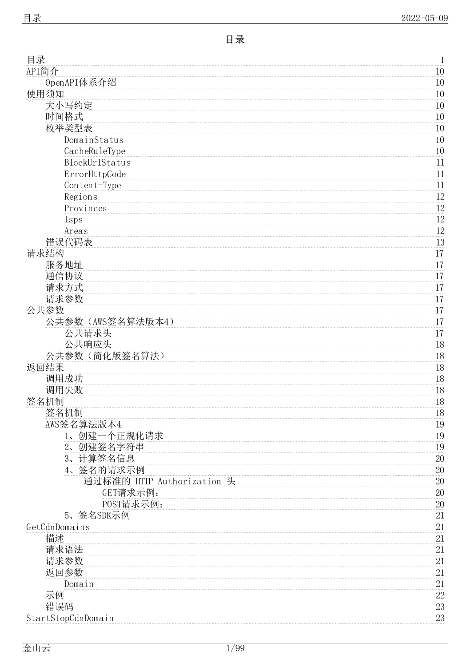### 目 录

<span id="page-0-0"></span>

| 目录                         | $\mathbf 1$ |
|----------------------------|-------------|
| API简介                      | 10          |
| OpenAPI体系介绍                | 10          |
| 使用须知                       | 10          |
| 大小写约定                      | 10          |
| 时间格式                       | 10          |
| 枚举类型表                      | 10          |
| DomainStatus               | 10          |
| CacheRuleType              | 10          |
| BlockUrlStatus             | 11          |
| ErrorHttpCode              | 11          |
| Content-Type               | 11          |
| Regions                    | 12          |
| Provinces                  | $12\,$      |
| Isps                       | $12\,$      |
| Areas                      | 12          |
| 错误代码表                      | 13          |
| 请求结构                       | 17          |
| 服务地址                       | 17          |
| 通信协议                       | 17          |
| 请求方式                       | 17          |
| 请求参数                       | 17          |
| 公共参数                       | 17          |
| 公共参数(AWS签名算法版本4)           | 17          |
| 公共请求头                      | 17          |
| 公共响应头<br>公共参数(简化版签名算法)     | 18          |
| 返回结果                       | 18<br>18    |
| 调用成功                       | 18          |
| 调用失败                       | 18          |
| 签名机制                       | 18          |
| 签名机制                       | 18          |
| AWS签名算法版本4                 | 19          |
| 1、创建一个正规化请求                | 19          |
| 创建签名字符串<br>$2\sim$         | 19          |
| 3、计算签名信息                   | 20          |
| 4、签名的请求示例                  | $20\,$      |
| 通过标准的 HTTP Authorization 头 | $20\,$      |
| GET请求示例:                   | $20\,$      |
| POST请求示例:                  | 20          |
| 5、签名SDK示例                  | 21          |
| GetCdnDomains              | 21          |
| 描述                         | 21          |
| 请求语法                       | 21          |
| 请求参数                       | 21          |
| 返回参数                       | 21          |
| Domain                     | 21          |
| 示例                         | $22\,$      |
| 错误码                        | $23\,$      |
| StartStopCdnDomain         | 23          |
|                            |             |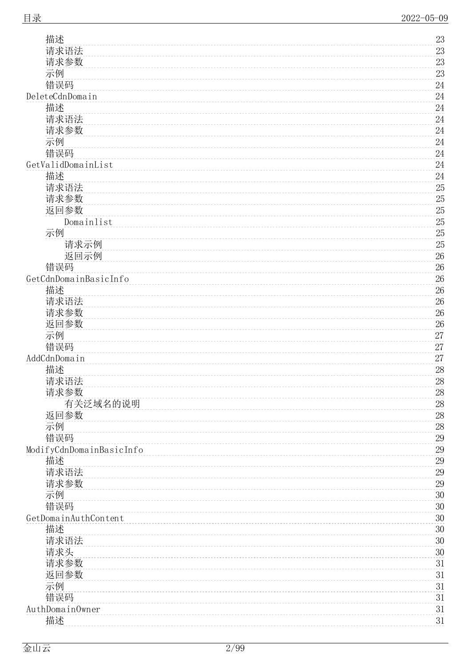| 请求参数                     | 23               |
|--------------------------|------------------|
| 示例                       | $23\,$           |
| 错误码                      | $24\,$           |
| DeleteCdnDomain          | $24\,$           |
| 描述                       | 24               |
| 请求语法                     | 24               |
| 请求参数                     | $24\,$           |
| 示例                       | $24\,$           |
| 错误码                      | $24\,$           |
| GetValidDomainList       | 24               |
| 描述                       | $24\,$           |
| 请求语法                     | $25\,$           |
| 请求参数                     | $25\,$           |
| 返回参数<br>Domainlist       | $25\,$<br>$25\,$ |
| 示例                       | $25\,$           |
| 请求示例                     | $25\,$           |
| 返回示例                     | $26\,$           |
| 错误码                      | $26\,$           |
| GetCdnDomainBasicInfo    | 26               |
| 描述                       | $26\,$           |
| 请求语法                     | $26\,$           |
| 请求参数                     | $26\,$           |
| 返回参数                     | $26\,$           |
| 示例                       | 27               |
| 错误码                      | 27               |
| AddCdnDomain             | 27               |
| 描述                       | $28\,$           |
| 请求语法                     | $28\,$           |
| 请求参数                     | $28\,$           |
| 有关泛域名的说明                 | 28               |
| 返回参数                     | $28\,$           |
| 示例                       | $28\,$           |
| 错误码                      | $29\,$           |
| ModifyCdnDomainBasicInfo | $29\,$           |
| 描述                       | $29\,$           |
| 请求语法                     | $29\,$           |
| 请求参数                     | $29\,$           |
| 示例                       | $30\,$           |
| 错误码                      | $30\,$           |
| GetDomainAuthContent     | $30\,$           |
| 描述                       | $30\,$           |
| 请求语法                     | $30\,$           |
| 请求头                      | $30\,$           |
| 请求参数<br>返回参数             | $31\,$<br>31     |
| 示例                       | 31               |
| 错误码                      | 31               |
| AuthDomainOwner          | 31               |
| 描述                       | 31               |
|                          |                  |

[描](#page-22-2) 述 [请](#page-22-3) 求 语 法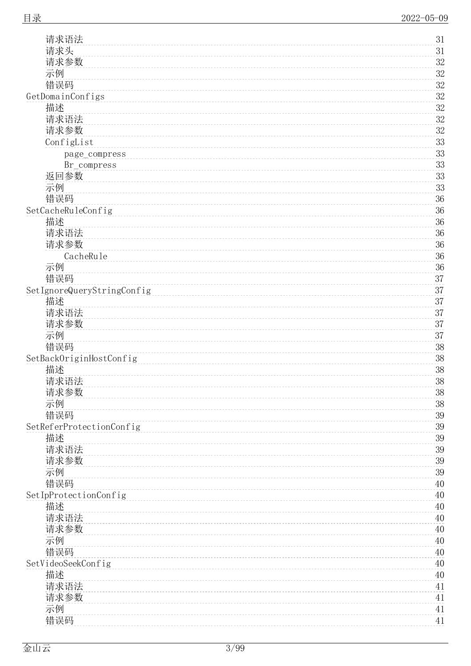3 1

| 请求头                        | 31     |
|----------------------------|--------|
| 请求参数                       | $32\,$ |
| 示例                         | $32\,$ |
| 错误码                        | $32\,$ |
| GetDomainConfigs           | $32\,$ |
| 描述                         | $32\,$ |
| 请求语法                       | $32\,$ |
| 请求参数                       | $32\,$ |
| ConfigList                 | $33\,$ |
|                            | $33\,$ |
| page_compress              |        |
| Br_compress                | $33\,$ |
| 返回参数                       | $33\,$ |
| 示例                         | $33\,$ |
| 错误码                        | $36\,$ |
| SetCacheRuleConfig         | 36     |
| 描述                         | $36\,$ |
| 请求语法                       | $36\,$ |
| 请求参数                       | $36\,$ |
| CacheRule                  | $36\,$ |
| 示例                         | 36     |
| 错误码                        | $37\,$ |
| SetIgnoreQueryStringConfig | 37     |
| 描述                         | $37\,$ |
| 请求语法                       | 37     |
| 请求参数                       | 37     |
| 示例                         | $37\,$ |
| 错误码                        | $38\,$ |
| SetBackOriginHostConfig    | $38\,$ |
| 描述                         | $38\,$ |
| 请求语法                       | $38\,$ |
| 请求参数                       | $38\,$ |
|                            | $38\,$ |
| 示例                         | $39\,$ |
| 错误码                        |        |
| SetReferProtectionConfig   | $39\,$ |
| 描述                         | $39\,$ |
| 请求语法                       | $39\,$ |
| 请求参数                       | $39\,$ |
| 示例                         | $39\,$ |
| 错误码                        | 40     |
| SetIpProtectionConfig      | 40     |
| 描述                         | 40     |
| 请求语法                       | 40     |
| 请求参数                       | $40\,$ |
| 示例                         | 40     |
| 错误码                        | 40     |
| SetVideoSeekConfig         | 40     |
| 描述                         | 40     |
| 请求语法                       | 41     |
| 请求参数                       | 41     |
| 示例                         | $41\,$ |
| 错误码                        | 41     |
|                            |        |

[请](#page-30-6) 求 语 法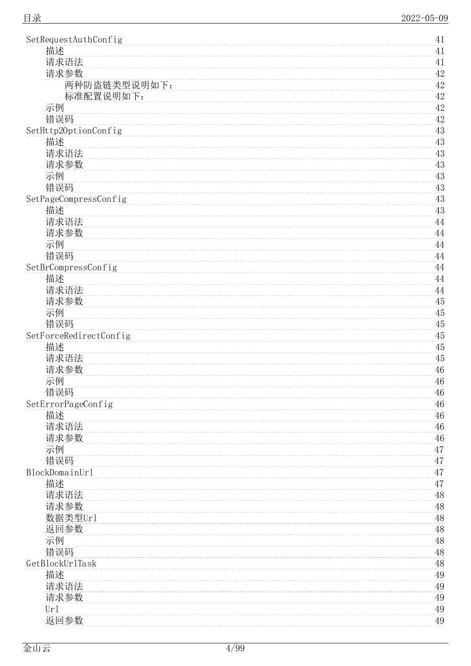| SetRequestAuthConfig   | 41          |
|------------------------|-------------|
| 描述                     | 41          |
| 请求语法                   | 41          |
| 请求参数                   | 42          |
| 两种防盗链类型说明如下:           | $42\,$      |
| 标准配置说明如下:              | $42\,$      |
| 示例                     | 42          |
| 错误码                    | $42\,$      |
| SetHttp20ptionConfig   | 43          |
| 描述                     | 43          |
| 请求语法                   | 43          |
| 请求参数                   | 43          |
| 示例                     | $43\,$      |
| 错误码                    | 43          |
| SetPageCompressConfig  | 43          |
| 描述                     | $43\,$      |
| 请求语法                   | 44          |
| 请求参数                   | 44          |
| 示例                     | $44\,$      |
| 错误码                    | 44          |
| SetBrCompressConfig    | $44\,$      |
| 描述                     | 44          |
| 请求语法                   | $\rm 44$    |
| 请求参数                   | 45          |
| 示例                     | 45          |
| 错误码                    | $45\,$      |
| SetForceRedirectConfig | $45\,$      |
| 描述                     | $45\,$      |
| 请求语法                   | 45          |
| 请求参数                   | 46          |
| 示例                     | $46\,$      |
| 错误码                    | 46          |
| SetErrorPageConfig     | 46          |
| 描述                     | 46          |
| 请求语法                   | 46          |
| 请求参数                   | 46          |
| 示例                     | 47          |
| 错误码                    | 47          |
| BlockDomainUrl         | 47          |
| 描述                     | 47          |
| 请求语法                   | 48          |
|                        |             |
| 请求参数                   | $48\,$      |
| 数据类型Url                | $48\,$      |
| 返回参数                   | 48          |
| 示例                     | $\sqrt{48}$ |
| 错误码                    | 48          |
| GetBlockUrlTask        | 48          |
| 描述                     | 49          |
| 请求语法                   | 49          |
| 请求参数                   | 49          |
| Url                    | 49          |
| 返回参数                   | 49          |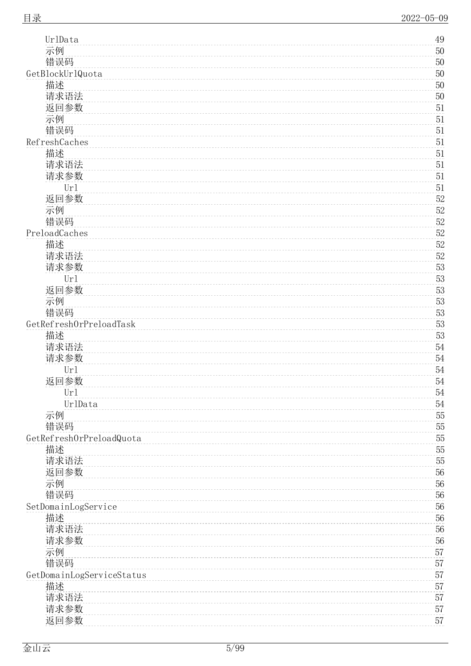| UrlData                   | 49     |
|---------------------------|--------|
| 示例                        | $50\,$ |
| 错误码                       | $50\,$ |
| GetBlockUrlQuota          | $50\,$ |
| 描述                        | $50\,$ |
| 请求语法                      | $50\,$ |
| 返回参数                      | 51     |
| 示例                        | $51\,$ |
| 错误码                       | 51     |
| RefreshCaches             | 51     |
| 描述                        | $51\,$ |
| 请求语法                      | 51     |
| 请求参数                      | 51     |
| Ur1                       | 51     |
| 返回参数                      | $52\,$ |
| 示例                        | $52\,$ |
| 错误码                       | $52\,$ |
| PreloadCaches             | $52\,$ |
| 描述                        | $52\,$ |
| 请求语法                      | $52\,$ |
| 请求参数                      | $53\,$ |
| Ur1                       | $53\,$ |
| 返回参数                      | $53\,$ |
| 示例                        | $53\,$ |
| 错误码                       | $53\,$ |
| GetRefreshOrPreloadTask   | $53\,$ |
| 描述                        | $53\,$ |
|                           | $54\,$ |
| 请求语法                      |        |
| 请求参数                      | $54\,$ |
| Ur1                       | 54     |
| 返回参数                      | $54\,$ |
| Url                       | 54     |
| UrlData                   | $54\,$ |
| 示例                        | $55\,$ |
| 错误码                       | $55\,$ |
| GetRefreshOrPreloadQuota  | $55\,$ |
| 描述                        | $55\,$ |
| 请求语法                      | $55\,$ |
| 返回参数                      | $56\,$ |
| 示例                        | $56\,$ |
| 错误码                       | $56\,$ |
| SetDomainLogService       | 56     |
| 描述                        | 56     |
| 请求语法                      | 56     |
| 请求参数                      | 56     |
| 示例                        | 57     |
| 错误码                       | 57     |
| GetDomainLogServiceStatus | 57     |
| 描述                        | 57     |
| 请求语法                      | 57     |
| 请求参数                      | 57     |
| 返回参数                      | 57     |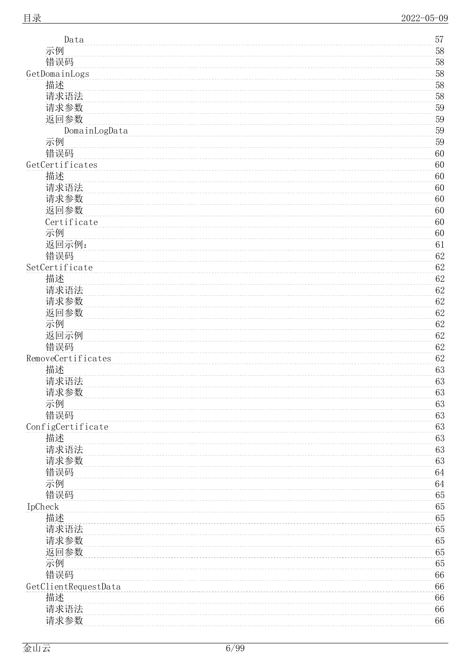5 7

| 示例                   | 58           |
|----------------------|--------------|
| 错误码                  | $58\,$       |
| GetDomainLogs        | $58\,$       |
| 描述                   | $58\,$       |
| 请求语法                 | $58\,$       |
| 请求参数                 | $59\,$       |
| 返回参数                 | $59\,$       |
| DomainLogData        | $59\,$       |
| 示例                   | $59\,$       |
| 错误码                  | 60           |
| GetCertificates      | 60           |
| 描述                   | 60           |
| 请求语法                 | 60           |
| 请求参数                 | 60           |
| 返回参数                 | 60           |
| Certificate          | 60           |
| 示例                   | 60           |
| 返回示例:                | 61           |
| 错误码                  | $62\,$       |
| SetCertificate       | $62\,$       |
| 描述                   | 62           |
| 请求语法                 | $62\,$       |
| 请求参数                 | $62\,$       |
| 返回参数                 | 62           |
| 示例                   | $62\,$       |
| 返回示例                 | 62           |
| 错误码                  |              |
| RemoveCertificates   | 62<br>$62\,$ |
|                      |              |
| 描述                   | 63           |
| 请求语法                 | 63           |
| 请求参数                 | 63           |
| 示例                   | 63           |
| 错误码                  | 63           |
| ConfigCertificate    | 63           |
| 描述                   | 63           |
| 请求语法                 | 63           |
| 请求参数                 | 63           |
| 错误码                  | 64           |
| 示例                   | 64           |
| 错误码                  | 65           |
| IpCheck              | 65           |
| 描述                   | 65           |
| 请求语法                 | 65           |
| 请求参数                 | 65           |
| 返回参数                 | 65           |
| 示例                   | 65           |
| 错误码                  | 66           |
| GetClientRequestData | 66           |
| 描述                   | 66           |
| 请求语法                 | 66           |
| 请求参数                 | 66           |
|                      |              |

[D](#page-56-7) a t a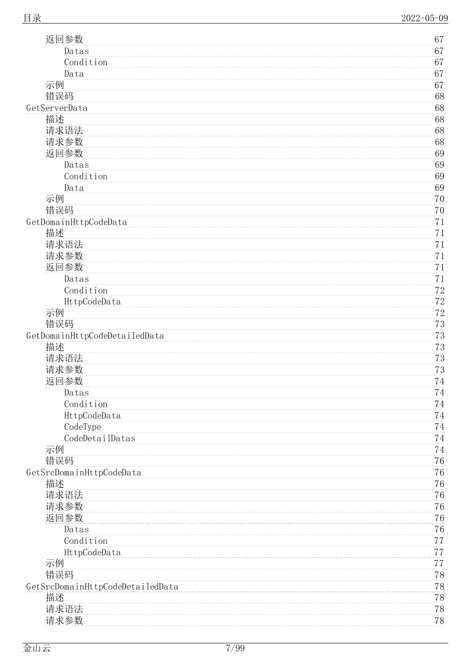| 返回参数                             | 67               |
|----------------------------------|------------------|
| Datas                            | 67               |
| Condition                        | 67               |
| Data                             | 67               |
| 示例                               | 67               |
| 错误码                              | 68               |
| GetServerData                    | 68               |
| 描述                               | $68\,$           |
| 请求语法                             | 68               |
| 请求参数                             | 68               |
| 返回参数                             | 69               |
| Datas                            | 69               |
| Condition                        | 69               |
| Data                             | 69               |
| 示例                               | 70               |
| 错误码                              | 70               |
| GetDomainHttpCodeData            | 71               |
| 描述                               | 71               |
| 请求语法                             | 71               |
| 请求参数                             | 71               |
| 返回参数                             | 71               |
| Datas                            | 71               |
| Condition                        | $7\sqrt{2}$      |
| HttpCodeData                     | $7\sqrt{2}$      |
| 示例                               | $7\sqrt{2}$      |
| 错误码                              | $7\sqrt{3}$      |
| GetDomainHttpCodeDetailedData    | 73               |
| 描述                               | $7\sqrt{3}$      |
| 请求语法                             | $7\sqrt{3}$      |
| 请求参数                             | $7\sqrt{3}$      |
| 返回参数                             | 74               |
| Datas                            | 74               |
| Condition                        | 74               |
| HttpCodeData                     | 74               |
| CodeType<br>CodeDetailDatas      | 74               |
|                                  | $7\,4$           |
| 示例<br>错误码                        | $74\,$<br>$76\,$ |
| GetSrcDomainHttpCodeData         | 76               |
| 描述                               | $76\,$           |
| 请求语法                             | $76\,$           |
| 请求参数                             | 76               |
| 返回参数                             | 76               |
| Datas                            | 76               |
| Condition                        | 77               |
| HttpCodeData                     | 77               |
| 示例                               | 77               |
| 错误码                              | $7\,8$           |
| GetSrcDomainHttpCodeDetailedData | 78               |
| 描述                               | $78\,$           |
| 请求语法                             | $78\,$           |
| 请求参数                             | $78\,$           |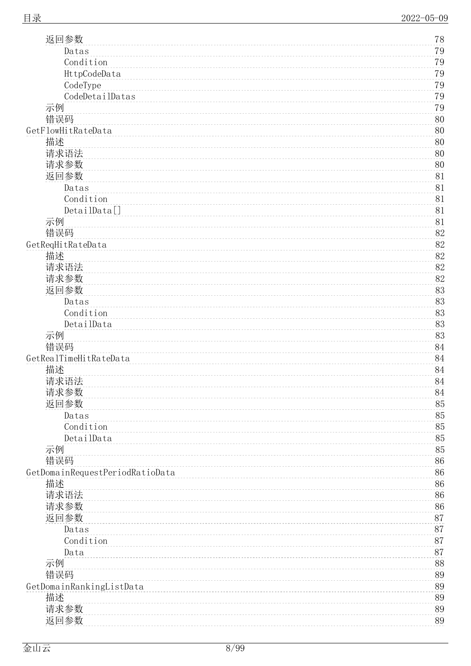| 返回参数                            | 78     |
|---------------------------------|--------|
| Datas                           | 79     |
| Condition                       | $79\,$ |
| HttpCodeData                    | 79     |
| CodeType                        | 79     |
| CodeDetailDatas                 | $79\,$ |
| 示例                              | 79     |
| 错误码                             | 80     |
| GetFlowHitRateData              | 80     |
| 描述                              | 80     |
| 请求语法                            | 80     |
| 请求参数                            | 80     |
| 返回参数                            | 81     |
| Datas                           | 81     |
| Condition                       | 81     |
| DetailData[]                    | 81     |
| 示例                              | 81     |
| 错误码                             | $82\,$ |
| GetReqHitRateData               | 82     |
| 描述                              | $82\,$ |
| 请求语法                            | $82\,$ |
| 请求参数                            | 82     |
| 返回参数                            | 83     |
| Datas                           | 83     |
| Condition                       | 83     |
| DetailData                      | 83     |
| 示例                              | 83     |
| 错误码                             | 84     |
| GetRealTimeHitRateData          | 84     |
| 描述                              | 84     |
| 请求语法                            | 84     |
| 请求参数                            | 84     |
| 返回参数                            | 85     |
| Datas                           | $85\,$ |
| Condition                       | $85\,$ |
| DetailData                      | 85     |
| 示例                              | 85     |
| 错误码                             | $86\,$ |
| GetDomainRequestPeriodRatioData | 86     |
| 描述                              | 86     |
| 请求语法                            | 86     |
| 请求参数                            | 86     |
| 返回参数                            | $87\,$ |
| Datas                           | $87\,$ |
| Condition                       | $87\,$ |
| Data                            | 87     |
| 示例                              | 88     |
| 错误码                             | 89     |
| GetDomainRankingListData        | 89     |
| 描述                              | 89     |
| 请求参数                            | 89     |
| 返回参数                            | 89     |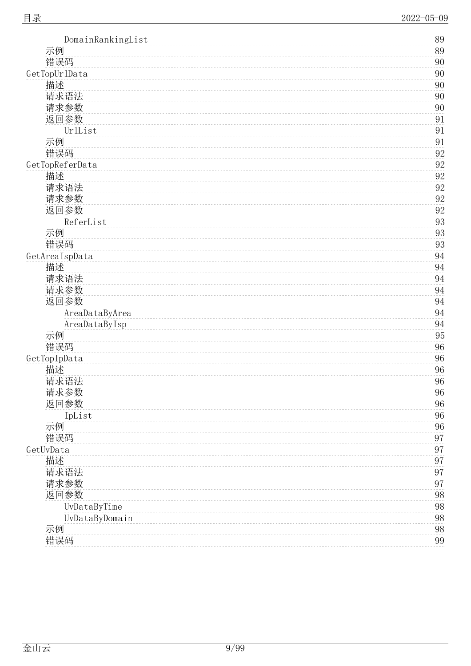| 示例<br>89<br>错误码<br>90<br>90<br>GetTopUrlData<br>描述<br>90<br>请求语法<br>90<br>请求参数<br>$90\,$<br>返回参数<br>91<br>UrlList<br>91<br>示例<br>91<br>错误码<br>$92\,$<br>GetTopReferData<br>92<br>92<br>描述<br>请求语法<br>92<br>请求参数<br>$92\,$<br>返回参数<br>$92\,$<br>ReferList<br>93<br>示例<br>93<br>错误码<br>$\boldsymbol{93}$<br>94<br>GetAreaIspData<br>描述<br>94<br>请求语法<br>94<br>请求参数<br>94<br>返回参数<br>$94\,$<br>94<br>AreaDataByArea<br>AreaDataByIsp<br>94<br>示例<br>95<br>错误码<br>$96\,$<br>$96\,$<br>GetTopIpData<br>描述<br>96<br>请求语法<br>96<br>请求参数<br>96<br>返回参数<br>$96\,$<br>IpList<br>$96\,$<br>96<br>示例<br>错误码<br>$\rm 97$<br>$\rm 97$<br>GetUvData<br>描述<br>$\rm 97$<br>请求语法<br>97<br>请求参数<br>97<br>返回参数<br>$98\,$<br>UvDataByTime<br>$98\,$<br>$98\,$<br>UvDataByDomain<br>示例<br>98<br>错误码<br>99 | DomainRankingList | 89 |
|-------------------------------------------------------------------------------------------------------------------------------------------------------------------------------------------------------------------------------------------------------------------------------------------------------------------------------------------------------------------------------------------------------------------------------------------------------------------------------------------------------------------------------------------------------------------------------------------------------------------------------------------------------------------------------------------------------------------------------------------------------------------------------------|-------------------|----|
|                                                                                                                                                                                                                                                                                                                                                                                                                                                                                                                                                                                                                                                                                                                                                                                     |                   |    |
|                                                                                                                                                                                                                                                                                                                                                                                                                                                                                                                                                                                                                                                                                                                                                                                     |                   |    |
|                                                                                                                                                                                                                                                                                                                                                                                                                                                                                                                                                                                                                                                                                                                                                                                     |                   |    |
|                                                                                                                                                                                                                                                                                                                                                                                                                                                                                                                                                                                                                                                                                                                                                                                     |                   |    |
|                                                                                                                                                                                                                                                                                                                                                                                                                                                                                                                                                                                                                                                                                                                                                                                     |                   |    |
|                                                                                                                                                                                                                                                                                                                                                                                                                                                                                                                                                                                                                                                                                                                                                                                     |                   |    |
|                                                                                                                                                                                                                                                                                                                                                                                                                                                                                                                                                                                                                                                                                                                                                                                     |                   |    |
|                                                                                                                                                                                                                                                                                                                                                                                                                                                                                                                                                                                                                                                                                                                                                                                     |                   |    |
|                                                                                                                                                                                                                                                                                                                                                                                                                                                                                                                                                                                                                                                                                                                                                                                     |                   |    |
|                                                                                                                                                                                                                                                                                                                                                                                                                                                                                                                                                                                                                                                                                                                                                                                     |                   |    |
|                                                                                                                                                                                                                                                                                                                                                                                                                                                                                                                                                                                                                                                                                                                                                                                     |                   |    |
|                                                                                                                                                                                                                                                                                                                                                                                                                                                                                                                                                                                                                                                                                                                                                                                     |                   |    |
|                                                                                                                                                                                                                                                                                                                                                                                                                                                                                                                                                                                                                                                                                                                                                                                     |                   |    |
|                                                                                                                                                                                                                                                                                                                                                                                                                                                                                                                                                                                                                                                                                                                                                                                     |                   |    |
|                                                                                                                                                                                                                                                                                                                                                                                                                                                                                                                                                                                                                                                                                                                                                                                     |                   |    |
|                                                                                                                                                                                                                                                                                                                                                                                                                                                                                                                                                                                                                                                                                                                                                                                     |                   |    |
|                                                                                                                                                                                                                                                                                                                                                                                                                                                                                                                                                                                                                                                                                                                                                                                     |                   |    |
|                                                                                                                                                                                                                                                                                                                                                                                                                                                                                                                                                                                                                                                                                                                                                                                     |                   |    |
|                                                                                                                                                                                                                                                                                                                                                                                                                                                                                                                                                                                                                                                                                                                                                                                     |                   |    |
|                                                                                                                                                                                                                                                                                                                                                                                                                                                                                                                                                                                                                                                                                                                                                                                     |                   |    |
|                                                                                                                                                                                                                                                                                                                                                                                                                                                                                                                                                                                                                                                                                                                                                                                     |                   |    |
|                                                                                                                                                                                                                                                                                                                                                                                                                                                                                                                                                                                                                                                                                                                                                                                     |                   |    |
|                                                                                                                                                                                                                                                                                                                                                                                                                                                                                                                                                                                                                                                                                                                                                                                     |                   |    |
|                                                                                                                                                                                                                                                                                                                                                                                                                                                                                                                                                                                                                                                                                                                                                                                     |                   |    |
|                                                                                                                                                                                                                                                                                                                                                                                                                                                                                                                                                                                                                                                                                                                                                                                     |                   |    |
|                                                                                                                                                                                                                                                                                                                                                                                                                                                                                                                                                                                                                                                                                                                                                                                     |                   |    |
|                                                                                                                                                                                                                                                                                                                                                                                                                                                                                                                                                                                                                                                                                                                                                                                     |                   |    |
|                                                                                                                                                                                                                                                                                                                                                                                                                                                                                                                                                                                                                                                                                                                                                                                     |                   |    |
|                                                                                                                                                                                                                                                                                                                                                                                                                                                                                                                                                                                                                                                                                                                                                                                     |                   |    |
|                                                                                                                                                                                                                                                                                                                                                                                                                                                                                                                                                                                                                                                                                                                                                                                     |                   |    |
|                                                                                                                                                                                                                                                                                                                                                                                                                                                                                                                                                                                                                                                                                                                                                                                     |                   |    |
|                                                                                                                                                                                                                                                                                                                                                                                                                                                                                                                                                                                                                                                                                                                                                                                     |                   |    |
|                                                                                                                                                                                                                                                                                                                                                                                                                                                                                                                                                                                                                                                                                                                                                                                     |                   |    |
|                                                                                                                                                                                                                                                                                                                                                                                                                                                                                                                                                                                                                                                                                                                                                                                     |                   |    |
|                                                                                                                                                                                                                                                                                                                                                                                                                                                                                                                                                                                                                                                                                                                                                                                     |                   |    |
|                                                                                                                                                                                                                                                                                                                                                                                                                                                                                                                                                                                                                                                                                                                                                                                     |                   |    |
|                                                                                                                                                                                                                                                                                                                                                                                                                                                                                                                                                                                                                                                                                                                                                                                     |                   |    |
|                                                                                                                                                                                                                                                                                                                                                                                                                                                                                                                                                                                                                                                                                                                                                                                     |                   |    |
|                                                                                                                                                                                                                                                                                                                                                                                                                                                                                                                                                                                                                                                                                                                                                                                     |                   |    |
|                                                                                                                                                                                                                                                                                                                                                                                                                                                                                                                                                                                                                                                                                                                                                                                     |                   |    |
|                                                                                                                                                                                                                                                                                                                                                                                                                                                                                                                                                                                                                                                                                                                                                                                     |                   |    |
|                                                                                                                                                                                                                                                                                                                                                                                                                                                                                                                                                                                                                                                                                                                                                                                     |                   |    |
|                                                                                                                                                                                                                                                                                                                                                                                                                                                                                                                                                                                                                                                                                                                                                                                     |                   |    |
|                                                                                                                                                                                                                                                                                                                                                                                                                                                                                                                                                                                                                                                                                                                                                                                     |                   |    |
|                                                                                                                                                                                                                                                                                                                                                                                                                                                                                                                                                                                                                                                                                                                                                                                     |                   |    |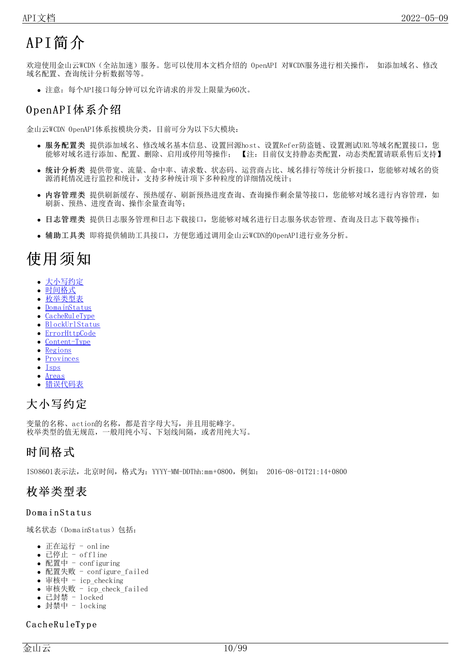# <span id="page-9-0"></span>API简介

欢迎使用金山云WCDN(全站加速)服务。您可以使用本文档介绍的 OpenAPI 对WCDN服务进行相关操作, 如添加域名、修改 域名配置、查询统计分析数据等等。

注意:每个API接口每分钟可以允许请求的并发上限量为60次。

### <span id="page-9-1"></span>O penAPI体系介绍

金山云WCDN OpenAPI体系按模块分类,目前可分为以下5大模块:

- <mark>服务配置类</mark> 提供添加域名、修改域名基本信息、设置回源host、设置Refer防盗链、设置测试URL等域名配置接口,您<br>- 能够对域名进行添加、配置、删除、启用或停用等操作; 【注: 目前仅支持静态类配置,动态类配置请联系售后支持】 【注: 目前仅支持静态类配置, 动态类配置请联系售后支持】
- 统计分析类 提供带宽、流量、命中率、请求数、状态码、运营商占比、域名排行等统计分析接口,您能够对域名的资 源消耗情况进行监控和统计,支持多种统计项下多种粒度的详细情况统计;
- 内容管理类 提供刷新缓存、预热缓存、刷新预热进度查询、查询操作剩余量等接口,您能够对域名进行内容管理, 如 刷新、预热、进度查询、操作余量查询等;
- 日志管理类 提供日志服务管理和日志下载接口,您能够对域名进行日志服务状态管理、查询及日志下载等操作;
- 辅助工具类 即将提供辅助工具接口,方便您通过调用金山云WCDN的OpenAPI进行业务分析。

# <span id="page-9-2"></span>使用须知

- [大小写约定](#page-9-3)  $\bullet$
- [时间格式](#page-9-4)  $\bullet$
- [枚举类型表](#page-9-5)
- [DomainStatus](#page-9-6) [CacheRuleType](#page-9-7)
- [BlockUrlStatus](#page-10-0)
- [ErrorHttpCode](#page-10-1)
- [Content-Type](#page-10-2)  $\bullet$
- [Regions](#page-11-0)  $\bullet$
- **[Provinces](#page-11-1)**  $\bullet$
- $\bullet$ [Isps](#page-11-2)
- [Areas](#page-11-3)  $\bullet$ [错误代码表](#page-12-0)

## <span id="page-9-3"></span>大小写约定

变量的名称、action的名称,都是首字母大写,并且用驼峰字。 枚举类型的值无规范,一般用纯小写、下划线间隔,或者用纯大写。

### <span id="page-9-4"></span>时间格式

ISO8601表示法,北京时间,格式为:YYYY-MM-DDThh:mm+0800,例如: 2016-08-01T21:14+0800

### <span id="page-9-5"></span>枚举类型表

#### <span id="page-9-6"></span>Domain Status

域名状态(DomainStatus)包括:

- 正在运行 online
- 已停止 offline
- 配置中 configuring
- 配置失败 configure\_failed
- 审核中 icp\_checking
- 审核失败 icp\_check\_failed
- 已封禁 locked
- 封禁中 locking

#### <span id="page-9-7"></span>CacheRuleType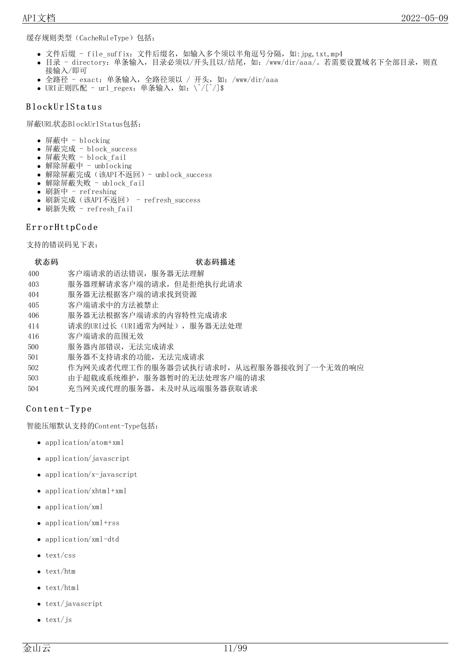缓存规则类型(CacheRuleType)包括:

- 文件后缀 file\_suffix: 文件后缀名, 如输入多个须以半角逗号分隔, 如:jpg,txt,mp4
- 目录 directory: 单条输入, 目录必须以/开头且以/结尾, 如: /www/dir/aaa/。若需要设置域名下全部目录, 则直 接输入/即可
- 全路径 exact: 单条输入,全路径须以 / 开头,如: /www/dir/aaa
- URI正则匹配 url\_regex: 单条输入,如: \^/[^/]\$

#### <span id="page-10-0"></span>B lo ck U r lSta tu s

屏蔽URL状态BlockUrlStatus包括:

- 屏蔽中  $b$ locking
- 屏蔽完成 block success
- 屏蔽失败 block fail
- 解除屏蔽中 unblocking
- 解除屏蔽完成(该API不返回)- unblock\_success
- 解除屏蔽失败 ublock fail
- 刷新中 refreshing
- 刷新完成(该API不返回) refresh\_success
- 刷新失败 refresh fail

#### <span id="page-10-1"></span>ErrorHttpCode

支持的错误码见下表:

#### 状态码 いっこう しゅうしょう おおやく 状态码描述

- 400 客户端请求的语法错误,服务器无法理解
- 403 服务器理解请求客户端的请求,但是拒绝执行此请求
- 404 服务器无法根据客户端的请求找到资源
- 405 客户端请求中的方法被禁止
- 406 服务器无法根据客户端请求的内容特性完成请求
- 414 请求的URI过长(URI通常为网址), 服务器无法处理
- 416 客户端请求的范围无效
- 500 服务器内部错误,无法完成请求
- 501 服务器不支持请求的功能,无法完成请求
- 502 作为网关或者代理工作的服务器尝试执行请求时,从远程服务器接收到了一个无效的响应
- 503 由于超载或系统维护,服务器暂时的无法处理客户端的请求
- 504 充当网关或代理的服务器,未及时从远端服务器获取请求

#### <span id="page-10-2"></span>Content-Type

智能压缩默认支持的Content-Type包括:

- application/atom+xml
- application/javascript
- $\bullet$  application/x-javascript
- application/xhtml+xml
- application/xml
- application/xml+rss
- application/xml-dtd
- $\bullet$  text/css
- text/htm
- text/html
- text/javascript
- text/js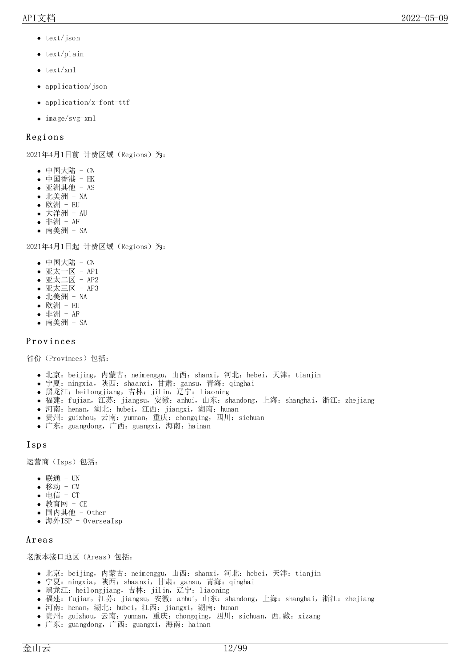- text/json
- text/plain
- $\bullet$  text/xml
- application/json
- application/x-font-ttf
- image/svg+xml

#### <span id="page-11-0"></span>**Regions**

2021年4月1日前 计费区域(Regions)为:

- $\bullet$  中国大陆 CN
- 中国香港 HK
- 亚洲其他 AS  $\bullet$
- 北美洲 NA  $\bullet$
- 欧洲 EU  $\bullet$
- 大洋洲 AU
- 非洲 AF 南美洲 - SA

2021年4月1日起 计费区域(Regions)为:

- 中国大陆 CN
- 亚太一区 AP1
- $$$ 亚太二区 AP2$
- 亚太三区 AP3
- 北美洲 NA  $\bullet$
- 欧洲 EU
- 非洲 AF  $\bullet$
- 南美洲 SA

#### <span id="page-11-1"></span>Provinces

省份(Provinces)包括:

- 北京: beijing, 内蒙古: neimenggu, 山西: shanxi, 河北: hebei, 天津: tianjin
- 宁夏: ningxia, 陕西: shaanxi, 甘肃: gansu, 青海: qinghai
- 黑龙江: heilongjiang, 吉林: jilin, 辽宁: liaoning
- 福建:fujian,江苏:jiangsu,安徽:anhui,山东:shandong,上海:shanghai,浙江:zhejiang
- 河南: henan, 湖北: hubei, 江西: jiangxi, 湖南: hunan
- 贵州: guizhou, 云南: yunnan, 重庆: chongqing, 四川: sichuan
- 广东: guangdong, 广西: guangxi, 海南: hainan

#### <span id="page-11-2"></span>Isp s

运营商(Isps)包括:

- 联通 UN
- 移动 CM
- 电信 CT
- 教育网 CE
- 国内其他 Other
- 海外ISP OverseaIsp

#### <span id="page-11-3"></span>A r ea s

老版本接口地区(Areas)包括:

- 北京: beijing, 内蒙古: neimenggu, 山西: shanxi, 河北: hebei, 天津: tianjin
- 宁夏: ningxia, 陕西: shaanxi, 甘肃: gansu, 青海: qinghai
- 黑龙江: heilongjiang, 吉林: jilin, 辽宁: liaoning
- 福建: fujian, 江苏: jiangsu, 安徽: anhui, 山东: shandong, 上海: shanghai, 浙江: zhejiang
- 河南: henan, 湖北: hubei, 江西: jiangxi, 湖南: hunan
- 贵州: guizhou, 云南: yunnan, 重庆: chongqing, 四川: sichuan, 西.藏: xizang
- 广东: guangdong, 广西: guangxi, 海南: hainan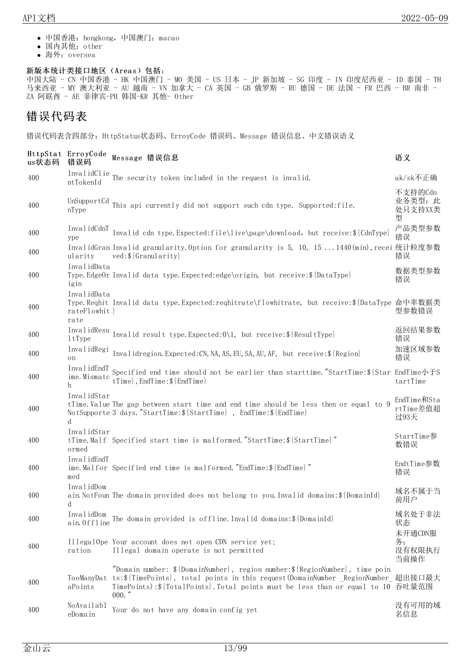- 中国香港:hongkong,中国澳门:macao
- 国内其他:other
- 海外:oversea

#### 新版本统计类接口地区(Areas)包括:

中国大陆 - CN 中国香港 - HK 中国澳门 - MO 美国 - US 日本 - JP 新加坡 - SG 印度 - IN 印度尼西亚 - ID 泰国 - TH 马来西亚 - MY 澳大利亚 - AU 越南 - VN 加拿大 - CA 英国 - GB 俄罗斯 - RU 德国 - DE 法国 - FR 巴西 - BR 南非 -ZA 阿联酋 - AE 菲律宾-PH 韩国-KR 其他- Other

### <span id="page-12-0"></span>错误代码表

错误代码表含四部分:HttpStatus状态码、ErroyCode 错误码、Message 错误信息、中文错误语义

| us状态码 | HttpStat ErroyCode<br>错误码            | Message 错误信息                                                                                                                                                                                                                                                                           | 语义                                 |
|-------|--------------------------------------|----------------------------------------------------------------------------------------------------------------------------------------------------------------------------------------------------------------------------------------------------------------------------------------|------------------------------------|
| 400   |                                      | InvalidClie The security token included in the request is invalid.                                                                                                                                                                                                                     | ak/sk不正确                           |
| 400   | UnSupportCd<br>nType                 | This api currently did not support such cdn type. Supported: file.                                                                                                                                                                                                                     | 不支持的Cdn<br>业务类型: 此<br>处只支持XX类<br>型 |
| 400   | InvalidCdnT<br>ype                   | Invalid cdn type.Expected:file\live\page\download, but receive:\${CdnType}                                                                                                                                                                                                             | 产品类型参数<br>错误                       |
| 400   | ularity                              | InvalidGran Invalid granularity. Option for granularity is 5, 10, 151440(min), recei 统计粒度参数<br>$ved:$ { $Granularity$ }                                                                                                                                                                | 错误                                 |
| 400   | InvalidData<br>igin                  | Type. EdgeOr Invalid data type. Expected: edge\origin, but receive: \${DataType}                                                                                                                                                                                                       | 数据类型参数<br>错误                       |
| 400   | InvalidData<br>rateFlowhit }<br>rate | Type.Reqhit Invalid data type.Expected:reqhitrate\flowhitrate, but receive:\${DataType 命中率数据类                                                                                                                                                                                          | 型参数错误                              |
| 400   | InvalidResu<br>1tType                | Invalid result type. Expected: 0\1, but receive: \${ResultType}                                                                                                                                                                                                                        | 返回结果参数<br>错误                       |
| 400   | InvalidRegi<br>on                    | Invalidregion. Expected: CN, NA, AS, EU, SA, AU, AF, but receive: \$ {Region}                                                                                                                                                                                                          | 加速区域参数<br>错误                       |
| 400   | ime. Mismatc<br>h                    | InvalidEndT<br>Specified end time should not be earlier than starttime."StartTime:\${Star EndTime: \FS<br>tTime}, EndTime: \$ {EndTime}                                                                                                                                                | tartTime                           |
| 400   | InvalidStar<br><sub>d</sub>          | tTime. Value The gap between start time and end time should be less then or equal to 9<br>NotSupporte 3 days."StartTime: \${StartTime}, EndTime: \${EndTime}                                                                                                                           | EndTime和Sta<br>rtTime差值超<br>过93天   |
| 400   | InvalidStar<br>ormed                 | tTime. Malf Specified start time is malformed. "StartTime: \${StartTime}"                                                                                                                                                                                                              | StartTime参<br>数错误                  |
| 400   | InvalidEndT<br>med                   | ime. Malfor Specified end time is malformed. "EndTime: \${EndTime}"                                                                                                                                                                                                                    | EndtTime参数<br>错误                   |
| 400   | InvalidDom<br><sub>d</sub>           | ain NotFoun The domain provided does not belong to you. Invalid domains: \$ {DomainId}                                                                                                                                                                                                 | 域名不属于当<br>前用户                      |
| 400   | InvalidDom<br>ain. Offline           | The domain provided is offline. Invalid domains: \$ {DomainId}                                                                                                                                                                                                                         | 域名处于非法<br>状态                       |
| 400   | ration                               | IllegalOpe Your account does not open CDN service yet;<br>Illegal domain operate is not permitted                                                                                                                                                                                      | 未开通CDN服<br>务;<br>没有权限执行<br>当前操作    |
| 400   | TooManyDat<br>aPoints                | "Domain number: $\{\text{DomainNumber}\}\$ , region number: $\{\text{RegionNumber}\}\$ , time poin<br>ts:\${TimePoints}, total points in this request(DomainNumber_RegionNumber 超出接口最大<br>TimePoints):\${TotalPoints}. Total points must be less than or equal to 10 吞吐量范围<br>$000.$ " |                                    |
| 400   | NoAvailabl<br>eDomain                | Your do not have any domain config yet                                                                                                                                                                                                                                                 | 没有可用的域<br>名信息                      |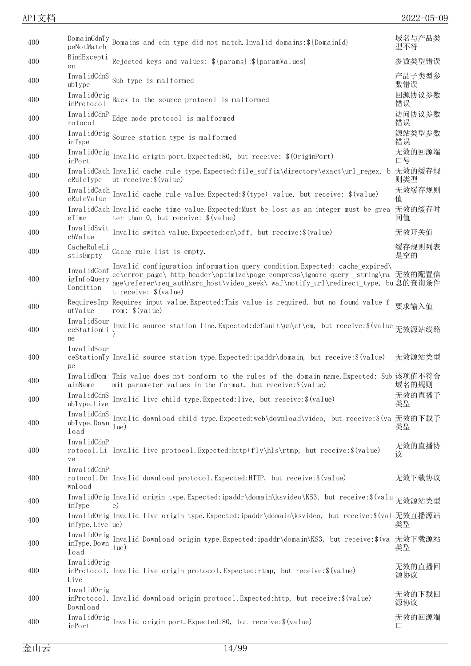| 400 | peNotMatch                              | $\underset{\mathbf{v}}{\text{Domain}} \text{CdnTy}$ Domains and cdn type did not match. Invalid domains: \$ {DomainId}                                                                                                                                                     | 域名与产品类<br>型不符 |
|-----|-----------------------------------------|----------------------------------------------------------------------------------------------------------------------------------------------------------------------------------------------------------------------------------------------------------------------------|---------------|
| 400 | BindExcepti<br>on                       | Rejected keys and values: $\{\gamma\}$ {params}; $\{\gamma\}$ {paramValues}                                                                                                                                                                                                | 参数类型错误        |
| 400 | InvalidCdnS<br>ubType                   | Sub type is malformed                                                                                                                                                                                                                                                      | 产品子类型参<br>数错误 |
| 400 | inProtocol                              | InvalidOrig Back to the source protocol is malformed                                                                                                                                                                                                                       | 回源协议参数<br>错误  |
| 400 | InvalidCdnP<br>rotocol                  | Edge node protocol is malformed                                                                                                                                                                                                                                            | 访问协议参数<br>错误  |
| 400 | inType                                  | InvalidOrig Source station type is malformed                                                                                                                                                                                                                               | 源站类型参数<br>错误  |
| 400 | InvalidOrig<br>inPort                   | Invalid origin port. Expected:80, but receive: \$(0riginPort)                                                                                                                                                                                                              | 无效的回源端<br>口号  |
| 400 | eRuleType                               | InvalidCach Invalid cache rule type. Expected:file_suffix\directory\exact\url_regex, b 无效的缓存规<br>ut receive: \$ (value)                                                                                                                                                    | 则类型           |
| 400 |                                         | InvalidCach Invalid cache rule value.Expected: \$(type) value, but receive: \$(value)                                                                                                                                                                                      | 无效缓存规则<br>值   |
| 400 | eTime                                   | InvalidCach Invalid cache time value. Expected: Must be lost as an integer must be grea<br>ter than 0, but receive: $$(value)$                                                                                                                                             | 无效的缓存时<br>间值  |
| 400 | InvalidSwit<br>chValue                  | Invalid switch value. Expected:on\off, but receive: \$ (value)                                                                                                                                                                                                             | 无效开关值         |
| 400 | CacheRuleLi<br>stIsEmpty                | Cache rule list is empty.                                                                                                                                                                                                                                                  | 缓存规则列表<br>是空的 |
| 400 | InvalidConf<br>igInfoQuery<br>Condition | Invalid configuration information query condition Expected: cache expired\<br>cc\error page\ http header\optimize\page_compress\ignore_query_string\ra 无效的配置信<br>nge\referer\req_auth\src_host\video_seek\ waf\notify_url\redirect_type, bu息的查询条件<br>t receive: $$(value)$ |               |
| 400 | utValue                                 | RequiresInp Requires input value. Expected: This value is required, but no found value f<br>rom: $$(value)$                                                                                                                                                                | 要求输入值         |
| 400 | InvalidSour<br>ceStationLi<br>ne        | Invalid source station line.Expected:default\un\ct\cm, but receive:\$(value 无效源站线路                                                                                                                                                                                         |               |
| 400 | InvalidSour<br>pe                       | ceStationTy Invalid source station type. Expected: ipaddr\domain, but receive: \$ (value)                                                                                                                                                                                  | 无效源站类型        |
| 400 | ainName                                 | InvalidDom This value does not conform to the rules of the domain name. Expected: Sub 该项值不符合<br>mit parameter values in the format, but receive: \$ (value)                                                                                                                | 域名的规则         |
| 400 | ubType. Live                            | InvalidCdnS Invalid live child type.Expected:live, but receive: \$(value)                                                                                                                                                                                                  | 无效的直播子<br>类型  |
| 400 | InvalidCdnS<br>ubType. Down<br>load     | Invalid download child type. Expected:web\download\video, but receive: \$(va 无效的下载子<br>$ ue\rangle$                                                                                                                                                                        | 类型            |
| 400 | InvalidCdnP<br>ve                       | rotocol. Li Invalid live protocol. Expected: http+flv\hls\rtmp, but receive: \$(value)                                                                                                                                                                                     | 无效的直播协<br>议   |
| 400 | InvalidCdnP<br>wnload                   | rotocol. Do Invalid download protocol. Expected: HTTP, but receive: \$ (value)                                                                                                                                                                                             | 无效下载协议        |
| 400 | inType                                  | InvalidOrig Invalid origin type.Expected:ipaddr\domain\ksvideo\KS3, but receive:\$(valu 无效源站类型<br>$_{\rm e}$ )                                                                                                                                                             |               |
| 400 | inType. Live ue)                        | InvalidOrig Invalid live origin type.Expected:ipaddr\domain\ksvideo, but receive:\$(val 无效直播源站                                                                                                                                                                             | 类型            |
| 400 | InvalidOrig<br>inType.Down<br>load      | Invalid Download origin type. Expected: ipaddr\domain\KS3, but receive: \$ (va 无效下载源站<br>1ue)                                                                                                                                                                              | 类型            |
| 400 | InvalidOrig<br>Live                     | inProtocol. Invalid live origin protocol. Expected: rtmp, but receive: \$ (value)                                                                                                                                                                                          | 无效的直播回<br>源协议 |
| 400 | InvalidOrig<br>Download                 | inProtocol. Invalid download origin protocol. Expected: http, but receive: \$ (value)                                                                                                                                                                                      | 无效的下载回<br>源协议 |
| 400 | InvalidOrig<br>inPort                   | Invalid origin port. Expected: 80, but receive: \$ (value)                                                                                                                                                                                                                 | 无效的回源端<br>口   |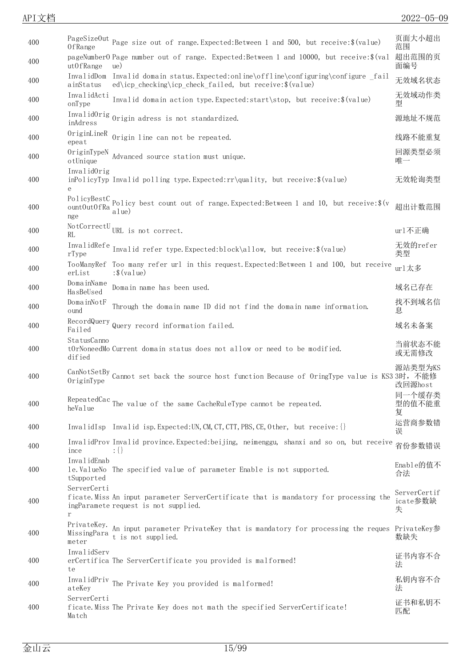| 400 | OfRange                             | PageSizeOut Page size out of range. Expected: Between 1 and 500, but receive: \$ (value)                                                           | 页面大小超出<br>范围                  |
|-----|-------------------------------------|----------------------------------------------------------------------------------------------------------------------------------------------------|-------------------------------|
| 400 | utOfRange                           | pageNumber0 Page number out of range. Expected: Between 1 and 10000, but receive: \$ (val<br>ue)                                                   | 超出范围的页<br>面编号                 |
| 400 | ainStatus                           | InvalidDom Invalid domain status. Expected: online\offline\configuring\configure fail<br>ed\icp_checking\icp_check_failed, but receive: \$ (value) | 无效域名状态                        |
| 400 | InvalidActi<br>onType               | Invalid domain action type. Expected: start\stop, but receive: \$(value)                                                                           | 无效域动作类<br>型                   |
| 400 | inAdress                            | InvalidOrig Origin adress is not standardized.                                                                                                     | 源地址不规范                        |
| 400 | OriginLineR<br>epeat                | Origin line can not be repeated.                                                                                                                   | 线路不能重复                        |
| 400 | OriginTypeN<br>otUnique             | Advanced source station must unique.                                                                                                               | 回源类型必须<br>唯一                  |
| 400 | InvalidOrig<br>$\mathbf{e}$         | inPolicyTyp Invalid polling type. Expected:rr\quality, but receive:\$(value)                                                                       | 无效轮询类型                        |
| 400 | ount0ut0fRa<br>nge                  | PolicyBestC Policy best count out of range. Expected: Between 1 and 10, but receive: \$(v<br>a1ue                                                  | 超出计数范围                        |
| 400 | RL.                                 | NotCorrectU <sub>URL</sub> is not correct.                                                                                                         | url不正确                        |
| 400 | rType                               | InvalidRefe Invalid refer type.Expected:block\allow, but receive: \$(value)                                                                        | 无效的refer<br>类型                |
| 400 | erList                              | TooManyRef Too many refer url in this request. Expected: Between 1 and 100, but receive<br>$:$ \$ (value)                                          | url太多                         |
| 400 | DomainName<br>HasBeUsed             | Domain name has been used.                                                                                                                         | 域名己存在                         |
| 400 | DomainNotF<br>ound                  | Through the domain name ID did not find the domain name information.                                                                               | 找不到域名信<br>息                   |
| 400 | Failed                              | RecordQuery Query record information failed.                                                                                                       | 域名未备案                         |
| 400 | StatusCanno<br>dified               | tOrNoneedMo Current domain status does not allow or need to be modified.                                                                           | 当前状态不能<br>或无需修改               |
| 400 | OriginType                          | CanNotSetBy Cannot set back the source host function Because of OringType value is KS3 3时,不能修                                                      | 源站类型为KS<br>改回源host            |
| 400 | heValue                             | RepeatedCac The value of the same CacheRuleType cannot be repeated.                                                                                | 同一个缓存类<br>型的值不能重<br>复         |
| 400 |                                     | [1] InvalidIsp Invalid isp. Expected: UN, CM, CT, CTT, PBS, CE, Other, but receive: {}                                                             | 运营商参数错<br>误                   |
| 400 | ince                                | InvalidProv Invalid province. Expected: beijing, neimenggu, shanxi and so on, but receive<br>$: \{\}$                                              | 省份参数错误                        |
| 400 | InvalidEnab<br>tSupported           | le. ValueNo The specified value of parameter Enable is not supported.                                                                              | Enable的值不<br>合法               |
| 400 | ServerCerti<br>r                    | ficate. Miss An input parameter ServerCertificate that is mandatory for processing the<br>ingParamete request is not supplied.                     | ServerCertif<br>icate参数缺<br>失 |
| 400 | PrivateKey.<br>MissingPara<br>meter | An input parameter PrivateKey that is mandatory for processing the reques PrivateKey参<br>t is not supplied.                                        | 数缺失                           |
| 400 | InvalidServ<br>te                   | erCertifica The ServerCertificate you provided is malformed!                                                                                       | 证书内容不合<br>法                   |
| 400 | InvalidPriv<br>ateKey               | The Private Key you provided is malformed!                                                                                                         | 私钥内容不合<br>法                   |
| 400 | ServerCerti<br>Match                | ficate. Miss The Private Key does not math the specified ServerCertificate!                                                                        | 证书和私钥不<br>匹配                  |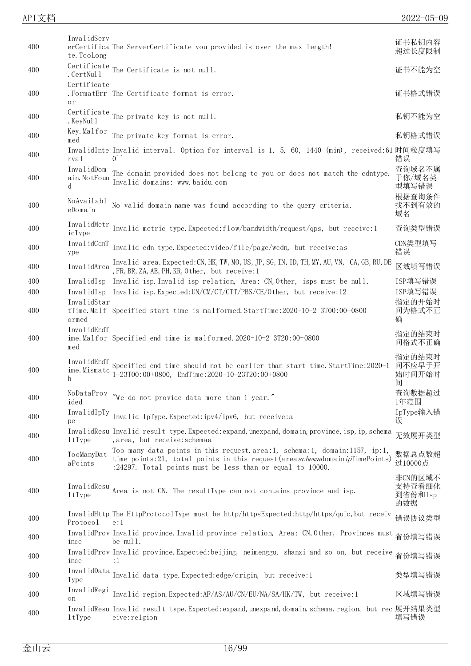| ,<br>` | NZ. |
|--------|-----|
|        |     |

| 400 | InvalidServ<br>te. TooLong       | erCertifica The ServerCertificate you provided is over the max length!                                                                                                                                                     | 证书私钥内容<br>超过长度限制                    |
|-----|----------------------------------|----------------------------------------------------------------------------------------------------------------------------------------------------------------------------------------------------------------------------|-------------------------------------|
| 400 | . CertNul 1                      | Certificate The Certificate is not null.                                                                                                                                                                                   | 证书不能为空                              |
| 400 | Certificate<br>or                | . FormatErr The Certificate format is error.                                                                                                                                                                               | 证书格式错误                              |
| 400 | . KeyNul 1                       | Certificate The private key is not null.                                                                                                                                                                                   | 私钥不能为空                              |
| 400 | Key.Malfor<br>med                | The private key format is error.                                                                                                                                                                                           | 私钥格式错误                              |
| 400 | rval                             | InvalidInte Invalid interval. Option for interval is 1, 5, 60, 1440 (min), received:61 时间粒度填写<br>$\overline{0}$                                                                                                            | 错误                                  |
| 400 | InvalidDom<br>ain. NotFoun<br>d  | The domain provided does not belong to you or does not match the cdntype.<br>Invalid domains: www.baidu.com                                                                                                                | 查询域名不属<br>于你/域名类<br>型填写错误           |
| 400 | NoAvailabl<br>eDomain            | No valid domain name was found according to the query criteria.                                                                                                                                                            | 根据查询条件<br>找不到有效的<br>域名              |
| 400 | InvalidMetr<br>icType            | Invalid metric type. Expected: flow/bandwidth/request/qps, but receive: 1                                                                                                                                                  | 查询类型错误                              |
| 400 | InvalidCdnT<br>ype               | Invalid cdn type. Expected: video/file/page/wcdn, but receive: as                                                                                                                                                          | CDN类型填写<br>错误                       |
| 400 | InvalidArea                      | Invalid area. Expected: CN, HK, TW, MO, US, JP, SG, IN, ID, TH, MY, AU, VN, CA, GB, RU, DE<br>, FR, BR, ZA, AE, PH, KR, Other, but receive: 1                                                                              | 区域填写错误                              |
| 400 |                                  | InvalidIsp Invalid isp. Invalid isp relation, Area: CN, Other, isps must be null.                                                                                                                                          | ISP填写错误                             |
| 400 |                                  | InvalidIsp Invalid isp.Expected:UN/CM/CT/CTT/PBS/CE/Other, but receive:12                                                                                                                                                  | ISP填写错误                             |
| 400 | InvalidStar<br>ormed             | tTime. Malf Specified start time is malformed. StartTime:2020-10-2 3T00:00+0800                                                                                                                                            | 指定的开始时<br>间为格式不正<br>确               |
|     |                                  |                                                                                                                                                                                                                            |                                     |
| 400 | InvalidEndT<br>med               | ime. Malfor Specified end time is malformed. 2020-10-2 3T20:00+0800                                                                                                                                                        | 指定的结束时<br>间格式不正确                    |
| 400 | InvalidEndT<br>ime. Mismatc<br>h | Specified end time should not be earlier than start time. StartTime:2020-1<br>$1-23T00:00+0800$ , EndTime: $2020-10-23T20:00+0800$                                                                                         | 指定的结束时<br>间不应早于开<br>始时间开始时<br>间     |
| 400 | ided                             | NoDataProv "We do not provide data more than 1 year."                                                                                                                                                                      | 查询数据超过<br>1年范围                      |
| 400 | pe                               | InvalidIpTy Invalid IpType.Expected:ipv4/ipv6, but receive:a                                                                                                                                                               | IpType输入错<br>误                      |
| 400 | 1tType                           | InvalidResu Invalid result type. Expected: expand, unexpand, domain, province, isp, ip, schema<br>, area, but receive: schemaa                                                                                             | 无效展开类型                              |
| 400 | TooManyDat<br>aPoints            | Too many data points in this request. area: 1, schema: 1, domain: 1157, ip: 1,<br>time points:21, total points in this request (areaschemadomainipTimePoints)<br>:24297. Total points must be less than or equal to 10000. | 数据总点数超<br>过10000点                   |
| 400 | InvalidResu<br>1tType            | Area is not CN. The resultType can not contains province and isp.                                                                                                                                                          | 非CN的区域不<br>支持查看细化<br>到省份和Isp<br>的数据 |
| 400 | Protocol                         | InvalidHttp The HttpProtocolType must be http/httpsExpected:http/https/quic,but receiv<br>e:1                                                                                                                              | 错误协议类型                              |
| 400 | ince                             | InvalidProv Invalid province. Invalid province relation, Area: CN, Other, Provinces must<br>be null.                                                                                                                       | 省份填写错误                              |
| 400 | ince                             | InvalidProv Invalid province. Expected: beijing, neimenggu, shanxi and so on, but receive<br>$\colon$ 1                                                                                                                    | 省份填写错误                              |
| 400 | InvalidData<br>Type              | Invalid data type. Expected: edge/origin, but receive: 1                                                                                                                                                                   | 类型填写错误                              |
| 400 | InvalidRegi<br>on                | Invalid region. Expected: AF/AS/AU/CN/EU/NA/SA/HK/TW, but receive: 1                                                                                                                                                       | 区域填写错误                              |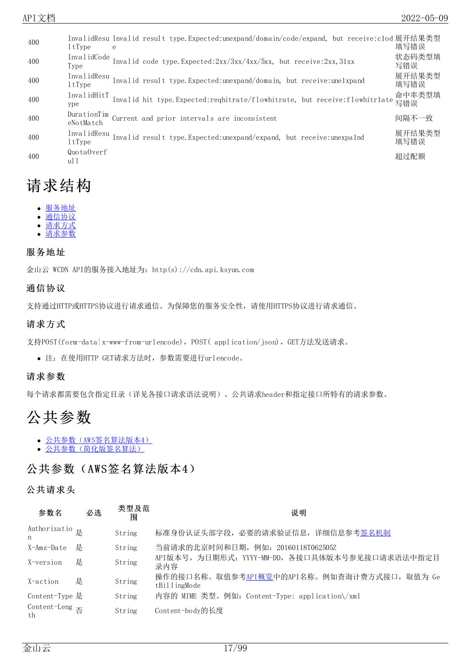| 400 | 1tType                   | InvalidResu Invalid result type.Expected:unexpand/domain/code/expand, but receive:clod展开结果类型<br>e | 填写错误           |
|-----|--------------------------|---------------------------------------------------------------------------------------------------|----------------|
| 400 | InvalidCode<br>Type      | Invalid code type.Expected:2xx/3xx/4xx/5xx, but receive:2xx, 31xx                                 | 状态码类型填<br>写错误  |
| 400 | InvalidResu<br>1tType    | Invalid result type. Expected: unexpand/domain, but receive: unelxpand                            | 展开结果类型<br>填写错误 |
| 400 | InvalidHitT<br>ype       | Invalid hit type. Expected:reqhitrate/flowhitrate, but receive:flowhitrlate 背错误                   | 命中率类型填         |
| 400 | DurationTim<br>eNotMatch | Current and prior intervals are inconsistent                                                      | 间隔不一致          |
| 400 | InvalidResu<br>1tType    | Invalid result type. Expected: unexpand/expand, but receive: unexpalnd                            | 展开结果类型<br>填写错误 |
| 400 | QuotaOverf<br>ul 1       |                                                                                                   | 超过配额           |

# <span id="page-16-0"></span>请求结构

- [服务地址](#page-9-3)
- [通信协议](#page-9-4)
- [请求方式](#page-9-5) [请求参数](#page-12-0)

#### <span id="page-16-1"></span>服务地址

金山云 WCDN API的服务接入地址为:http(s)://cdn.api.ksyun.com

#### <span id="page-16-2"></span>通信协议

支持通过HTTP或HTTPS协议进行请求通信。为保障您的服务安全性,请使用HTTPS协议进行请求通信。

#### <span id="page-16-3"></span>请求方式

支持POST(form-data|x-www-from-urlencode), POST( application/json), GET方法发送请求。

注:在使用HTTP GET请求方法时,参数需要进行urlencode。

#### <span id="page-16-4"></span>请求参数

每个请求都需要包含指定目录(详见各接口请求语法说明)、公共请求header和指定接口所特有的请求参数。

# <span id="page-16-5"></span>公共参数

- [公共参数\(AWS签名算法版本4\)](#page-9-3)
- [公共参数\(简化版签名算法\)](#page-9-4)

### <span id="page-16-6"></span>公共参数(AWS签名算法版本4)

#### <span id="page-16-7"></span>公共请求头

| 参数名                               | 必选 | 类型及范<br>闱 | 说明                                                         |
|-----------------------------------|----|-----------|------------------------------------------------------------|
| Authorizatio <sub>是</sub><br>n    |    | String    | 标准身份认证头部字段, 必要的请求验证信息, 详细信息参考签名机制                          |
| X-Amz-Date                        | 是  | String    | 当前请求的北京时间和日期, 例如: 20160118T062505Z                         |
| X-version                         | 是  | String    | API版本号,为日期形式: YYYY-MM-DD,各接口具体版本号参见接口请求语法中指定目<br>录内容       |
| X-action                          | 是  | String    | 操作的接口名称。取值参考API概览中的API名称。例如查询计费方式接口,取值为 Ge<br>tBillingMode |
| Content-Type 是                    |    | String    | 内容的 MIME 类型。例如: Content-Type: application\/xml             |
| Content-Leng $\overline{A}$<br>th |    | String    | Content-body的长度                                            |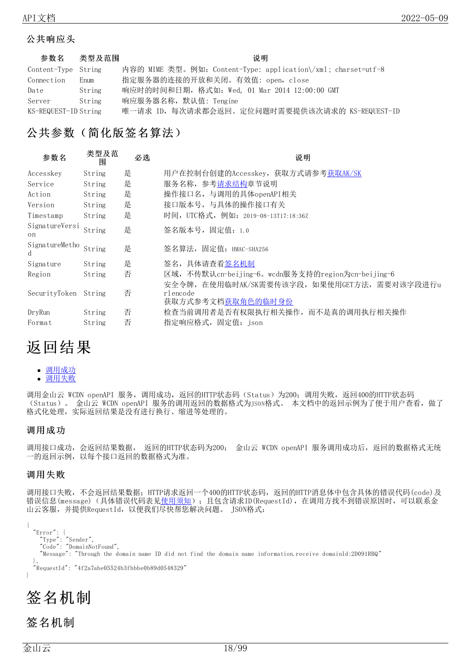#### <span id="page-17-0"></span>公共响应头

| 参数名                  | 类型及范围  | 说明                                                            |
|----------------------|--------|---------------------------------------------------------------|
| Content-Type String  |        | 内容的 MIME 类型。例如: Content-Type: application\/xml; charset=utf-8 |
| Connection           | Enum   | 指定服务器的连接的开放和关闭。有效值: open, close                               |
| Date                 | String | 响应时的时间和日期, 格式如: Wed, 01 Mar 2014 12:00:00 GMT                 |
| Server               | String | 响应服务器名称, 默认值: Tengine                                         |
| KS-REQUEST-ID String |        | 唯一请求 ID, 每次请求都会返回。定位问题时需要提供该次请求的 KS-REQUEST-ID                |

## <span id="page-17-1"></span>公共参数(简化版签名算法)

| 参数名                  | 类型及范<br>围 | 必选 | 说明                                                                                             |
|----------------------|-----------|----|------------------------------------------------------------------------------------------------|
| Accesskey            | String    | 是  | 用户在控制台创建的Accesskey, 获取方式请参考获取AK/SK                                                             |
| Service              | String    | 是  | 服务名称, 参考 <u>请求结构</u> 章节说明                                                                      |
| Action               | String    | 是  | 操作接口名, 与调用的具体openAPI相关                                                                         |
| Version              | String    | 是  | 接口版本号, 与具体的操作接口有关                                                                              |
| Timestamp            | String    | 是  | 时间,UTC格式,例如: 2019-08-13T17:18:36Z                                                              |
| SignatureVersi<br>on | String    | 是  | 签名版本号,固定值: 1.0                                                                                 |
| SignatureMetho<br>d  | String    | 是  | 签名算法,固定值: HMAC-SHA256                                                                          |
| Signature            | String    | 是  | 签名,具体请查看签名机制                                                                                   |
| Region               | String    | 否  | 区域, 不传默认cn-beijing-6。wcdn服务支持的region为cn-beijing-6<br>安全令牌,在使用临时AK/SK需要传该字段,如果使用GET方法,需要对该字段进行u |
| SecurityToken        | String    | 否  | rlencode<br>获取方式参考文档获取角色的临时身份                                                                  |
| DryRun               | String    | 否  | 检查当前调用者是否有权限执行相关操作, 而不是真的调用执行相关操作                                                              |
| Format               | String    | 否  | 指定响应格式, 固定值: json                                                                              |

# <span id="page-17-2"></span>返回结果

• [调用成功](#page-9-3)

[调用失败](#page-9-4)

调用金山云 WCDN openAPI 服务,调用成功,返回的HTTP状态码 (Status)为200;调用失败,返回400的HTTP状态码 (Status)。 金山云 WCDN openAPI 服务的调用返回的数据格式为JSON格式。 本文档中的返回示例为了便于用户查看,做了 格式化处理,实际返回结果是没有进行换行、缩进等处理的。

#### <span id="page-17-3"></span>调用成功

调用接口成功,会返回结果数据, 返回的HTTP状态码为200; 金山云 WCDN openAPI 服务调用成功后,返回的数据格式无统 一的返回示例,以每个接口返回的数据格式为准。

#### <span id="page-17-4"></span>调用失败

调用接口失败,不会返回结果数据;HTTP请求返回一个400的HTTP状态码,返回的HTTP消息体中包含具体的错误代码(code)及 错误信息(message)(具体错误代码表[见使用须知](https://docs.ksyun.com/documents/41619#4));且包含请求ID(RequestId), 在调用方找不到错误原因时, 可以联系金 山云客服,并提供RequestId,以便我们尽快帮您解决问题。 JSON格式:

{ "Error": { "Type": "Sender", "Code": "DomainNotFound", "Message": "Through the domain name ID did not find the domain name information.receive domainId:2D091RBQ" }, "RequestId": "4f2a7abe05524b3fbbbe0b89d0548329" }

# <span id="page-17-5"></span>签名机制

<span id="page-17-6"></span>签名机制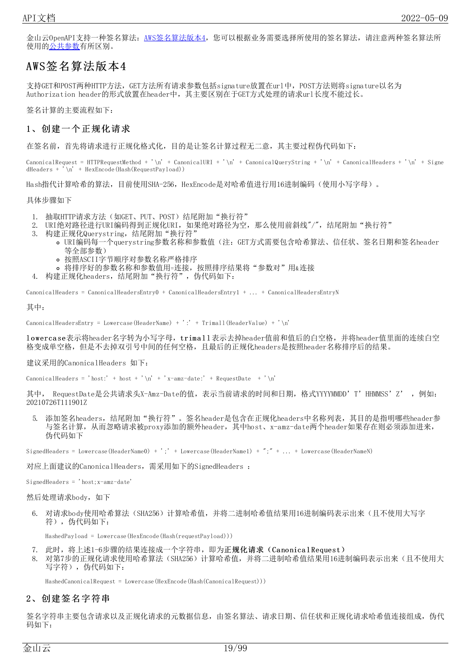金山云OpenAPI支持一种签名算法: AWS签名算法版本4,您可以根据业务需要选择所使用的签名算法,请注意两种签名算法所 使用[的公共参数](https://docs.ksyun.com/documents/41621)有所区别。

### <span id="page-18-0"></span>AWS签名算法版本4

支持GET和POST两种HTTP方法,GET方法所有请求参数包括signature放置在url中,POST方法则将signature以名为 Authorization header的形式放置在header中,其主要区别在于GET方式处理的请求url长度不能过长。

签名计算的主要流程如下:

#### <span id="page-18-1"></span>1、创建一个正规化请求

在签名前,首先将请求进行正规化格式化,目的是让签名计算过程无二意,其主要过程伪代码如下:

 $\text{ChannelRequest} = \text{HTTPRequestMethod} + \\\text{'\n' + \text{CannonicalURL} + \\\text{'\n' + \text{CannonicalQueryString} + \\\text{'\n' + \text{CanonicalHeaderS} + \\\text{'\n' + \text{Signe}}$  $dHeaders + \hat{i} \nightharpoonup \hat{H}$  + HexEncode (Hash(RequestPayload))

Hash指代计算哈希的算法,目前使用SHA-256,HexEncode是对哈希值进行用16进制编码(使用小写字母)。

具体步骤如下

- 1. 抽取HTTP请求方法(如GET、PUT、POST)结尾附加"换行符"
- 2. URI绝对路径进行URI编码得到正规化URI, 如果绝对路径为空, 那么使用前斜线"/", 结尾附加"换行符"
- 3. 构建正规化Querystring,结尾附加"换行符"
	- URI编码每一个querystring参数名称和参数值(注:GET方式需要包含哈希算法、信任状、签名日期和签名header 等全部参数)
		- 按照ASCII字节顺序对参数名称严格排序
	- 将排序好的参数名称和参数值用=连接, 按照排序结果将"参数对"用&连接
- 4. 构建正规化headers, 结尾附加"换行符", 伪代码如下:

CanonicalHeaders = CanonicalHeadersEntry0 + CanonicalHeadersEntry1 + ... + CanonicalHeadersEntryN

其中:

CanonicalHeadersEntry = Lowercase(HeaderName) + ':' + Trimall(HeaderValue) + '\n'

lowerca se表示将header名字转为小写字母, trima l l 表示去掉header值前和值后的白空格, 并将header值里面的连续白空 格变成单空格,但是不去掉双引号中间的任何空格,且最后的正规化headers是按照header名称排序后的结果。

建议采用的CanonicalHeaders 如下:

CanonicalHeaders = 'host:' + host + '\n' + 'x-amz-date:' + RequestDate + '\n'

其中, RequestDate是公共请求头X-Amz-Date的值,表示当前请求的时间和日期,格式YYYYMMDD'T'HHMMSS'Z', 例如: 20210726T111901Z

5. 添加签名headers,结尾附加"换行符"。签名header是包含在正规化headers中名称列表,其目的是指明哪些header参 与签名计算,从而忽略请求被proxy添加的额外header,其中host、x-amz-date两个header如果存在则必须添加进来, 伪代码如下

SignedHeaders = Lowercase(HeaderName0) + ';' + Lowercase(HeaderName1) + ";" + ... + Lowercase(HeaderNameN)

对应上面建议的CanonicalHeaders,需采用如下的SignedHeaders :

SignedHeaders = 'host;x-amz-date'

然后处理请求body, 如下

6. 对请求body使用哈希算法 (SHA256) 计算哈希值,并将二进制哈希值结果用16进制编码表示出来 (且不使用大写字 符), 伪代码如下:

HashedPayload = Lowercase(HexEncode(Hash(requestPayload)))

- 7. 此时,将上述1-6步骤的结果连接成一个字符串,即为正规化请求(Canonical Request)
- 8. 对第7步的正规化请求使用哈希算法(SHA256)计算哈希值,并将二进制哈希值结果用16进制编码表示出来(且不使用大 写字符), 伪代码如下:

HashedCanonicalRequest = Lowercase(HexEncode(Hash(CanonicalRequest)))

#### <span id="page-18-2"></span>2、创建签名字符串

签名字符串主要包含请求以及正规化请求的元数据信息,由签名算法、请求日期、信任状和正规化请求哈希值连接组成,伪代 码如下: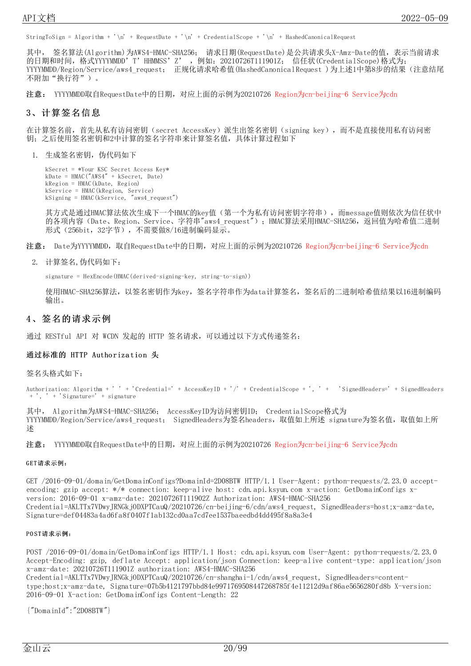StringToSign = Algorithm + '\n' + RequestDate + '\n' + CredentialScope + '\n' + HashedCanonicalRequest

其中, 签名算法(Algorithm)为AWS4-HMAC-SHA256; 请求日期(RequestDate)是公共请求头X-Amz-Date的值,表示当前请求 的日期和时间,格式YYYYMMDD'T'HHMMSS'Z' ,例如:20210726T111901Z; 信任状(CredentialScope)格式为; YYYYMMDD/Region/Service/aws4\_request; 正规化请求哈希值(HashedCanonicalRequest )为上述1中第8步的结果(注意结尾 不附加"换行符")。

注意: YYYYMMDD取自RequestDate中的日期,对应上面的示例为20210726 Region为cn-beijing-6 Service为cdn

#### <span id="page-19-0"></span>3、计算签名信息

在计算签名前,首先从私有访问密钥(secret AccessKey)派生出签名密钥(signing key),而不是直接使用私有访问密 钥;之后使用签名密钥和2中计算的签名字符串来计算签名值,具体计算过程如下

1. 生成签名密钥, 伪代码如下

```
kSecret = *Your KSC Secret Access Key*
kDate = HMAC("AWS4" + kSecret, Date)
kRegion = HMAC(kDate, Region)
kService = HMAC(kRegion, Service)
kSigning = HMAC(kService, "aws4_request")
```
其方式是通过HMAC算法依次生成下一个HMAC的key值(第一个为私有访问密钥字符串),而message值则依次为信任状中 的各项内容(Date、Region、Service、字符串"aws4\_request");HMAC算法采用HMAC-SHA256,返回值为哈希值二进制 形式(256bit,32字节),不需要做8/16进制编码显示。

- 注意: Date为YYYYMMDD,取自RequestDate中的日期,对应上面的示例为20210726 Region为cn-beijing-6 Service为cdn
	- 2. 计算签名,伪代码如下:

signature = HexEncode(HMAC(derived-signing-key, string-to-sign))

使用HMAC-SHA256算法,以签名密钥作为kev, 签名字符串作为data计算签名, 签名后的二进制哈希值结果以16进制编码 输出。

#### <span id="page-19-1"></span>4、签名的请求示例

通过 RESTful API 对 WCDN 发起的 HTTP 签名请求, 可以通过以下方式传递签名:

#### <span id="page-19-2"></span>通过标准的 HTTP Authorization 头

签名头格式如下:

Authorization: Algorithm + ' ' + 'Credential=' + AccessKeyID + '/' + CredentialScope + ', ' + 'SignedHeaders=' + SignedHeaders + 'Signature=' + signature

其中, Algorithm为AWS4-HMAC-SHA256; AccessKeyID为访问密钥ID; CredentialScope格式为 YYYYMMDD/Region/Service/aws4\_request; SignedHeaders为签名headers,取值如上所述 signature为签名值,取值如上所 述

注意: YYYYMMDD取自RequestDate中的日期, 对应上面的示例为20210726 Region为cn-beijing-6 Service为cdn

#### <span id="page-19-3"></span>GET请求示例:

GET /2016-09-01/domain/GetDomainConfigs?DomainId=2D08BTW HTTP/1.1 User-Agent: python-requests/2.23.0 acceptencoding: gzip accept: \*/\* connection: keep-alive host: cdn.api.ksyun.com x-action: GetDomainConfigs xversion: 2016-09-01 x-amz-date: 20210726T111902Z Authorization: AWS4-HMAC-SHA256 Credential=AKLTTx7VDwyJRNGkjODXPTCauQ/20210726/cn-beijing-6/cdn/aws4\_request, SignedHeaders=host;x-amz-date, Signature=def04483a4ad6fa8f0407f1ab132cd0aa7cd7ee1537baeedbd4dd495f8a8a3e4

#### <span id="page-19-4"></span>PO ST请求示例:

POST /2016-09-01/domain/GetDomainConfigs HTTP/1.1 Host: cdn.api.ksyun.com User-Agent: python-requests/2.23.0 Accept-Encoding: gzip, deflate Accept: application/json Connection: keep-alive content-type: application/json x-amz-date: 20210726T111901Z authorization: AWS4-HMAC-SHA256 Credential=AKLTTx7VDwyJRNGkjODXPTCauQ/20210726/cn-shanghai-1/cdn/aws4\_request, SignedHeaders=contenttype;host;x-amz-date, Signature=07b5b4121797bbd84e9971769508447268785f4e11212d9af86ae5656280fd8b X-version: 2016-09-01 X-action: GetDomainConfigs Content-Length: 22

{"DomainId":"2D08BTW"}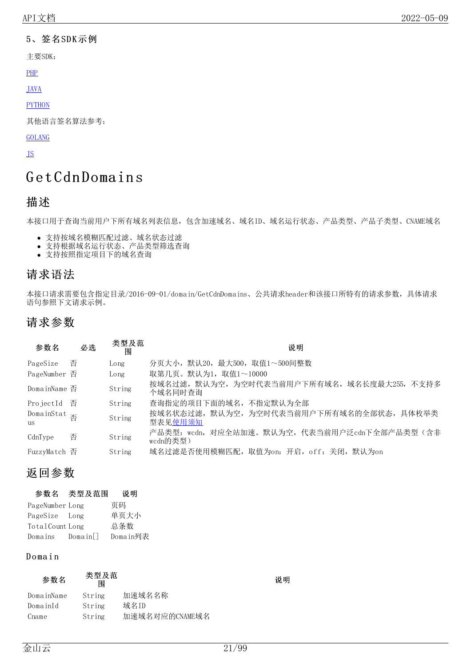#### <span id="page-20-0"></span>5、签名SDK示例

主要SDK:

[PHP](https://github.com/KscSDK/ksc-sdk-php/blob/master/examples/demo_cdn.php)

[JAVA](https://github.com/KscSDK/ksc-sdk-java)

**[PYTHON](https://github.com/KscSDK/ksc-sdk-python/blob/master/examples/cdn.py)** 

其他语言签名算法参考:

#### [GOLANG](https://github.com/aws/aws-sdk-go/blob/master/aws/signer/v4/v4.go)

[JS](https://github.com/aws/aws-sdk-js/blob/master/lib/signers/v4.js)

# <span id="page-20-1"></span>G et Cdn Domain s

### <span id="page-20-2"></span>描述

本接口用于查询当前用户下所有域名列表信息,包含加速域名、域名ID、域名运行状态、产品类型、产品子类型、CNAME域名

- 支持按域名模糊匹配过滤、域名状态过滤
- 支持根据域名运行状态、产品类型筛选查询
- 支持按照指定项目下的域名查询

### <span id="page-20-3"></span>请求语法

本接口请求需要包含指定目录/2016-09-01/domain/GetCdnDomains、公共请求header和该接口所特有的请求参数,具体请求 语句参照下文请求示例。

## <span id="page-20-4"></span>请求参数

| 参数名                               | 必选 | 类型及范<br>围 | 说明                                                        |
|-----------------------------------|----|-----------|-----------------------------------------------------------|
| PageSize                          | 否  | Long      | 分页大小,默认20,最大500,取值1~500间整数                                |
| PageNumber 否                      |    | Long      | 取第几页。默认为1,取值1~10000                                       |
| DomainName 否                      |    | String    | 按域名过滤, 默认为空, 为空时代表当前用户下所有域名, 域名长度最大255, 不支持多<br>个域名同时杳询   |
| ProjectId 否                       |    | String    | 查询指定的项目下面的域名, 不指定默认为全部                                    |
| DomainStat $\frac{\pi}{2}$<br>11S |    | String    | 按域名状态过滤,默认为空,为空时代表当前用户下所有域名的全部状态,具体枚举类<br>型表见使用须知         |
| CdnType                           | 否  | String    | 产品类型: wcdn, 对应全站加速。默认为空, 代表当前用户泛cdn下全部产品类型(含非<br>wcdn的类型) |
| FuzzyMatch 否                      |    | String    | 域名过滤是否使用模糊匹配,取值为on: 开启,off: 关闭,默认为on                      |

## <span id="page-20-5"></span>返回参数

| 参数名 | 类型及范围 | 说明 |
|-----|-------|----|
|-----|-------|----|

| PageNumber Long |        | 页码       |
|-----------------|--------|----------|
| PageSize Long   |        | 单页大小     |
| TotalCount Long |        | 总条数      |
| Domains         | Domain | Domain列表 |

#### <span id="page-20-6"></span>D o ma i n

| 参数名        | 类型及范<br>闱 |                |
|------------|-----------|----------------|
| DomainName | String    | 加速域名名称         |
| DomainId   | String    | 域名ID           |
| Cname      | String    | 加速域名对应的CNAME域名 |

说明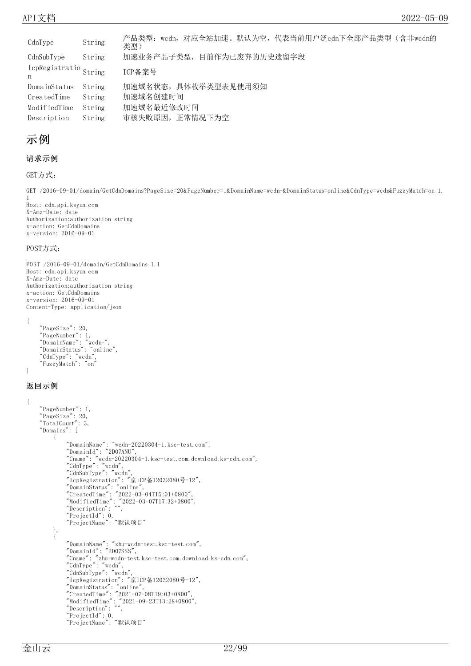| CdnType                     | String | 产品类型:wcdn,对应全站加速。默认为空,代表当前用户泛cdn下全部产品类型(含非wcdn的<br>类型) |
|-----------------------------|--------|--------------------------------------------------------|
| CdnSubType                  | String | 加速业务产品子类型,目前作为已废弃的历史遗留字段                               |
| IcpRegistratio String<br>n, |        | ICP备案号                                                 |
| DomainStatus                | String | 加速域名状态, 具体枚举类型表见使用须知                                   |
| CreatedTime                 | String | 加速域名创建时间                                               |
| ModifiedTime                | String | 加速域名最近修改时间                                             |
| Description                 | String | 审核失败原因, 正常情况下为空                                        |

### <span id="page-21-0"></span>示例

#### 请求示例

```
GET方式:
```
GET /2016-09-01/domain/GetCdnDomains?PageSize=20&PageNumber=1&DomainName=wcdn-&DomainStatus=online&CdnType=wcdn&FuzzyMatch=on 1. 1

Host: cdn.api.ksyun.com X-Amz-Date: date Authorization:authorization string x-action: GetCdnDomains x-version: 2016-09-01

#### POST方式:

POST /2016-09-01/domain/GetCdnDomains 1.1 Host: cdn.api.ksyun.com X-Amz-Date: date Authorization:authorization string x-action: GetCdnDomains x-version: 2016-09-01 Content-Type: application/json

```
"PageSize": 20,
"PageNumber": 1,
"DomainName": "wcdn-",
"DomainStatus": "online",
"CdnType": "wcdn",
"FuzzyMatch": "on"
```
#### 返回示例

{

}

```
{
   "PageNumber": 1,
    "PageSize": 20,
    "TotalCount": 3,
   "Domains": [
        {
            "DomainName": "wcdn-20220304-1.ksc-test.com",
            "DomainId": "2D07ANU",
            "Cname": "wcdn-20220304-1.ksc-test.com.download.ks-cdn.com",
            "CdnType": "wcdn",
            "CdnSubType": "wcdn",
            "IcpRegistration": "京ICP备12032080号-12",
            "DomainStatus": "online",
            "CreatedTime": "2022-03-04T15:01+0800",
            "ModifiedTime": "2022-03-07T17:32+0800",
            "Description": "",
            "ProjectId": 0,
            "ProjectName": "默认项目"
       },
        {
            "DomainName": "zhu-wcdn-test.ksc-test.com",
            "DomainId": "2D07SSS",
            "Cname": "zhu-wcdn-test.ksc-test.com.download.ks-cdn.com",
            "CdnType": "wcdn",
            "CdnSubType": "wcdn",
            "IcpRegistration": "京ICP备12032080号-12",
            "DomainStatus": "online",
            "CreatedTime": "2021-07-08T19:03+0800",
            "ModifiedTime": "2021-09-23T13:28+0800",
            "Description": "",
            "ProjectId": 0,
            "ProjectName": "默认项目"
```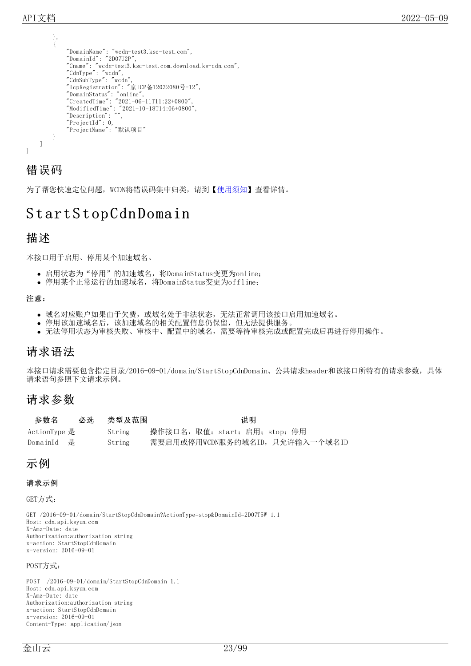},

```
{
        "DomainName": "wcdn-test3.ksc-test.com",
        "DomainId": "2D07U2P",
        "Cname": "wcdn-test3.ksc-test.com.download.ks-cdn.com",
        "CdnType": "wcdn",
        "CdnSubType": "wcdn",
        "IcpRegistration": "京ICP备12032080号-12",
        "DomainStatus": "online",
        "CreatedTime": "2021-06-11T11:22+0800",
        "ModifiedTime": "2021-10-18T14:06+0800",
        "Description": "",
        "ProjectId": 0,
        "ProjectName": "默认项目"
    }
]
```
### <span id="page-22-0"></span>错误码

}

为了帮您快速定位问题, WCDN将错误码集中归类, 请到【[使用须知](https://docs.ksyun.com/documents/41619#4)】查看详情。

# <span id="page-22-1"></span>StartStopCdnDomain

#### <span id="page-22-2"></span>描述

本接口用于启用、停用某个加速域名。

- 启用状态为"停用"的加速域名,将DomainStatus变更为online;
- 停用某个正常运行的加速域名,将DomainStatus变更为offline;

#### 注意:

- 域名对应账户如果由于欠费,或域名处于非法状态,无法正常调用该接口启用加速域名。
- 停用该加速域名后,该加速域名的相关配置信息仍保留,但无法提供服务。
- 无法停用状态为审核失败、审核中、配置中的域名,需要等待审核完成或配置完成后再进行停用操作。

### <span id="page-22-3"></span>请求语法

本接口请求需要包含指定目录/2016-09-01/domain/StartStopCdnDomain、公共请求header和该接口所特有的请求参数,具体 请求语句参照下文请求示例。

### <span id="page-22-4"></span>请求参数

| 参数名          | 必选 | 类型及范围  | 说明                             |
|--------------|----|--------|--------------------------------|
| ActionType 是 |    | String | 操作接口名,取值: start: 启用; stop: 停用  |
| DomainId - 是 |    | String | 需要启用或停用WCDN服务的域名ID,只允许输入一个域名ID |

### <span id="page-22-5"></span>示例

#### 请求示例

GET方式:

GET /2016-09-01/domain/StartStopCdnDomain?ActionType=stop&DomainId=2D07T5W 1.1 Host: cdn.api.ksyun.com X-Amz-Date: date Authorization:authorization string x-action: StartStopCdnDomain x-version: 2016-09-01

#### POST方式:

POST /2016-09-01/domain/StartStopCdnDomain 1.1 Host: cdn.api.ksyun.com X-Amz-Date: date Authorization:authorization string x-action: StartStopCdnDomain x-version: 2016-09-01 Content-Type: application/json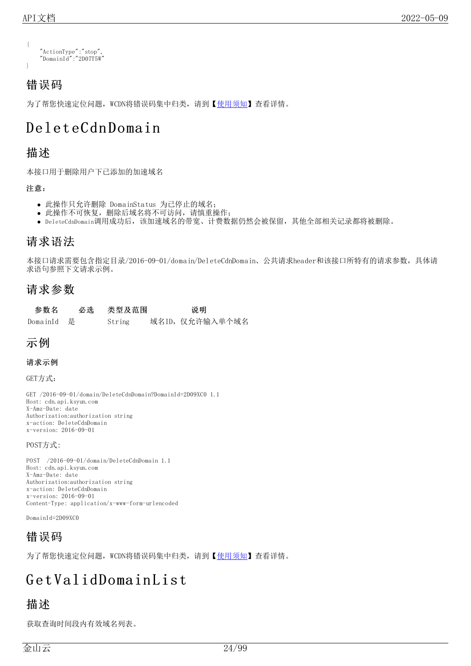```
{
    "ActionType":"stop",
    "DomainId":"2D07T5W"
}
```
# <span id="page-23-0"></span>错误码

为了帮您快速定位问题, WCDN将错误码集中归类, 请到【[使用须知](https://docs.ksyun.com/documents/41619#4)】杳看详情。

# <span id="page-23-1"></span>Delet eCdn Domain

### <span id="page-23-2"></span>描述

本接口用于删除用户下已添加的加速域名

#### 注意:

- 此操作只允许删除 DomainStatus 为已停止的域名;
- 此操作不可恢复,删除后域名将不可访问,请慎重操作;
- DeleteCdnDomain调用成功后,该加速域名的带宽、计费数据仍然会被保留,其他全部相关记录都将被删除。

### <span id="page-23-3"></span>请求语法

本接口请求需要包含指定目录/2016-09-01/domain/DeleteCdnDomain、公共请求header和该接口所特有的请求参数,具体请 求语句参照下文请求示例。

### <span id="page-23-4"></span>请求参数

| 参数名        | 必选 类型及范围 | 说明             |
|------------|----------|----------------|
| DomainId 是 | String   | 域名ID,仅允许输入单个域名 |

### <span id="page-23-5"></span>示例

#### 请求示例

GET方式:

GET /2016-09-01/domain/DeleteCdnDomain?DomainId=2D09XC0 1.1 Host: cdn.api.ksyun.com X-Amz-Date: date Authorization:authorization string x-action: DeleteCdnDomain x-version: 2016-09-01

POST方式:

POST /2016-09-01/domain/DeleteCdnDomain 1.1 Host: cdn.api.ksyun.com X-Amz-Date: date Authorization:authorization string x-action: DeleteCdnDomain x-version: 2016-09-01 Content-Type: application/x-www-form-urlencoded

DomainId=2D09XC0

## <span id="page-23-6"></span>错误码

为了帮您快速定位问题, WCDN将错误码集中归类, 请到【[使用须知](https://docs.ksyun.com/documents/41619#4)】查看详情。

# <span id="page-23-7"></span>GetValidDomainList

### <span id="page-23-8"></span>描述

获取查询时间段内有效域名列表。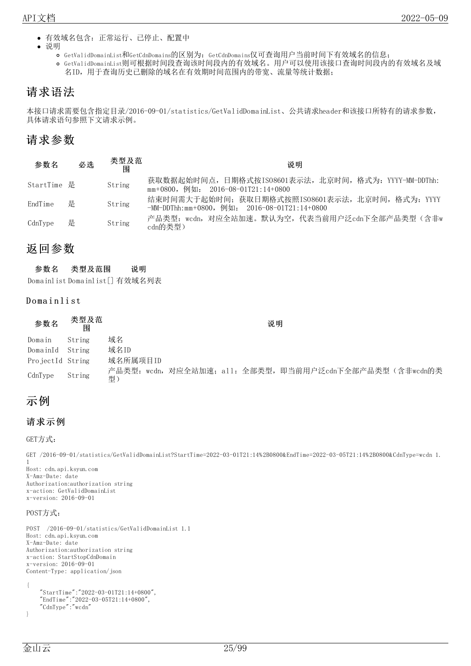- 有效域名包含:正常运行、已停止、配置中
- $\bullet$ 说明
	- GetValidDomainList和GetCdnDomains的区别为:GetCdnDomains仅可查询用户当前时间下有效域名的信息;
	- GetValidDomainList则可根据时间段查询该时间段内的有效域名。用户可以使用该接口查询时间段内的有效域名及域 名ID,用于查询历史已删除的域名在有效期时间范围内的带宽、流量等统计数据;

## <span id="page-24-0"></span>请求语法

本接口请求需要包含指定目录/2016-09-01/statistics/GetValidDomainList、公共请求header和该接口所特有的请求参数, 具体请求语句参照下文请求示例。

### <span id="page-24-1"></span>请求参数

| 参数名         | 必选 | 类型及范<br>围 | 说明                                                                                              |
|-------------|----|-----------|-------------------------------------------------------------------------------------------------|
| StartTime 是 |    | String    | 获取数据起始时间点,日期格式按IS08601表示法,北京时间,格式为: YYYY-MM-DDThh:<br>$mm+0800$ , 例如: 2016-08-01T21:14+0800     |
| EndTime     | 是  | String    | 结束时间需大于起始时间; 获取日期格式按照IS08601表示法, 北京时间, 格式为: YYYY<br>-MM-DDThh:mm+0800,例如: 2016-08-01T21:14+0800 |
| CdnType     | 是  | String    | 产品类型:wcdn,对应全站加速。默认为空,代表当前用户泛cdn下全部产品类型(含非w<br>cdn的类型)                                          |

### <span id="page-24-2"></span>返回参数

| 参数名 | 类型及范围 | 说明 |
|-----|-------|----|
|     |       |    |

Domainlist Domainlist[] 有效域名列表

#### <span id="page-24-3"></span>Domainlist

#### 参数名 类型及范 围

说明

|                  | .      |                                                          |
|------------------|--------|----------------------------------------------------------|
| Domain           | String | 域名                                                       |
| DomainId String  |        | 域名ID                                                     |
| ProjectId String |        | 域名所属项目ID                                                 |
| CdnType          | String | 产品类型:wcdn,对应全站加速;all:全部类型,即当前用户泛cdn下全部产品类型(含非wcdn的类<br>型 |

### <span id="page-24-4"></span>示例

```
请求示例
```
GET方式:

```
GET /2016-09-01/statistics/GetValidDomainList?StartTime=2022-03-01T21:14%2B0800&EndTime=2022-03-05T21:14%2B0800&CdnType=wcdn 1.
1
Host: cdn.api.ksyun.com
X-Amz-Date: date
Authorization:authorization string
x-action: GetValidDomainList
x-version: 2016-09-01
```
#### POST方式:

```
POST /2016-09-01/statistics/GetValidDomainList 1.1
Host: cdn.api.ksyun.com
X-Amz-Date: date
Authorization:authorization string
x-action: StartStopCdnDomain
x-version: 2016-09-01
Content-Type: application/json
{
    "StartTime":"2022-03-01T21:14+0800",
    "EndTime":"2022-03-05T21:14+0800",
    "CdnType":"wcdn"
}
```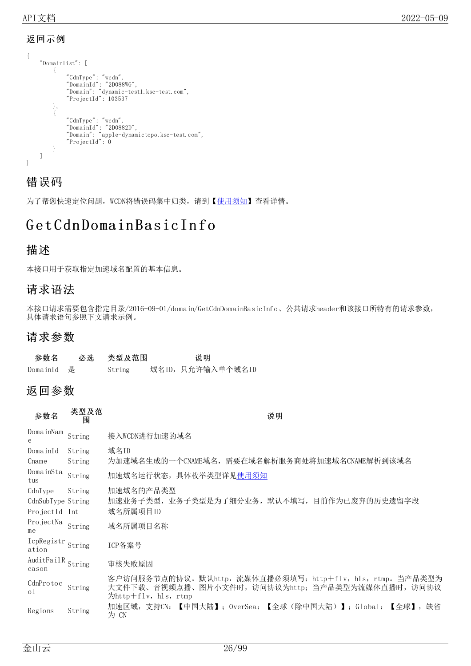#### <span id="page-25-0"></span>返回示例

```
{
    "Domainlist": [
        {
             "CdnType": "wcdn",
             "DomainId": "2D088WG",
             "Domain": "dynamic-test1.ksc-test.com",
             "ProjectId": 103537
        },
        {
             "CdnType": "wcdn",
             "DomainId": "2D0882D",
             "Domain": "apple-dynamictopo.ksc-test.com",
             "ProjectId": 0
        }
    ]
}
```
### <span id="page-25-1"></span>错误码

为了帮您快速定位问题, WCDN将错误码集中归类, 请到【[使用须知](https://docs.ksyun.com/documents/41619#4)】查看详情。

# <span id="page-25-2"></span>Get Cdn Domain Basic Info

### <span id="page-25-3"></span>描述

本接口用于获取指定加速域名配置的基本信息。

### <span id="page-25-4"></span>请求语法

本接口请求需要包含指定目录/2016-09-01/domain/GetCdnDomainBasicInfo、公共请求header和该接口所特有的请求参数, 具体请求语句参照下文请求示例。

### <span id="page-25-5"></span>请求参数

| 参数名        | 必选 类型及范围 | 说明                |
|------------|----------|-------------------|
| DomainId 是 | String   | 域名ID, 只允许输入单个域名ID |

### <span id="page-25-6"></span>返回参数

类型及范

| 参数名                 | 天全久役<br>围 | 说明                                                                                                                                  |
|---------------------|-----------|-------------------------------------------------------------------------------------------------------------------------------------|
| DomainNam<br>е      | String    | 接入WCDN进行加速的域名                                                                                                                       |
| DomainId            | String    | 域名ID                                                                                                                                |
| Cname               | String    | 为加速域名生成的一个CNAME域名,需要在域名解析服务商处将加速域名CNAME解析到该域名                                                                                       |
| DomainSta<br>tus    | String    | 加速域名运行状态, 具体枚举类型详见使用须知                                                                                                              |
| CdnType             | String    | 加速域名的产品类型                                                                                                                           |
| CdnSubType String   |           | 加速业务子类型,业务子类型是为了细分业务,默认不填写,目前作为已废弃的历史遗留字段                                                                                           |
| ProjectId           | - Int     | 域名所属项目ID                                                                                                                            |
| ProjectNa<br>me     | String    | 域名所属项目名称                                                                                                                            |
| IcpRegistr<br>ation | String    | ICP备案号                                                                                                                              |
| AuditFailR<br>eason | String    | 审核失败原因                                                                                                                              |
| CdnProtoc<br>οl     | String    | 客户访问服务节点的协议。默认http,流媒体直播必须填写: http+flv,hls,rtmp。当产品类型为<br>大文件下载、音视频点播、图片小文件时, 访问协议为http; 当产品类型为流媒体直播时, 访问协议<br>为http+flv, hls, rtmp |
| Regions             | String    | 【中国大陆】:OverSea:【全球(除中国大陆)】:Global:【全球】,缺省<br>加速区域,支持CN:<br>为 CN                                                                     |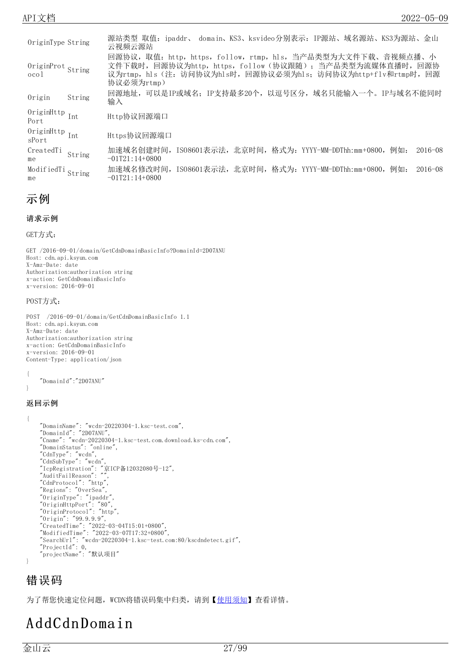| OriginType String                         |        | 源站类型 取值:ipaddr、 domain、KS3、ksvideo分别表示:IP源站、域名源站、KS3为源站、金山<br>云视频云源站                                                                                                                            |
|-------------------------------------------|--------|-------------------------------------------------------------------------------------------------------------------------------------------------------------------------------------------------|
| OriginProt String<br>$\alpha$ co $\alpha$ |        | 回源协议,取值: http, https, follow, rtmp, hls, 当产品类型为大文件下载、音视频点播、小<br>文件下载时,回源协议为http,https,follow(协议跟随),当产品类型为流媒体直播时,回源协<br>议为rtmp,hls(注: 访问协议为hls时,回源协议必须为hls; 访问协议为http+flv和rtmp时,回源<br>协议必须为rtmp) |
| Origin                                    | String | 回源地址,可以是IP或域名: IP支持最多20个,以逗号区分,域名只能输入一个。IP与域名不能同时<br>输入                                                                                                                                         |
| OriginHttp $_{\rm Int}$<br>Port           |        | Http协议回源端口                                                                                                                                                                                      |
| OriginHttp $_{\rm Int}$<br>sPort          |        | Https协议回源端口                                                                                                                                                                                     |
| CreatedTi<br>me                           | String | 加速域名创建时间,ISO8601表示法,北京时间,格式为: YYYY-MM-DDThh:mm+0800,<br>例如:<br>$2016 - 08$<br>$-01T21:14+0800$                                                                                                  |
| ModifiedTi String<br>me                   |        | 加速域名修改时间,ISO8601表示法,北京时间,格式为: YYYY-MM-DDThh:mm+0800,<br>例如:<br>$2016 - 08$<br>$-01T21:14+0800$                                                                                                  |

<span id="page-26-0"></span>示例

```
请求示例
```

```
GET方式:
```
GET /2016-09-01/domain/GetCdnDomainBasicInfo?DomainId=2D07ANU Host: cdn.api.ksyun.com X-Amz-Date: date Authorization:authorization string x-action: GetCdnDomainBasicInfo x-version: 2016-09-01

#### POST方式:

POST /2016-09-01/domain/GetCdnDomainBasicInfo 1.1 Host: cdn.api.ksyun.com X-Amz-Date: date Authorization:authorization string x-action: GetCdnDomainBasicInfo x-version: 2016-09-01 Content-Type: application/json

```
{
    "DomainId":"2D07ANU"
```
}

#### 返回示例

```
{
    "DomainName": "wcdn-20220304-1.ksc-test.com",
    "DomainId": "2D07ANU",
    "Cname": "wcdn-20220304-1.ksc-test.com.download.ks-cdn.com",
    "DomainStatus": "online",
    "CdnType": "wcdn",
    "CdnSubType": "wcdn",
    "IcpRegistration": "京ICP备12032080号-12",
    "AuditFailReason": "",
    "CdnProtocol": "http",
   "Regions": "OverSea",
   "OriginType": "ipaddr",
    "OriginHttpPort": "80",
    "OriginProtocol": "http",
    "Origin": "99.9.9.9",
    "CreatedTime": "2022-03-04T15:01+0800",
    "ModifiedTime": "2022-03-07T17:32+0800",
    "SearchUrl": "wcdn-20220304-1.ksc-test.com:80/kscdndetect.gif",
    "ProjectId": 0,
    "projectName": "默认项目"
```
### <span id="page-26-1"></span>错误码

 $\mathbf{1}$ 

为了帮您快速定位问题, WCDN将错误码集中归类, 请到【[使用须知](https://docs.ksyun.com/documents/41619#4)】查看详情。

# <span id="page-26-2"></span>AddCdn Domain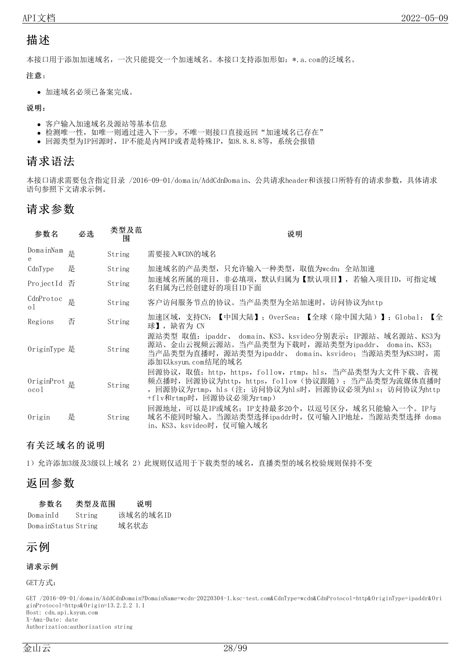### <span id="page-27-0"></span>描述

本接口用于添加加速域名,一次只能提交一个加速域名。本接口支持添加形如:\*.a.com的泛域名。

注意:

加速域名必须已备案完成。

说明:

- 客户输入加速域名及源站等基本信息
- 检测唯一性, 如唯一则通过进入下一步, 不唯一则接口直接返回"加速域名己存在"
- 回源类型为IP回源时, IP不能是内网IP或者是特殊IP, 如8.8.8.8等, 系统会报错

### <span id="page-27-1"></span>请求语法

本接口请求需要包含指定目录 /2016-09-01/domain/AddCdnDomain、公共请求header和该接口所特有的请求参数,具体请求 语句参照下文请求示例。

### <span id="page-27-2"></span>请求参数

| 参数名                                      | 必选 | 类型及范<br>闱 | 说明                                                                                                                                                                                           |
|------------------------------------------|----|-----------|----------------------------------------------------------------------------------------------------------------------------------------------------------------------------------------------|
| DomainNam $\underset{\sim}{\mathbb{E}}$  |    | String    | 需要接入WCDN的域名                                                                                                                                                                                  |
| CdnType                                  | 是  | String    | 加速域名的产品类型,只允许输入一种类型,取值为wcdn: 全站加速                                                                                                                                                            |
| ProjectId 否                              |    | String    | 加速域名所属的项目, 非必填项, 默认归属为【默认项目】, 若输入项目ID, 可指定域<br>名归属为已经创建好的项目ID下面                                                                                                                              |
| CdnProtoc<br>$\circ$                     | 是  | String    | 客户访问服务节点的协议。当产品类型为全站加速时, 访问协议为http                                                                                                                                                           |
| Regions                                  | 否  | String    | 加速区域,支持CN:【中国大陆】;OverSea:【全球(除中国大陆)】;Global:【全<br>球】, 缺省为 CN                                                                                                                                 |
| $0$ riginType 是                          |    | String    | 源站类型 取值:ipaddr、 domain、KS3、ksvideo分别表示:IP源站、域名源站、KS3为<br>源站、金山云视频云源站。当产品类型为下载时,源站类型为ipaddr、 domain、KS3;<br>当产品类型为直播时,源站类型为ipaddr、 domain、ksvideo; 当源站类型为KS3时,需<br>添加以ksvun.com结尾的域名          |
| OriginProt $\frac{1}{k}$<br>$\alpha$ col |    | String    | 回源协议,取值:http,https,follow,rtmp,hls,当产品类型为大文件下载、音视<br>频点播时, 回源协议为http, https, follow (协议跟随); 当产品类型为流媒体直播时<br>, 回源协议为rtmp, hls (注: 访问协议为hls时, 回源协议必须为hls; 访问协议为http<br>+flv和rtmp时,回源协议必须为rtmp) |
| Origin                                   | 是  | String    | 回源地址,可以是IP或域名;IP支持最多20个,以逗号区分,域名只能输入一个。IP与<br>域名不能同时输入。当源站类型选择ipaddr时,仅可输入IP地址,当源站类型选择 doma<br>in、KS3、ksvideo时, 仅可输入域名                                                                       |

#### <span id="page-27-3"></span>有关泛域名的说明

1) 允许添加3级及3级以上域名 2) 此规则仅适用于下载类型的域名, 直播类型的域名校验规则保持不变

### <span id="page-27-4"></span>返回参数

| 参数名                 | 类型及范围  | 说明       |
|---------------------|--------|----------|
| DomainId            | String | 该域名的域名ID |
| DomainStatus String |        | 域名状态     |

### <span id="page-27-5"></span>示例

#### 请求示例

GET方式:

GET /2016-09-01/domain/AddCdnDomain?DomainName=wcdn-20220304-1.ksc-test.com&CdnType=wcdn&CdnProtocol=http&OriginType=ipaddr&Ori ginProtocol=https&Origin=13.2.2.2 1.1 Host: cdn.api.ksyun.com X-Amz-Date: date Authorization:authorization string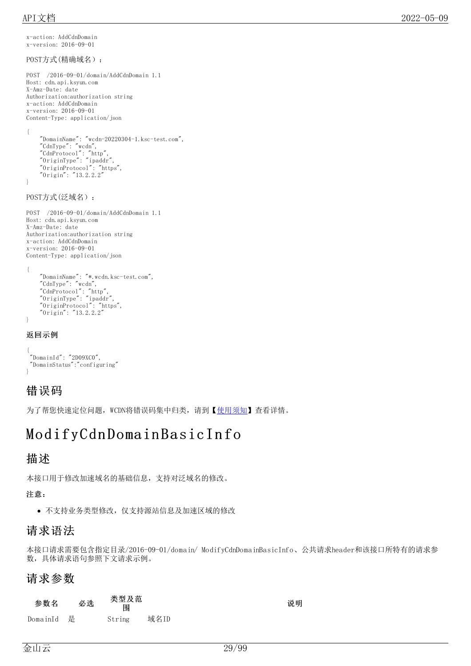x-action: AddCdnDomain x-version: 2016-09-01

```
POST方式(精确域名):
```

```
POST /2016-09-01/domain/AddCdnDomain 1.1
Host: cdn.api.ksyun.com
X-Amz-Date: date
Authorization:authorization string
x-action: AddCdnDomain
x-version: 2016-09-01
Content-Type: application/json
{
    "DomainName": "wcdn-20220304-1.ksc-test.com",
    "CdnType": "wcdn",
    "CdnProtocol": "http",
    "OriginType": "ipaddr",
    "OriginProtocol": "https",
    "Origin": "13.2.2.2"
}
POST方式(泛域名):
POST /2016-09-01/domain/AddCdnDomain 1.1
Host: cdn.api.ksyun.com
X-Amz-Date: date
Authorization:authorization string
x-action: AddCdnDomain
x-version: 2016-09-01
Content-Type: application/json
```

```
{
    "DomainName": "*.wcdn.ksc-test.com",
    "CdnType": "wcdn",
    "CdnProtocol": "http",
    "OriginType": "ipaddr",
    "OriginProtocol": "https",
    "Origin": "13.2.2.2"
}
```
#### 返回示例

```
{
"DomainId": "2D09XC0",
 "DomainStatus":"configuring"
}
```
### <span id="page-28-0"></span>错误码

为了帮您快速定位问题, WCDN将错误码集中归类, 请到【[使用须知](https://docs.ksyun.com/documents/41619#4)】查看详情。

# <span id="page-28-1"></span>ModifyCdn Domain BasicIn fo

### <span id="page-28-2"></span>描述

本接口用于修改加速域名的基础信息,支持对泛域名的修改。

#### 注意:

不支持业务类型修改,仅支持源站信息及加速区域的修改

## <span id="page-28-3"></span>请求语法

本接口请求需要包含指定目录/2016-09-01/domain/ ModifyCdnDomainBasicInfo、公共请求header和该接口所特有的请求参 数,具体请求语句参照下文请求示例。

### <span id="page-28-4"></span>请求参数

| 参数名 | 必选 | 类型及范 |
|-----|----|------|
|     |    | 围    |

DomainId 是 String 域名ID

说明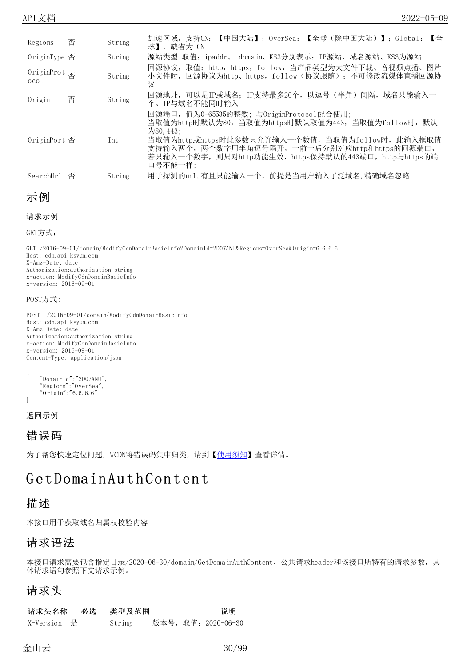| Regions                                      | 否 | String     | 加速区域,支持CN: 【中国大陆】; OverSea: 【全球(除中国大陆)】; Global: 【全<br>球】, 缺省为 CN                                                                                                                                                                                                                     |
|----------------------------------------------|---|------------|---------------------------------------------------------------------------------------------------------------------------------------------------------------------------------------------------------------------------------------------------------------------------------------|
| $0$ riginType $\overline{\mathbb{B}}$        |   | String     | 源站类型 取值: ipaddr、 domain、KS3分别表示: IP源站、域名源站、KS3为源站                                                                                                                                                                                                                                     |
| OriginProt <sub>否</sub><br>0 <sub>co</sub> 1 |   | String     | 回源协议, 取值: http, https, follow, 当产品类型为大文件下载、音视频点播、图片<br>小文件时,回源协议为http、https,follow(协议跟随); 不可修改流媒体直播回源协<br>iΫ                                                                                                                                                                          |
| Origin                                       | 否 | String     | 回源地址, 可以是IP或域名; IP支持最多20个, 以逗号 (半角) 间隔, 域名只能输入一<br>个。IP与域名不能同时输入                                                                                                                                                                                                                      |
| 0riginPort 否                                 |   | <b>Int</b> | 回源端口,值为0-65535的整数;与OriginProtocol配合使用;<br>当取值为http时默认为80,当取值为https时默认取值为443,当取值为follow时,默认<br>$\frac{1}{20}$ 50.443:<br>当取值为http或https时此参数只允许输入一个数值,当取值为follow时,此输入框取值<br>支持输入两个,两个数字用半角逗号隔开,一前一后分别对应http和https的回源端口,<br>若只输入一个数字,则只对http功能生效,https保持默认的443端口,http与https的端<br>口号不能一样: |
| SearchUrl                                    | 否 | String     | 用于探测的url, 有且只能输入一个。前提是当用户输入了泛域名, 精确域名忽略                                                                                                                                                                                                                                               |

```
示例
```

```
请求示例
```
GET方式:

GET /2016-09-01/domain/ModifyCdnDomainBasicInfo?DomainId=2D07ANU&Regions=OverSea&Origin=6.6.6.6 Host: cdn.api.ksyun.com X-Amz-Date: date Authorization:authorization string x-action: ModifyCdnDomainBasicInfo x-version: 2016-09-01

#### POST方式:

POST /2016-09-01/domain/ModifyCdnDomainBasicInfo Host: cdn.api.ksyun.com X-Amz-Date: date Authorization:authorization string x-action: ModifyCdnDomainBasicInfo x-version: 2016-09-01 Content-Type: application/json

```
"DomainId":"2D07ANU",
"Regions":"OverSea",
"Origin":"6.6.6.6"
```
返回示例

{

}

```
错误码
```
为了帮您快速定位问题, WCDN将错误码集中归类, 请到【[使用须知](https://docs.ksyun.com/documents/41619#4)】查看详情。

# <span id="page-29-2"></span>G et Domain Au t h Con t en t

#### <span id="page-29-3"></span>描述

本接口用于获取域名归属权校验内容

#### <span id="page-29-4"></span>请求语法

本接口请求需要包含指定目录/2020-06-30/domain/GetDomainAuthContent、公共请求header和该接口所特有的请求参数,具 体请求语句参照下文请求示例。

#### <span id="page-29-5"></span>请求头

请求头名称 必选 类型及范围 2000 2000 100 说明 X-Version 是 String 版本号,取值:2020-06-30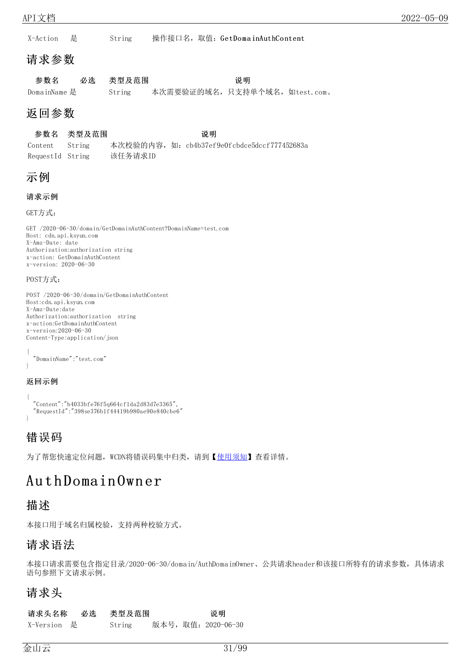X-Action 是 String 操作接口名, 取值: GetDomainAuthContent

### <span id="page-30-0"></span>请求参数

| 参数名          | 必选 类型及范围 |                              | 说明 |  |
|--------------|----------|------------------------------|----|--|
| DomainName 是 | String   | 本次需要验证的域名,只支持单个域名,如test.com。 |    |  |

## <span id="page-30-1"></span>返回参数

#### 参数名 类型及范围 说明

Content String 本次校验的内容, 如: cb4b37ef9e0fcbdce5dccf777452683a RequestId String 该任务请求ID

### <span id="page-30-2"></span>示例

### 请求示例

GET方式:

GET /2020-06-30/domain/GetDomainAuthContent?DomainName=test.com Host: cdn.api.ksyun.com X-Amz-Date: date Authorization:authorization string x-action: GetDomainAuthContent x-version: 2020-06-30

#### POST方式:

POST /2020-06-30/domain/GetDomainAuthContent Host:cdn.api.ksyun.com X-Amz-Date:date Authorization:authorization string x-action:GetDomainAuthContent x-version:2020-06-30 Content-Type:application/json

```
{
 "DomainName":"test.com"
}
```
#### 返回示例

```
{
 "Content":"b4033bfe76f5q664cf1da2d83d7e3365",
 "RequestId":"398se376b1f44419b980ae90e840cbe6"
}
```
### <span id="page-30-3"></span>错误码

为了帮您快速定位问题, WCDN将错误码集中归类, 请到【[使用须知](https://docs.ksyun.com/documents/41619#4)】查看详情。

# <span id="page-30-4"></span>Au t h Domain Own er

### <span id="page-30-5"></span>描述

本接口用于域名归属校验,支持两种校验方式。

### <span id="page-30-6"></span>请求语法

本接口请求需要包含指定目录/2020-06-30/domain/AuthDomainOwner、公共请求header和该接口所特有的请求参数,具体请求 语句参照下文请求示例。

### <span id="page-30-7"></span>请求头

请求头名称 必选 类型及范围 2000 100 说明 X-Version 是 String 版本号,取值:2020-06-30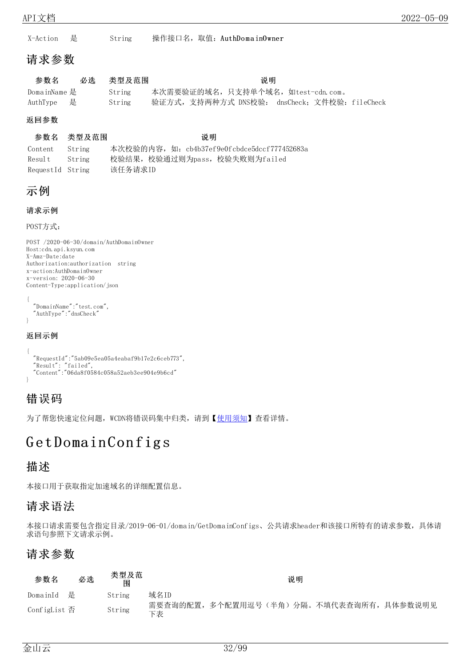X-Action 是 String 操作接口名, 取值: AuthDomainOwner

### <span id="page-31-0"></span>请求参数

| 参数名          | 必选 类型及范围 | 说明                                           |
|--------------|----------|----------------------------------------------|
| DomainName 是 | String   | 本次需要验证的域名,只支持单个域名,如test-cdn.com。             |
| AuthType  是  | String   | 验证方式,支持两种方式 DNS校验: dnsCheck; 文件校验: fileCheck |

#### 返回参数

```
参数名 类型及范围 说明
```

| Content          | String | 本次校验的内容, 如: cb4b37ef9e0fcbdce5dccf777452683a |
|------------------|--------|----------------------------------------------|
| Result String    |        | 校验结果, 校验通过则为pass, 校验失败则为failed               |
| RequestId String |        | 该任务请求ID                                      |

### <span id="page-31-1"></span>示例

#### 请求示例

POST方式:

```
POST /2020-06-30/domain/AuthDomainOwner
Host:cdn.api.ksyun.com
X-Amz-Date:date
Authorization:authorization string
x-action:AuthDomainOwner
x-version: 2020-06-30
Content-Type:application/json
{
  "DomainName":"test.com",
  "AuthType":"dnsCheck"
}
```
#### 返回示例

```
{
  "RequestId":"5ab09e5ea05a4eabaf9b17e2c6ceb773",
  "Result": "failed",
  "Content":"06da8f0584c058a52aeb3ee904e9b6cd"
}
```
### <span id="page-31-2"></span>错误码

为了帮您快速定位问题, WCDN将错误码集中归类, 请到【[使用须知](https://docs.ksyun.com/documents/41619#4)】查看详情。

# <span id="page-31-3"></span>GetDomainConfigs

### <span id="page-31-4"></span>描述

本接口用于获取指定加速域名的详细配置信息。

### <span id="page-31-5"></span>请求语法

本接口请求需要包含指定目录/2019-06-01/domain/GetDomainConfigs、公共请求header和该接口所特有的请求参数,具体请 求语句参照下文请求示例。

### <span id="page-31-6"></span>请求参数

| 参数名                                | 必选 | 类型及范<br>围 |      |  | 说明 |                                          |  |
|------------------------------------|----|-----------|------|--|----|------------------------------------------|--|
| DomainId 是                         |    | String    | 域名ID |  |    |                                          |  |
| ConfigList $\overline{\mathbb{A}}$ |    | String    | 下表   |  |    | 需要查询的配置, 多个配置用逗号(半角)分隔。不填代表查询所有, 具体参数说明见 |  |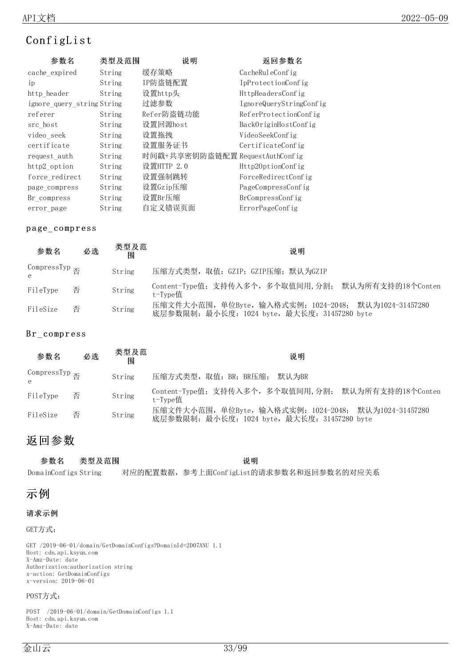### <span id="page-32-0"></span>ConfigList

| 参数名                        | 类型及范围  | 说明                              | 返回参数名                   |
|----------------------------|--------|---------------------------------|-------------------------|
| cache_expired              | String | 缓存策略                            | CacheRuleConfig         |
| 1 <sub>p</sub>             | String | IP防盗链配置                         | IpProtectionConfig      |
| http_header                | String | 设置http头                         | HttpHeadersConfig       |
| ignore query string String |        | 过滤参数                            | IgnoreQueryStringConfig |
| referer                    | String | Refer防盗链功能                      | ReferProtectionConfig   |
| src_host                   | String | 设置回源host                        | BackOriginHostConfig    |
| video_seek                 | String | 设置拖拽                            | VideoSeekConfig         |
| certificate                | String | 设置服务证书                          | CertificateConfig       |
| request_auth               | String | 时间戳+共享密钥防盗链配置 RequestAuthConfig |                         |
| http2_option               | String | 设置HTTP 2.0                      | Http20ptionConfig       |
| force redirect             | String | 设置强制跳转                          | ForceRedirectConfig     |
| page compress              | String | 设置Gzip压缩                        | PageCompressConfig      |
| Br_compress                | String | 设置Br压缩                          | BrCompressConfig        |
| error page                 | String | 自定义错误页面                         | ErrorPageConfig         |

#### <span id="page-32-1"></span>p a ge\_ co mp r ess

| 参数名                        | 必选 | 类型及范<br>闱 | 说明                                                                                                    |
|----------------------------|----|-----------|-------------------------------------------------------------------------------------------------------|
| CompressTyp $\overline{A}$ |    | String    | 压缩方式类型, 取值: GZIP: GZIP压缩; 默认为GZIP                                                                     |
| FileType                   | 否  | String    | Content-Type值; 支持传入多个, 多个取值间用, 分割; 默认为所有支持的18个Conten<br>t-Type值                                       |
| FileSize                   | 否  | String    | 压缩文件大小范围, 单位Byte, 输入格式实例: 1024-2048; 默认为1024-31457280<br>底层参数限制: 最小长度: 1024 byte, 最大长度: 31457280 byte |

#### <span id="page-32-2"></span>Br\_compress

| 参数名                                    | 必选 | 类型及范<br>闱 | 说明                                                                                                    |
|----------------------------------------|----|-----------|-------------------------------------------------------------------------------------------------------|
| CompressTyp $\overline{A}$<br>$\theta$ |    | String    | 压缩方式类型, 取值: BR: BR压缩; 默认为BR                                                                           |
| FileType                               | 否  | String    | Content-Type值; 支持传入多个, 多个取值间用, 分割; 默认为所有支持的18个Conten<br>t-Type值                                       |
| FileSize                               | 否  | String    | 压缩文件大小范围, 单位Byte, 输入格式实例: 1024-2048; 默认为1024-31457280<br>底层参数限制: 最小长度: 1024 byte, 最大长度: 31457280 byte |

### <span id="page-32-3"></span>返回参数

| 参数名                  | 类型及范围 | 说明                                        |  |
|----------------------|-------|-------------------------------------------|--|
| DomainConfigs String |       | 对应的配置数据, 参考上面Conf igList的请求参数名和返回参数名的对应关系 |  |

### <span id="page-32-4"></span>示例

#### 请求示例

#### GET方式:

GET /2019-06-01/domain/GetDomainConfigs?DomainId=2D07ANU 1.1 Host: cdn.api.ksyun.com X-Amz-Date: date Authorization:authorization string x-action: GetDomainConfigs x-version: 2019-06-01

#### POST方式:

POST /2019-06-01/domain/GetDomainConfigs 1.1 Host: cdn.api.ksyun.com X-Amz-Date: date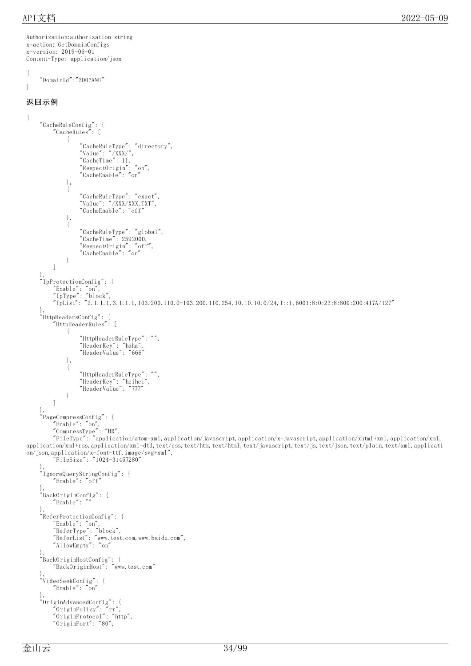Authorization:authorization string

```
x-action: GetDomainConfigs
x-version: 2019-06-01
Content-Type: application/json
{
    "DomainId":"2D07ANU"
}
返回示例
{
    "CacheRuleConfig": {
        "CacheRules": [
             {
                 "CacheRuleType": "directory",
                 "Value": "/XXX/",
                 "CacheTime": 11,
                 "RespectOrigin": "on",
                 "CacheEnable": "on"
            },
             {
                 "CacheRuleType": "exact",
                 "Value": "/XXX/XXX.TXT",
                 "CacheEnable": "off"
            },
             {
                 "CacheRuleType": "global",
                 "CacheTime": 2592000,
                 "RespectOrigin": "off",
                 "CacheEnable": "on"
            }
        ]
    },
    "IpProtectionConfig": {
        "Enable": "on",
        "IpType": "block",
        "IpList": "2.1.1.1,3.1.1.1,103.200.110.0-103.200.110.254,10.10.10.0/24,1::1,6001:8:0:23:8:800:200:417A/127"
    },
    "HttpHeadersConfig": {
        "HttpHeaderRules": [
            {
                 "HttpHeaderRuleType": "",
                 "HeaderKey": "haha",
                 "HeaderValue": "666"
            },
             {
                 "HttpHeaderRuleType": "",
                 "HeaderKey": "heihei",
                 "HeaderValue": "777"
            }
        ]
    },
    "PageCompressConfig": {
        "Enable": "on",
        "CompressType": "BR",
        "FileType": "application/atom+xml,application/javascript,application/x-javascript,application/xhtml+xml,application/xml,
application/xml+rss,application/xml-dtd,text/css,text/htm,text/html,text/javascript,text/js,text/json,text/plain,text/xml,applicati
on/json,application/x-font-ttf,image/svg+xml",
        "FileSize": "1024-31457280"
    },
     "IgnoreQueryStringConfig": {
        "Enable": "off"
    },
    "BackOriginConfig": {
        "Enable":
    },
    "ReferProtectionConfig": {
        "Enable": "on",
        "ReferType": "block",
        "ReferList": "www.test.com,www.baidu.com",
        "AllowEmpty": "on"
    },
    "BackOriginHostConfig": {
        "BackOriginHost": "www.test.com"
    },
     "VideoSeekConfig": {
        "Enable": "on"
    },
    "OriginAdvancedConfig": {
        "OriginPolicy": "rr",
        "OriginProtocol": "http",
        "OriginPort": "80",
```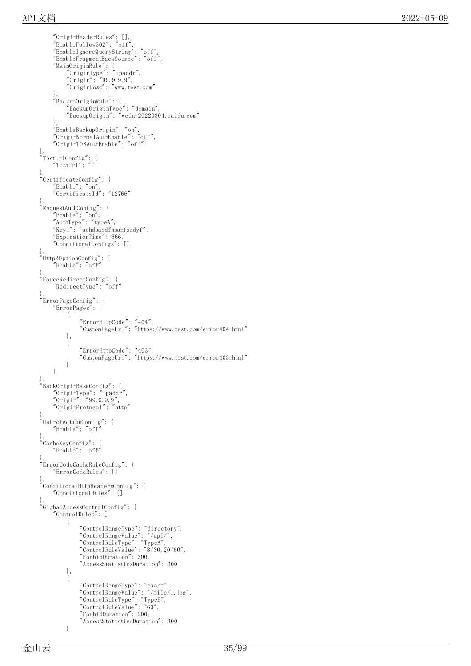```
"OriginHeaderRules": [],
    "EnableFollow302": "off", "EnableIgnoreQueryString": "
o
f
f
", "EnableFragmentBackSource": "off", "MainOriginRule": { "OriginType": "ipaddr", "Origin": "99.9.9.9", "OriginHost": "www.test.com" },"BackupOriginRule": { "BackupOriginType": "domain", "BackupOrigin": "wcdn-20220304.b
a
i
d
u.c
o
m
"
    },<br>"EnableBackupOrigin": "on",
    "OriginNormalAuthEnable": "
o
f
f
", "OriginTOSAuthEnable": "off"
},<br>"TestUrlConfig": {
    "TestUrl'": "
"
},<br>"CertificateConfig": {
    "Enable": "on","CertificateId": "
1
2
7
6
6
"
},<br>"RequestAuthConfig": {
    "Enable": "on","AuthType": "typeA",
    "Key1": "aohdsaodfhsahfsadyf",
    "ExpirationTime": 666, "ConditionalConfigs": []
},<br>"Http20ptionConfig": {
    "Enable": "off"
},<br>"ForceRedirectConfig": {
    "RedirectType": "off"
},<br>"ErrorPageConfig": {
    "ErrorPages": [
        {
             "ErrorHttpCode": "404",
             "CustomPageUrl": "https://www.test.com/error404.html"
        },{
             "ErrorHttpCode": "403",
             "CustomPageUrl": "https://www.test.com/error403.html"
        }
    ]
},<br>"BackOriginBaseConfig": {
    "OriginType": "ipaddr",
    "Origin": "99.9.9.9", "OriginProtocol": "http
"
},<br>"UaProtectionConfig": {
    "Enable": "off"
                   "
},<br>"CacheKeyConfig": {
    "Enable": "off"
},<br>"ErrorCodeCacheRuleConfig": {
    "ErrorCodeRules": []
},<br>"ConditionalHttpHeadersConfig": {
    "ConditionalRules": []
},<br>"GlobalAccessControlConfig": {
    "ControlRules": [
        {
             "ControlRangeType": "directory",
             "ControlRangeValue": "/api/", "ControlRuleType": "TypeA", "ControlRuleValue": "8/30,20/60", "ForbidDuration": 300, "AccessStatisticsDuration": 300
        },{
             "ControlRangeType": "exact",
             "ControlRangeValue": "/file/
1.j
p
g
", "ControlRuleType": "TypeB", "ControlRuleValue": "60", "ForbidDuration": 200, "AccessStatisticsDuration": 300
        }
```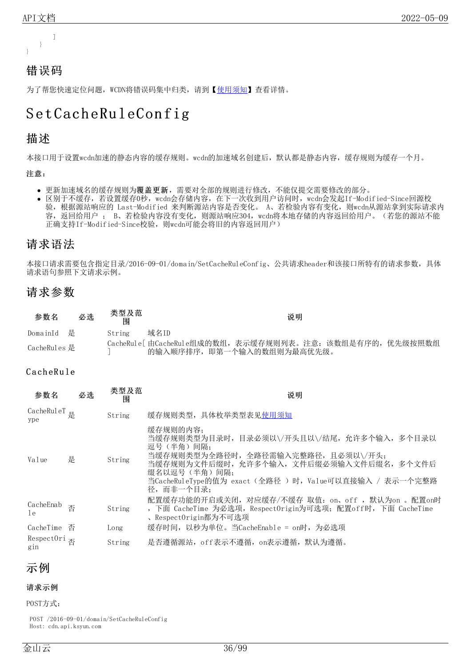

### <span id="page-35-0"></span>错误码

为了帮您快速定位问题, WCDN将错误码集中归类, 请到【[使用须知](https://docs.ksyun.com/documents/41619#4)】查看详情。

# <span id="page-35-1"></span>Set CacheRuleConfig

### <span id="page-35-2"></span>描述

本接口用于设置wcdn加速的静态内容的缓存规则。wcdn的加速域名创建后,默认都是静态内容,缓存规则为缓存一个月。

#### 注意:

- 更新加速域名的缓存规则为覆盖更新,需要对全部的规则进行修改,不能仅提交需要修改的部分。
- 区别于不缓存,若设置缓存0秒,wcdn会存储内容,在下一次收到用户访问时,wcdn会发起If-Modified-Since回源校  $\bullet$ 验,根据源站响应的 Last-Modified 来判断源站内容是否变化。 A、若检验内容有变化,则wcdn从源站拿到实际请求内 容,返回给用户; B、若检验内容没有变化,则源站响应304,wcdn将本地存储的内容返回给用户。(若您的源站不能 正确支持If-Modified-Since校验,则wcdn可能会将旧的内容返回用户)

### <span id="page-35-3"></span>请求语法

本接口请求需要包含指定目录/2016-09-01/domain/SetCacheRuleConfig、公共请求header和该接口所特有的请求参数,具体 请求语句参照下文请求示例。

### <span id="page-35-4"></span>请求参数

| 参数名          | 必选 | 类型及范<br>闱 | 说明                                                                                         |
|--------------|----|-----------|--------------------------------------------------------------------------------------------|
| DomainId 是   |    | String    | 域名ID                                                                                       |
| CacheRules 是 |    |           | CacheRul e [ 由CacheRul e组成的数组, 表示缓存规则列表。注意: 该数组是有序的, 优先级按照数组<br>的输入顺序排序, 即第一个输入的数组则为最高优先级。 |

#### <span id="page-35-5"></span>CacheRule

| 参数名                                       | 必选 | 类型及范<br>围 | 说明                                                                                                                                                                                                                                        |
|-------------------------------------------|----|-----------|-------------------------------------------------------------------------------------------------------------------------------------------------------------------------------------------------------------------------------------------|
| CacheRul eT $\text{g}$<br>ype             |    | String    | 缓存规则类型, 具体枚举类型表见使用须知                                                                                                                                                                                                                      |
| Value                                     | 是  | String    | 缓存规则的内容;<br>当缓存规则类型为目录时,目录必须以\/开头且以\/结尾,允许多个输入,多个目录以<br>逗号 (半角) 间隔;<br>当缓存规则类型为全路径时, 全路径需输入完整路径, 且必须以\/开头;<br>当缓存规则为文件后缀时,允许多个输入,文件后缀必须输入文件后缀名,多个文件后<br>缀名以逗号(半角)间隔:<br>当CacheRuleType的值为 exact(全路径 )时,Value可以直接输入 / 表示一个完整路<br>径,而非一个目录: |
| CacheEnab<br>l e                          | 否  | String    | 配置缓存功能的开启或关闭,对应缓存/不缓存 取值: on、off ,默认为on 。配置on时<br>, 下面 CacheTime 为必选项, RespectOrigin为可选项; 配置off时, 下面 CacheTime<br>、RespectOrigin都为不可选项                                                                                                    |
| CacheTime 否                               |    | Long      | 缓存时间,以秒为单位。当CacheEnable = on时,为必选项                                                                                                                                                                                                        |
| RespectOri $\overline{\mathbb{B}}$<br>gin |    | String    | 是否遵循源站, off表示不遵循, on表示遵循, 默认为遵循。                                                                                                                                                                                                          |

### <span id="page-35-6"></span>示例

#### 请求示例

POST方式:

POST /2016-09-01/domain/SetCacheRuleConfig Host: cdn.api.ksyun.com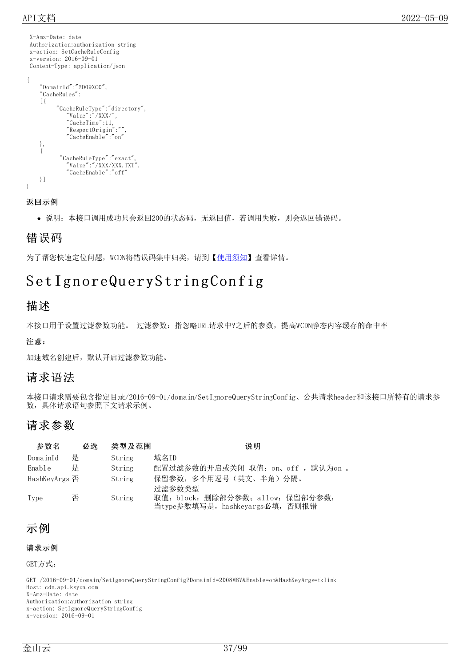X-Amz-Date: date Authorization:authorization string x-action: SetCacheRuleConfig x-version: 2016-09-01 Content-Type: application/json { "DomainId":"2D09XC0", "CacheRules": [{ "CacheRuleType":"directory", "Value":"/XXX/", "CacheTime":11, "RespectOrigin":"", "CacheEnable":"on" }, { "CacheRuleType":"exact", "Value":"/XXX/XXX.TXT",

"CacheEnable":"off"

}] }

返回示例

说明:本接口调用成功只会返回200的状态码,无返回值,若调用失败,则会返回错误码。

### 错误码

为了帮您快速定位问题, WCDN将错误码集中归类, 请到【[使用须知](https://docs.ksyun.com/documents/41619#4)】查看详情。

# Set IgnoreQueryStringConfig

### 描述

本接口用于设置过滤参数功能。 过滤参数:指忽略URL请求中?之后的参数,提高WCDN静态内容缓存的命中率

#### 注意:

加速域名创建后,默认开启过滤参数功能。

### 请求语法

本接口请求需要包含指定目录/2016-09-01/domain/SetIgnoreQueryStringConfig、公共请求header和该接口所特有的请求参 数,具体请求语句参照下文请求示例。

### 请求参数

| 参数名           | 必选 | 类型及范围  | 说明                                                                             |
|---------------|----|--------|--------------------------------------------------------------------------------|
| DomainId      | 是  | String | 域名ID                                                                           |
| Enable        | 是  | String | 配置过滤参数的开启或关闭 取值: on、off , 默认为on 。                                              |
| HashKeyArgs 否 |    | String | 保留参数,多个用逗号(英文、半角)分隔。                                                           |
| Type          | 否  | String | 过滤参数类型<br>取值: block: 删除部分参数; allow: 保留部分参数;<br>当type参数填写是, hashkeyargs必填, 否则报错 |

### 示例

```
请求示例
```
GET方式:

GET /2016-09-01/domain/SetIgnoreQueryStringConfig?DomainId=2D08M8V&Enable=on&HashKeyArgs=tklink Host: cdn.api.ksyun.com X-Amz-Date: date Authorization:authorization string x-action: SetIgnoreQueryStringConfig x-version: 2016-09-01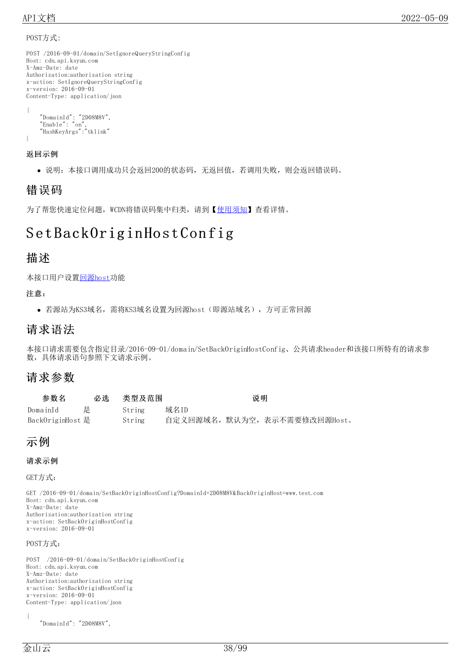#### POST方式:

```
POST /2016-09-01/domain/SetIgnoreQueryStringConfig
Host: cdn.api.ksyun.com
X-Amz-Date: date
Authorization:authorization string
x-action: SetIgnoreQueryStringConfig
x-version: 2016-09-01
Content-Type: application/json
{
    "DomainId": "2D08M8V",
```

```
"Enable": "on",
"HashKeyArgs":"tklink"
```
### 返回示例

}

说明:本接口调用成功只会返回200的状态码,无返回值,若调用失败,则会返回错误码。

## 错误码

为了帮您快速定位问题, WCDN将错误码集中归类, 请到【[使用须知](https://docs.ksyun.com/documents/41619#4)】查看详情。

# Set BackOrig in Host Config

### 描述

本接口用户设[置回源host功](https://docs.ksyun.com/documents/174#BTSH)能

#### 注意:

若源站为KS3域名,需将KS3域名设置为回源host(即源站域名),方可正常回源

### 请求语法

本接口请求需要包含指定目录/2016-09-01/domain/SetBackOriginHostConfig、公共请求header和该接口所特有的请求参 数,具体请求语句参照下文请求示例。

### 请求参数

| 参数名              | 必选 | 类型及范围  | 说明                            |
|------------------|----|--------|-------------------------------|
| DomainId         | 是  | String | 域名ID                          |
| BackOriginHost 是 |    | String | 自定义回源域名, 默认为空, 表示不需要修改回源Host。 |

### 示例

#### 请求示例

GET方式:

GET /2016-09-01/domain/SetBackOriginHostConfig?DomainId=2D08M8V&BackOriginHost=www.test.com Host: cdn.api.ksyun.com X-Amz-Date: date Authorization:authorization string x-action: SetBackOriginHostConfig x-version: 2016-09-01

#### POST方式:

POST /2016-09-01/domain/SetBackOriginHostConfig Host: cdn.api.ksyun.com X-Amz-Date: date Authorization:authorization string x-action: SetBackOriginHostConfig x-version: 2016-09-01 Content-Type: application/json

{

"DomainId": "2D08M8V",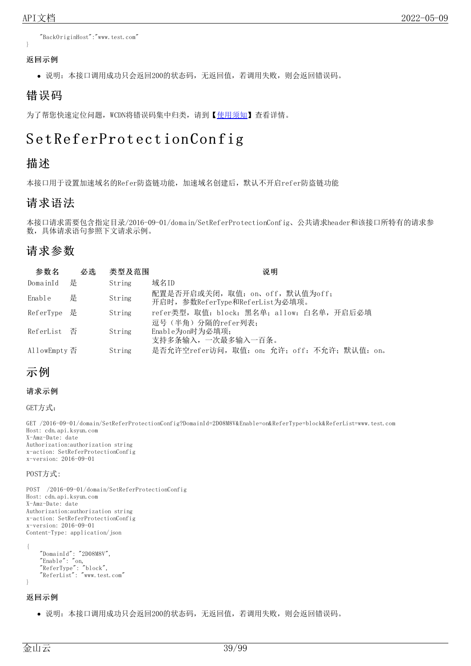"BackOriginHost":"www.test.com"

#### 返回示例

}

说明:本接口调用成功只会返回200的状态码,无返回值,若调用失败,则会返回错误码。

### 错误码

为了帮您快速定位问题, WCDN将错误码集中归类, 请到【[使用须知](https://docs.ksyun.com/documents/41619#4)】查看详情。

# Set ReferProtection Config

### 描述

本接口用于设置加速域名的Refer防盗链功能,加速域名创建后,默认不开启refer防盗链功能

### 请求语法

本接口请求需要包含指定目录/2016-09-01/domain/SetReferProtectionConfig、公共请求header和该接口所特有的请求参 数,具体请求语句参照下文请求示例。

### 请求参数

| 参数名          | 必选 | 类型及范围  | 说明                                                                 |
|--------------|----|--------|--------------------------------------------------------------------|
| DomainId     | 是  | String | 域名ID                                                               |
| Enable       | 是  | String | 配置是否开启或关闭, 取值: on、off, 默认值为off;<br>开启时, 参数ReferType和ReferList为必填项。 |
| ReferType 是  |    | String | refer类型, 取值: block: 黑名单; allow: 白名单, 开启后必填                         |
| ReferList 否  |    | String | 逗号(半角)分隔的refer列表;<br>Enable为on时为必填项;<br>支持多条输入,一次最多输入一百条。          |
| AllowEmpty 否 |    | String | 是否允许空refer访问, 取值: on: 允许; off: 不允许; 默认值: on。                       |

### 示例

#### 请求示例

GET方式:

GET /2016-09-01/domain/SetReferProtectionConfig?DomainId=2D08M8V&Enable=on&ReferType=block&ReferList=www.test.com Host: cdn.api.ksyun.com X-Amz-Date: date Authorization:authorization string x-action: SetReferProtectionConfig x-version: 2016-09-01

#### POST方式:

POST /2016-09-01/domain/SetReferProtectionConfig Host: cdn.api.ksyun.com X-Amz-Date: date Authorization:authorization string x-action: SetReferProtectionConfig x-version: 2016-09-01 Content-Type: application/json

```
{
    "DomainId": "2D08M8V",
    "Enable": "on,
    "ReferType": "block",
    "ReferList": "www.test.com"
}
```
#### 返回示例

说明:本接口调用成功只会返回200的状态码,无返回值,若调用失败,则会返回错误码。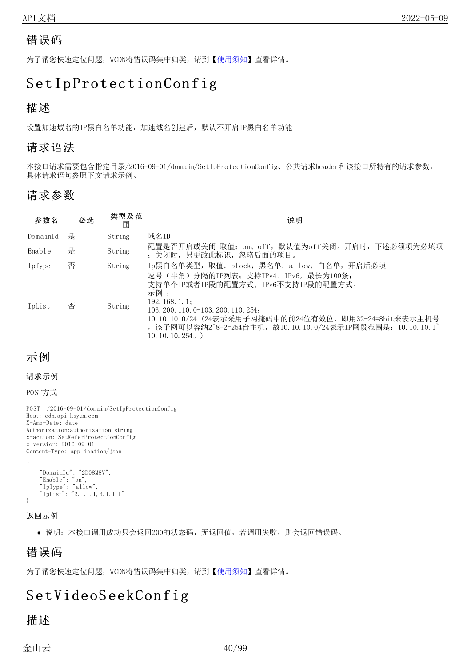### 错误码

为了帮您快速定位问题, WCDN将错误码集中归类, 请到【[使用须知](https://docs.ksyun.com/documents/41619#4)】查看详情。

# Set IpProtection Config

### 描述

设置加速域名的IP黑白名单功能,加速域名创建后,默认不开启IP黑白名单功能

### 请求语法

本接口请求需要包含指定目录/2016-09-01/domain/SetIpProtectionConfig、公共请求header和该接口所特有的请求参数, 具体请求语句参照下文请求示例。

### 请求参数

| 参数名      | 必选 | 类型及范<br>闱 | 说明                                                                                                                                                                                                                                                                                      |
|----------|----|-----------|-----------------------------------------------------------------------------------------------------------------------------------------------------------------------------------------------------------------------------------------------------------------------------------------|
| DomainId | 是  | String    | 域名ID                                                                                                                                                                                                                                                                                    |
| Enable   | 是  | String    | 配置是否开启或关闭 取值: on、off,默认值为off关闭。开启时,下述必须项为必填项<br>; 关闭时,只更改此标识,忽略后面的项目。                                                                                                                                                                                                                   |
| IpType   | 否  | String    | Ip黑白名单类型,取值: block: 黑名单; allow: 白名单,开启后必填                                                                                                                                                                                                                                               |
| IpList   | 否  | String    | 逗号(半角)分隔的IP列表; 支持IPv4、IPv6, 最长为100条;<br>支持单个IP或者IP段的配置方式; IPv6不支持IP段的配置方式。<br>示例 :<br>192.168.1.1<br>$103, 200, 110, 0-103, 200, 110, 254$<br>10.10.10.0/24 (24表示采用子网掩码中的前24位有效位, 即用32-24=8bit来表示主机号<br>, 该子网可以容纳2^8-2=254台主机, 故10.10.10.0/24表示IP网段范围是: 10.10.10.1^<br>10, 10, 10, 254. |

### 示例

#### 请求示例

POST方式

POST /2016-09-01/domain/SetIpProtectionConfig Host: cdn.api.ksyun.com X-Amz-Date: date Authorization:authorization string x-action: SetReferProtectionConfig x-version: 2016-09-01 Content-Type: application/json

{ "DomainId": "2D08M8V", "Enable": "on", "IpType": "allow", "IpList": "2.1.1.1,3.1.1.1" }

#### 返回示例

说明:本接口调用成功只会返回200的状态码,无返回值,若调用失败,则会返回错误码。

### 错误码

为了帮您快速定位问题, WCDN将错误码集中归类, 请到【[使用须知](https://docs.ksyun.com/documents/41619#4)】查看详情。

# S et VideoS eekCon fig

### 描述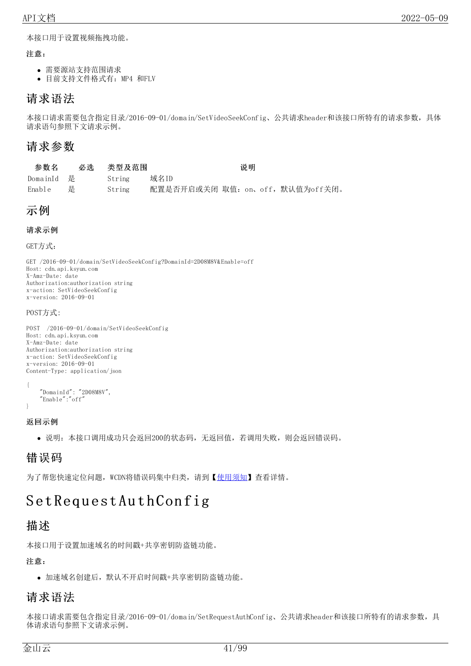本接口用于设置视频拖拽功能。

#### 注意:

- 需要源站支持范围请求
- 目前支持文件格式有:MP4 和FLV

### 请求语法

本接口请求需要包含指定目录/2016-09-01/domain/SetVideoSeekConfig、公共请求header和该接口所特有的请求参数,具体 请求语句参照下文请求示例。

### 请求参数

| 参数名        |   | 必选 类型及范围 | 说明                               |
|------------|---|----------|----------------------------------|
| DomainId 是 |   | String   | 域名ID                             |
| Enable     | 是 | String   | 配置是否开启或关闭 取值: on、off, 默认值为off关闭。 |

### 示例

#### 请求示例

GET方式:

GET /2016-09-01/domain/SetVideoSeekConfig?DomainId=2D08M8V&Enable=off Host: cdn.api.ksyun.com X-Amz-Date: date Authorization:authorization string x-action: SetVideoSeekConfig x-version: 2016-09-01

#### POST方式:

POST /2016-09-01/domain/SetVideoSeekConfig Host: cdn.api.ksyun.com X-Amz-Date: date Authorization:authorization string x-action: SetVideoSeekConfig x-version: 2016-09-01 Content-Type: application/json

```
{
    "DomainId": "2D08M8V",
    "Enable":"off"
```
#### }

#### 返回示例

说明:本接口调用成功只会返回200的状态码,无返回值,若调用失败,则会返回错误码。

### 错误码

为了帮您快速定位问题, WCDN将错误码集中归类, 请到【[使用须知](https://docs.ksyun.com/documents/41619#4)】杳看详情。

# Set Request Auth Config

### 描述

本接口用于设置加速域名的时间戳+共享密钥防盗链功能。

注意:

加速域名创建后,默认不开启时间戳+共享密钥防盗链功能。

### 请求语法

本接口请求需要包含指定目录/2016-09-01/domain/SetRequestAuthConfig、公共请求header和该接口所特有的请求参数,具 体请求语句参照下文请求示例。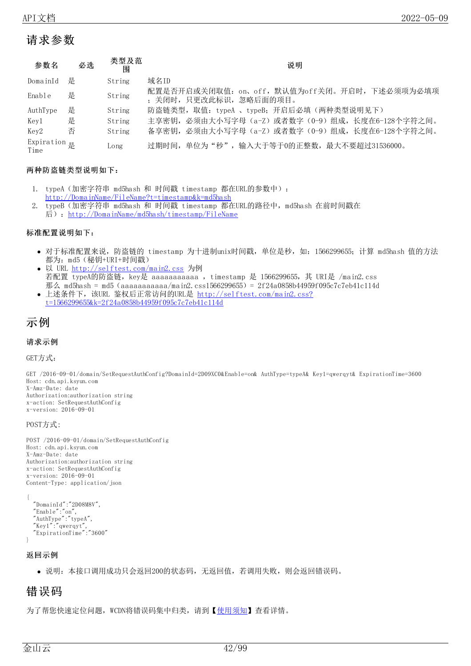### 请求参数

| 参数名                                         | 必选 | 类型及范<br>围 | 说明                                                                       |
|---------------------------------------------|----|-----------|--------------------------------------------------------------------------|
| DomainId                                    | 是  | String    | 域名ID                                                                     |
| Enable                                      | 是  | String    | 配置是否开启或关闭取值: on、off, 默认值为off关闭。开启时, 下述必须项为必填项<br>; 关闭时, 只更改此标识, 忽略后面的项目。 |
| AuthType                                    | 是  | String    | 防盗链类型, 取值: typeA 、typeB; 开启后必填(两种类型说明见下)                                 |
| Kev1                                        | 是  | String    | 主享密钥, 必须由大小写字母 (a-Z) 或者数字 (0-9) 组成, 长度在6-128个字符之间。                       |
| Key2                                        | 否  | String    | 备享密钥, 必须由大小写字母 (a-Z) 或者数字 (0-9) 组成, 长度在6-128个字符之间。                       |
| Expiration $\underline{\mathbb{R}}$<br>Time |    | Long      | 过期时间,单位为"秒",输入大于等于0的正整数,最大不要超过31536000。                                  |

#### 两种防盗链类型说明如下:

- 1. typeA (加密字符串 md5hash 和 时间戳 timestamp 都在URL的参数中): [http://DomainName/FileName?t=timestamp&k=md5hash](http://domainname/FileName?t=timestamp&k=md5hash)
- 2. typeB(加密字符串 md5hash 和 时间戳 timestamp 都在URL的路径中,md5hash 在前时间戳在 后): http://DomainName/md5hash/timestamp/FileName

#### 标准配置说明如下:

- 对于标准配置来说, 防盗链的 timestamp 为十进制unix时间戳, 单位是秒, 如: 1566299655; 计算 md5hash 值的方法 都为:md5(秘钥+URI+时间戳)
- 以 URL <http://selftest.com/main2.css> 为例 若配置 typeA的防盗链, key是 aaaaaaaaaaa , timestamp 是 1566299655, 其 URI是 /main2.css 那么 md5hash = md5 (aaaaaaaaaaa/main2.css1566299655) = 2f24a0858b44959f095c7c7eb41c114d
- 上述条件下,该URL 鉴权后正常访问的URL是 http://selftest.com/main2.css? [t=1566299655&k=2f24a0858b44959f095c7c7eb41c114d](http://selftest.com/main2.css?t=1566299655&k=2f24a0858b44959f095c7c7eb41c114d)

### 示例

#### 请求示例

GET方式:

GET /2016-09-01/domain/SetRequestAuthConfig?DomainId=2D09XC0&Enable=on& AuthType=typeA& Key1=qwerqyt& ExpirationTime=3600 Host: cdn.api.ksyun.com X-Amz-Date: date Authorization:authorization string x-action: SetRequestAuthConfig x-version: 2016-09-01

#### POST方式:

POST /2016-09-01/domain/SetRequestAuthConfig Host: cdn.api.ksyun.com X-Amz-Date: date Authorization:authorization string x-action: SetRequestAuthConfig x-version: 2016-09-01 Content-Type: application/json

```
{
 "DomainId":"2D08M8V",
  "Enable":"on",
  "AuthType":"typeA",
  "Key1":"qwerqyt",
  "ExpirationTime":"3600"
}
```
#### 返回示例

说明:本接口调用成功只会返回200的状态码,无返回值,若调用失败,则会返回错误码。

### 错误码

为了帮您快速定位问题, WCDN将错误码集中归类, 请到【[使用须知](https://docs.ksyun.com/documents/41619#4)】查看详情。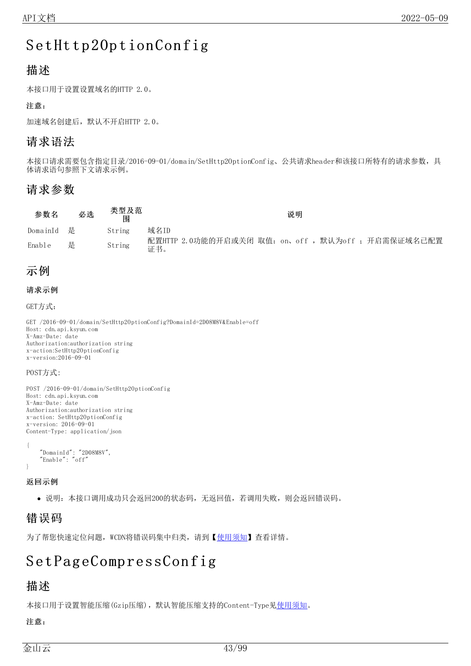# SetHttp20ptionConfig

### 描述

本接口用于设置设置域名的HTTP 2.0。

#### 注意:

加速域名创建后,默认不开启HTTP 2.0。

### 请求语法

本接口请求需要包含指定目录/2016-09-01/domain/SetHttp2OptionConfig、公共请求header和该接口所特有的请求参数,具 体请求语句参照下文请求示例。

### 请求参数

| 参数名        | 必选 | 类型及范<br>闱 | 说明                                                         |
|------------|----|-----------|------------------------------------------------------------|
| DomainId 是 |    | String    | 域名ID                                                       |
| Enable     | 是  | String    | 配置HTTP 2.0功能的开启或关闭 取值: on、off , 默认为off ; 开启需保证域名已配置<br>证书。 |

### 示例

#### 请求示例

GET方式:

GET /2016-09-01/domain/SetHttp2OptionConfig?DomainId=2D08M8V&Enable=off Host: cdn.api.ksyun.com X-Amz-Date: date Authorization:authorization string x-action:SetHttp2OptionConfig x-version:2016-09-01

#### POST方式:

```
POST /2016-09-01/domain/SetHttp2OptionConfig
Host: cdn.api.ksyun.com
X-Amz-Date: date
Authorization:authorization string
x-action: SetHttp2OptionConfig
x-version: 2016-09-01
Content-Type: application/json
{
```

```
"DomainId": "2D08M8V",
    "Enable": "off"
}
```
返回示例

说明:本接口调用成功只会返回200的状态码,无返回值,若调用失败,则会返回错误码。

### 错误码

为了帮您快速定位问题, WCDN将错误码集中归类, 请到【[使用须知](https://docs.ksyun.com/documents/41619#4)】查看详情。

# Set Page Compress Config

### 描述

本接口用于设置智能压缩(Gzip压缩),默认智能压缩支持的Content-Type见[使用须知](https://docs.ksyun.com/documents/196#35)。

注意: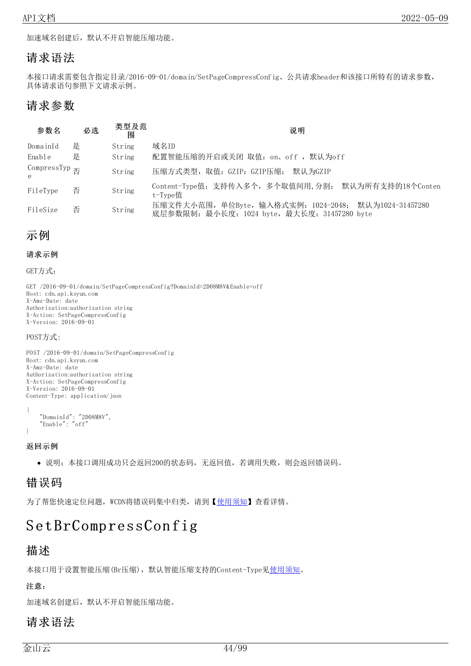加速域名创建后,默认不开启智能压缩功能。

### 请求语法

本接口请求需要包含指定目录/2016-09-01/domain/SetPageCompressConfig、公共请求header和该接口所特有的请求参数, 具体请求语句参照下文请求示例。

### 请求参数

| 参数名                                              | 必选 | 类型及范<br>闱 | 说明                                                                                                    |
|--------------------------------------------------|----|-----------|-------------------------------------------------------------------------------------------------------|
| DomainId                                         | 是  | String    | 域名ID                                                                                                  |
| Enable                                           | 是  | String    | 配置智能压缩的开启或关闭 取值: on、off , 默认为off                                                                      |
| CompressTyp $\overline{\mathcal{B}}$<br>$\theta$ |    | String    | 压缩方式类型,取值: GZIP: GZIP压缩;<br>默认为GZIP                                                                   |
| FileType                                         | 否  | String    | Content-Type值; 支持传入多个,多个取值间用,分割; 默认为所有支持的18个Conten<br>t-Type值                                         |
| FileSize                                         | 否  | String    | 压缩文件大小范围, 单位Byte, 输入格式实例: 1024-2048; 默认为1024-31457280<br>底层参数限制: 最小长度: 1024 byte, 最大长度: 31457280 byte |

### 示例

```
请求示例
```
GET方式:

GET /2016-09-01/domain/SetPageCompressConfig?DomainId=2D08M8V&Enable=off Host: cdn.api.ksyun.com X-Amz-Date: date Authorization:authorization string X-Action: SetPageCompressConfig X-Version: 2016-09-01

POST方式:

```
POST /2016-09-01/domain/SetPageCompressConfig
Host: cdn.api.ksyun.com
X-Amz-Date: date
Authorization:authorization string
X-Action: SetPageCompressConfig
X-Version: 2016-09-01
Content-Type: application/json
{
```

```
"DomainId": "2D08M8V",
    "Enable": "off"
}
```
返回示例

说明:本接口调用成功只会返回200的状态码,无返回值,若调用失败,则会返回错误码。

### 错误码

为了帮您快速定位问题, WCDN将错误码集中归类, 请到【[使用须知](https://docs.ksyun.com/documents/41619#4)】查看详情。

# S et BrComp ressCon fig

### 描述

本接口用于设置智能压缩(Br压缩),默认智能压缩支持的Content-Type[见使用须知。](https://docs.ksyun.com/documents/196#35)

注意:

加速域名创建后,默认不开启智能压缩功能。

### 请求语法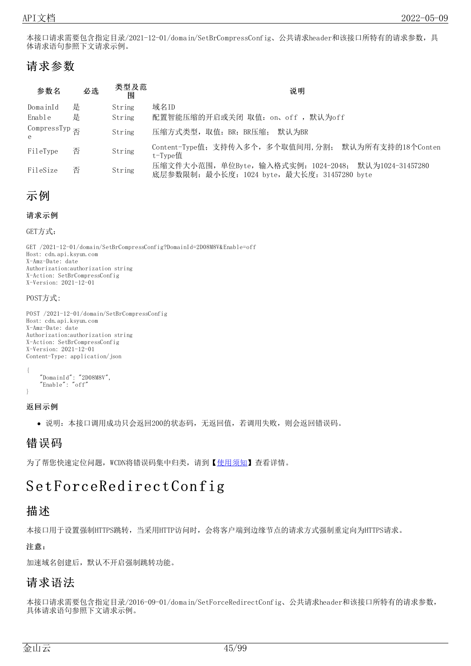本接口请求需要包含指定目录/2021-12-01/domain/SetBrCompressConfig、公共请求header和该接口所特有的请求参数,具 体请求语句参照下文请求示例。

## 请求参数

| 参数名                                      | 必选 | 类型及范<br>闱 | 说明                                                                                                    |
|------------------------------------------|----|-----------|-------------------------------------------------------------------------------------------------------|
| DomainId                                 | 是  | String    | 域名ID                                                                                                  |
| Enable                                   | 是  | String    | 配置智能压缩的开启或关闭 取值: on、off , 默认为off                                                                      |
| CompressTyp $\overline{A}$<br>$\epsilon$ |    | String    | 压缩方式类型, 取值: BR: BR压缩;<br>默认 为BR                                                                       |
| FileType                                 | 否  | String    | Content-Type值; 支持传入多个, 多个取值间用, 分割; 默认为所有支持的18个Conten<br>t-Tvpe值                                       |
| FileSize                                 | 否  | String    | 压缩文件大小范围, 单位Byte, 输入格式实例: 1024-2048; 默认为1024-31457280<br>底层参数限制: 最小长度: 1024 byte, 最大长度: 31457280 byte |



```
请求示例
```
GET方式:

GET /2021-12-01/domain/SetBrCompressConfig?DomainId=2D08M8V&Enable=off Host: cdn.api.ksyun.com X-Amz-Date: date Authorization:authorization string X-Action: SetBrCompressConfig X-Version: 2021-12-01

#### POST方式:

POST /2021-12-01/domain/SetBrCompressConfig Host: cdn.api.ksyun.com X-Amz-Date: date Authorization:authorization string X-Action: SetBrCompressConfig X-Version: 2021-12-01 Content-Type: application/json

{

}

```
"DomainId": "2D08M8V",
"Enable": "off"
```
#### 返回示例

说明:本接口调用成功只会返回200的状态码,无返回值,若调用失败,则会返回错误码。

### 错误码

为了帮您快速定位问题, WCDN将错误码集中归类, 请到【[使用须知](https://docs.ksyun.com/documents/41619#4)】查看详情。

# SetForceRedirectConfig

### 描述

本接口用于设置强制HTTPS跳转,当采用HTTP访问时,会将客户端到边缘节点的请求方式强制重定向为HTTPS请求。

注意:

加速域名创建后,默认不开启强制跳转功能。

### 请求语法

本接口请求需要包含指定目录/2016-09-01/domain/SetForceRedirectConfig、公共请求header和该接口所特有的请求参数, 具体请求语句参照下文请求示例。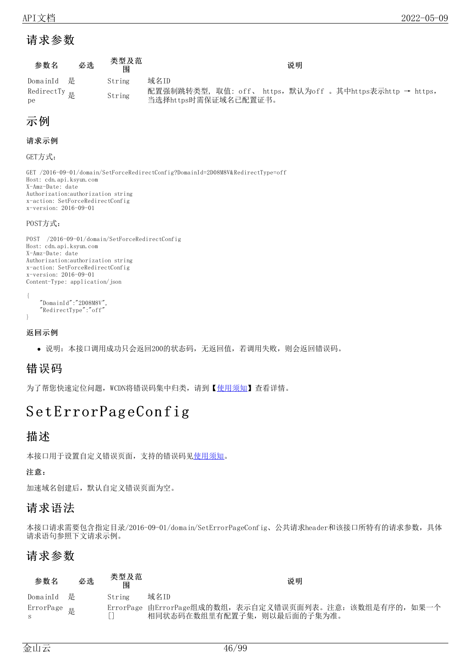### 请求参数

| 参数名                                    | 必选 | 类型及范<br>闱 | 说明                                                               |
|----------------------------------------|----|-----------|------------------------------------------------------------------|
| DomainId 是<br>RedirectTy $\frac{1}{k}$ |    | String    | 域名ID<br>配置强制跳转类型, 取值: off、 https, 默认为off 。其中https表示http → https, |
| pe                                     |    | String    | 当选择https时需保证域名已配置证书。                                             |

### 示例

#### 请求示例

GET方式:

GET /2016-09-01/domain/SetForceRedirectConfig?DomainId=2D08M8V&RedirectType=off Host: cdn.api.ksyun.com X-Amz-Date: date Authorization:authorization string x-action: SetForceRedirectConfig x-version: 2016-09-01

#### POST方式:

```
POST /2016-09-01/domain/SetForceRedirectConfig
Host: cdn.api.ksyun.com
X-Amz-Date: date
Authorization:authorization string
x-action: SetForceRedirectConfig
x-version: 2016-09-01
Content-Type: application/json
{
```

```
"DomainId":"2D08M8V",
    "RedirectType":"off"
}
```
#### 返回示例

说明:本接口调用成功只会返回200的状态码,无返回值,若调用失败,则会返回错误码。

### 错误码

为了帮您快速定位问题, WCDN将错误码集中归类, 请到【[使用须知](https://docs.ksyun.com/documents/41619#4)】查看详情。

# Set ErrorPage Config

### 描述

本接口用于设置自定义错误页面,支持的错误码[见使用须知。](https://docs.ksyun.com/documents/196#34)

注意:

加速域名创建后,默认自定义错误页面为空。

### 请求语法

本接口请求需要包含指定目录/2016-09-01/domain/SetErrorPageConfig、公共请求header和该接口所特有的请求参数,具体 请求语句参照下文请求示例。

### 请求参数

| 参数名                    | 必选 | 类型及范<br>围 | 说明                                                                                      |  |
|------------------------|----|-----------|-----------------------------------------------------------------------------------------|--|
| DomainId 是             |    | String    | 域名ID                                                                                    |  |
| ErrorPage <sub>是</sub> |    |           | ErrorPage 由ErrorPage组成的数组, 表示自定义错误页面列表。注意: 该数组是有序的, 如果一个<br>相同状态码在数组里有配置子集, 则以最后面的子集为准。 |  |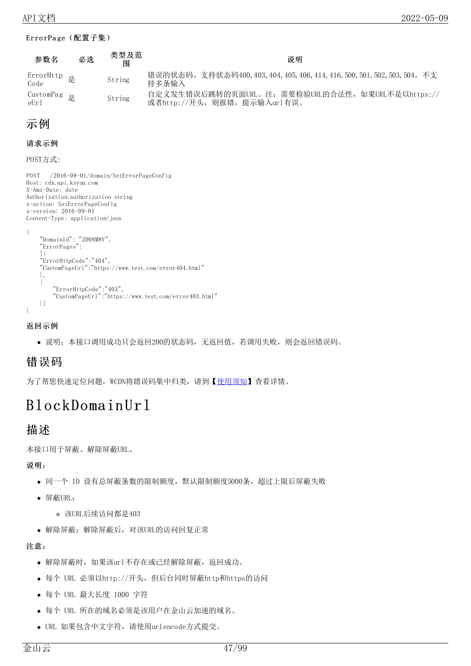#### ErrorPage(配置子集)

| 参数名                 | 必选 | 类型及范<br>闱 | 说明                                                                                |
|---------------------|----|-----------|-----------------------------------------------------------------------------------|
| ErrorHttp 是<br>Code |    | String    | 错误的状态码。支持状态码400,403,404,405,406,414,416,500,501,502,503,504,不支<br>持多条输入           |
| CustomPag 是<br>eUr1 |    | String    | 自定义发生错误后跳转的页面URL。注: 需要检验URL的合法性, 如果URL不是以https://<br>或者http://开头, 则报错, 提示输入url有误。 |

### 示例

#### 请求示例

POST方式:

```
POST /2016-09-01/domain/SetErrorPageConfig
Host: cdn.api.ksyun.com
X-Amz-Date: date
Authorization:authorization string
x-action: SetErrorPageConfig
x-version: 2016-09-01
Content-Type: application/json
{
    "DomainId": "2D08M8V",
    "ErrorPages":
    [{
    "ErrorHttpCode":"404",
    "CustomPageUrl":"https://www.test.com/error404.html"
    },
    {
         "ErrorHttpCode":"403",
         "CustomPageUrl":"https://www.test.com/error403.html"
    }]
```
#### 返回示例

}

说明:本接口调用成功只会返回200的状态码,无返回值,若调用失败,则会返回错误码。

### 错误码

为了帮您快速定位问题, WCDN将错误码集中归类, 请到【[使用须知](https://docs.ksyun.com/documents/41619#4)】查看详情。

# BlockDomain Url

### 描述

本接口用于屏蔽、解除屏蔽URL。

说明:

- 同一个 ID 设有总屏蔽条数的限制额度, 默认限制额度5000条, 超过上限后屏蔽失败
- 屏蔽URL:
	- 该URL后续访问都是403
- 解除屏蔽:解除屏蔽后,对该URL的访问回复正常

#### 注意:

- 解除屏蔽时,如果该url不存在或已经解除屏蔽,返回成功。
- 每个 URL 必须以http://开头,但后台同时屏蔽http和https的访问
- 每个 URL 最大长度 1000 字符
- 每个 URL 所在的域名必须是该用户在金山云加速的域名。
- URL 如果包含中文字符,请使用urlencode方式提交。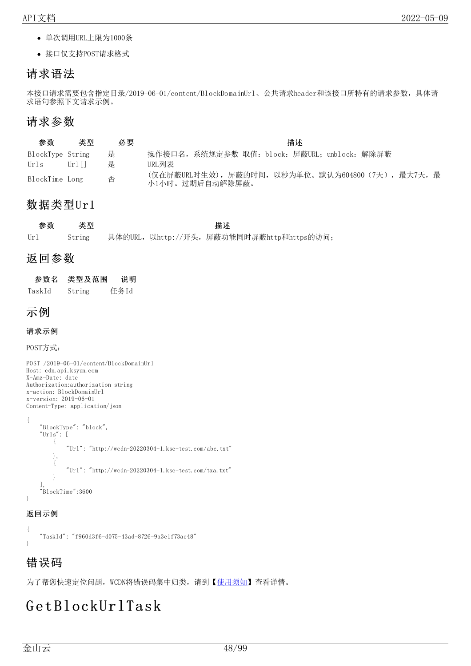- 单次调用URL上限为1000条
- 接口仅支持POST请求格式

### 请求语法

本接口请求需要包含指定目录/2019-06-01/content/BlockDomainUrl、公共请求header和该接口所特有的请求参数,具体请 求语句参照下文请求示例。

### 请求参数

| 参数               | 类型                     | 必要 | 描述                                                                    |
|------------------|------------------------|----|-----------------------------------------------------------------------|
| BlockType String |                        | 是  | 操作接口名,系统规定参数 取值: block: 屏蔽URL; unblock: 解除屏蔽                          |
| Urls             | $\text{Irr}$ l $\perp$ | 是  | URL列表:                                                                |
| BlockTime Long   |                        | 否  | (仅在屏蔽URL时生效), 屏蔽的时间, 以秒为单位。默认为604800 (7天), 最大7天, 最<br>小1小时。过期后自动解除屏蔽。 |

### 数据类型Url

| 参数  | 类型     |  | 描述                                         |  |
|-----|--------|--|--------------------------------------------|--|
| Url | String |  | 具体的URL, 以http://开头, 屏蔽功能同时屏蔽http和https的访问; |  |

### 返回参数

| 参数名    | 类型及范围  | 说明   |
|--------|--------|------|
| TaskId | String | 任务Id |

### 示例

#### 请求示例

POST方式:

```
POST /2019-06-01/content/BlockDomainUrl
Host: cdn.api.ksyun.com
X-Amz-Date: date
Authorization:authorization string
x-action: BlockDomainUrl
x-version: 2019-06-01
Content-Type: application/json
{
    "BlockType": "block",
    "Urls": [
        {
             "Ur1": "http://wcdn-20220304-1.ksc-test.com/abc.txt"
        },
         {
             "Ur1": "http://wcdn-20220304-1.ksc-test.com/txa.txt"
         }
    ],
    "BlockTime":3600
}
```
#### 返回示例

{ "TaskId": "f960d3f6-d075-43ad-8726-9a3e1f73ae48" }

### 错误码

为了帮您快速定位问题, WCDN将错误码集中归类, 请到【[使用须知](https://docs.ksyun.com/documents/41619#4)】查看详情。

# G et BlockUrlTask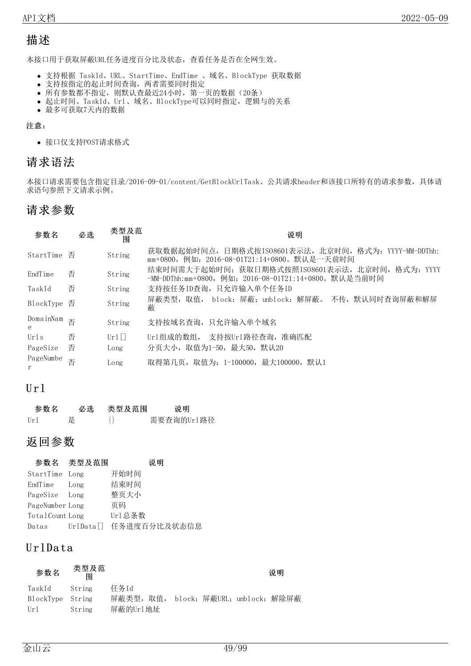## 描述

本接口用于获取屏蔽URL任务进度百分比及状态,查看任务是否在全网生效。

- 支持根据 TaskId、URL、StartTime、EndTime 、域名、BlockType 获取数据
- 支持按指定的起止时间查询,两者需要同时指定
- 所有参数都不指定,则默认查最近24小时,第一页的数据(20条)
- 起止时间、TaskId、Url、域名、BlockType可以同时指定,逻辑与的关系
- 最多可获取7天内的数据

#### 注意:

接口仅支持POST请求格式

### 请求语法

本接口请求需要包含指定目录/2016-09-01/content/GetBlockUrlTask、公共请求header和该接口所特有的请求参数,具体请 求语句参照下文请求示例。

### 请求参数

| 参数名            | 必选 | 类型及范<br>围 | 说明                                                                                                       |
|----------------|----|-----------|----------------------------------------------------------------------------------------------------------|
| StartTime      | 否  | String    | 获取数据起始时间点,日期格式按ISO8601表示法,北京时间,格式为: YYYY-MM-DDThh:<br>mm+0800, 例如: 2016-08-01T21:14+0800。默认是一天前时间        |
| EndTime        | 否  | String    | 结束时间需大于起始时间; 获取日期格式按照ISO8601表示法, 北京时间, 格式为: YYYY<br>-MM-DDThh:mm+0800, 例如: 2016-08-01T21:14+0800。默认是当前时间 |
| TaskId         | 否  | String    | 支持按任务ID查询,只允许输入单个任务ID                                                                                    |
| BlockType      | 否  | String    | 屏蔽类型, 取值, block: 屏蔽; unblock: 解屏蔽。 不传, 默认同时查询屏蔽和解屏<br>蔽                                                  |
| DomainNam<br>е | 否  | String    | 支持按域名查询,只允许输入单个域名                                                                                        |
| Urls           | 否  | $Ur1$ []  | Url组成的数组, 支持按Url路径查询, 准确匹配                                                                               |
| PageSize       | 否  | Long      | 分页大小,取值为1-50,最大50,默认20                                                                                   |
| PageNumbe      | 否  | Long      | 取得第几页, 取值为: 1-100000, 最大100000, 默认1                                                                      |

### $Ur1$

| 参数名   | 必选 | 类型及范围 | 说明         |
|-------|----|-------|------------|
| [ r ] | 是  |       | 需要查询的Url路径 |

### 返回参数

|                 | 参数名 类型及范围 | 说明                     |
|-----------------|-----------|------------------------|
| StartTime Long  |           | 开始时间                   |
| EndTime         | Long      | 结束时间                   |
| PageSize Long   |           | 整页大小                   |
| PageNumber Long |           | 页码                     |
| TotalCount Long |           | Ur1总条数                 |
| Datas           |           | UrlData[] 任务进度百分比及状态信息 |

### U rlDa ta

| 参数名              | 类型及范<br>闱 |                                       |  | 说明 |
|------------------|-----------|---------------------------------------|--|----|
| TaskId           | String    | 任务Id                                  |  |    |
| BlockType String |           | 屏蔽类型, 取值, block: 屏蔽URL; unblock: 解除屏蔽 |  |    |
| Url.             | String    | 屏蔽的Url地址                              |  |    |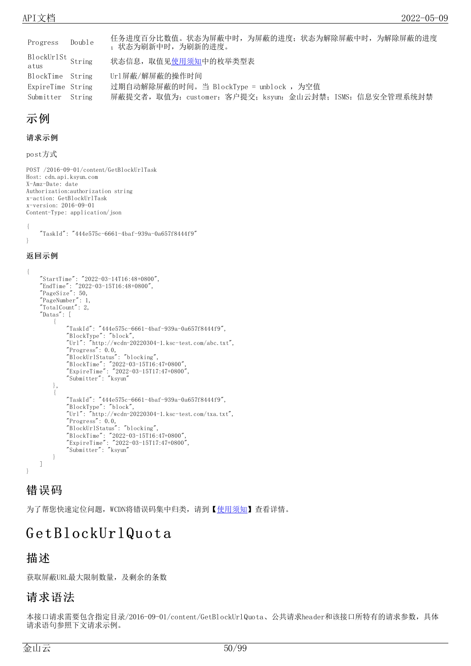| Progress                  | Double | 任务进度百分比数值。状态为屏蔽中时, 为屏蔽的进度; 状态为解除屏蔽中时, 为解除屏蔽的进度<br>; 状态为刷新中时, 为刷新的进度。 |
|---------------------------|--------|----------------------------------------------------------------------|
| BlockUrlSt String<br>atus |        | 状态信息, 取值见使用须知中的枚举类型表                                                 |
| BlockTime String          |        | Url屏蔽/解屏蔽的操作时间                                                       |
| ExpireTime String         |        | 过期自动解除屏蔽的时间。当 BlockType = unblock ,为空值                               |
| Submitter String          |        | 屏蔽提交者,取值为: customer: 客户提交; ksyun: 金山云封禁; ISMS: 信息安全管理系统封禁            |

### 示例

#### 请求示例

post方式

POST /2016-09-01/content/GetBlockUrlTask Host: cdn.api.ksyun.com X-Amz-Date: date Authorization:authorization string x-action: GetBlockUrlTask x-version: 2016-09-01 Content-Type: application/json {

"TaskId": "444e575c-6661-4baf-939a-0a657f8444f9" }

#### 返回示例

```
{
    "StartTime": "2022-03-14T16:48+0800",
    "EndTime": "2022-03-15T16:48+0800",
    "PageSize": 50,
    "PageNumber": 1,
    "TotalCount": 2,
    "Datas": [
        {
            "TaskId": "444e575c-6661-4baf-939a-0a657f8444f9",
            "BlockType": "block",
            "Url": "http://wcdn-20220304-1.ksc-test.com/abc.txt",
            "Progress": 0.0,
            "BlockUrlStatus": "blocking",
            "BlockTime": "2022-03-15T16:47+0800",
            "ExpireTime": "2022-03-15T17:47+0800",
            "Submitter": "ksyun"
        },
        {
            "TaskId": "444e575c-6661-4baf-939a-0a657f8444f9",
            "BlockType": "block",
            "Url": "http://wcdn-20220304-1.ksc-test.com/txa.txt",
            "Progress": 0.0,
            "BlockUrlStatus": "blocking",
            "BlockTime": "2022-03-15T16:47+0800",
            "ExpireTime": "2022-03-15T17:47+0800",
            "Submitter": "ksyun"
        }
   ]
}
```
### 错误码

为了帮您快速定位问题, WCDN将错误码集中归类, 请到【[使用须知](https://docs.ksyun.com/documents/41619#4)】查看详情。

# GetBlockUrlQuota

### 描述

获取屏蔽URL最大限制数量,及剩余的条数

### 请求语法

本接口请求需要包含指定目录/2016-09-01/content/GetBlockUrlQuota、公共请求header和该接口所特有的请求参数,具体 请求语句参照下文请求示例。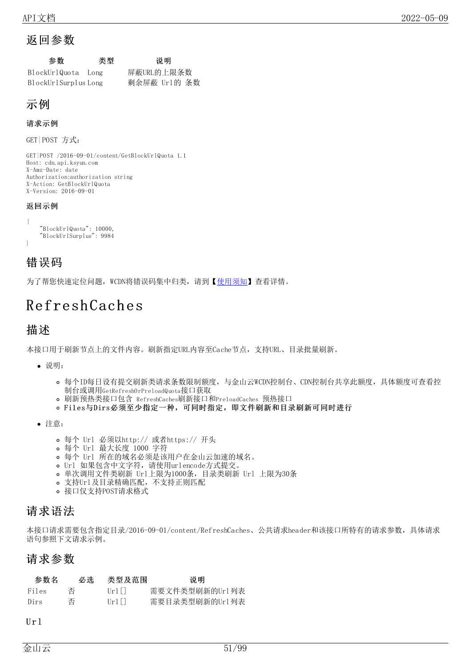### 返回参数

| 参数 | 类型 | 说明 |
|----|----|----|
|----|----|----|

| BlockUrlQuota        | Long | 屏蔽URL的上限条数   |  |
|----------------------|------|--------------|--|
| BlockUrlSurplus Long |      | 剩余屏蔽 Url的 条数 |  |

### 示例

#### 请求示例

GET|POST 方式:

```
GET|POST /2016-09-01/content/GetBlockUrlQuota 1.1
Host: cdn.api.ksyun.com
X-Amz-Date: date
Authorization:authorization string
X-Action: GetBlockUrlQuota
X-Version: 2016-09-01
```
#### 返回示例

```
{
   "BlockUrlQuota": 10000,
    "BlockUrlSurplus": 9984
}
```
### 错误码

为了帮您快速定位问题, WCDN将错误码集中归类, 请到【[使用须知](https://docs.ksyun.com/documents/41619#4)】查看详情。

# Refresh Cach es

### 描述

本接口用于刷新节点上的文件内容。刷新指定URL内容至Cache节点,支持URL、目录批量刷新。

- 说明:
	- o 每个ID每日设有提交刷新类请求条数限制额度, 与金山云WCDN控制台、CDN控制台共享此额度, 具体额度可查看控 制台或调用GetRefreshOrPreloadQuota接口获取
	- 刷新预热类接口包含 RefreshCaches刷新接口和PreloadCaches 预热接口
	- o Files与Dirs必须至少指定一种,可同时指定,即文件刷新和目录刷新可同时进行
- 注意:
	- 每个 Url 必须以http:// 或者https:// 开头
	- 每个 Url 最大长度 1000 字符
	- 每个 Url 所在的域名必须是该用户在金山云加速的域名。
	- Url 如果包含中文字符,请使用urlencode方式提交。
	- 单次调用文件类刷新 Url上限为1000条,目录类刷新 Url 上限为30条
	- 支持Url及目录精确匹配,不支持正则匹配
	- 接口仅支持POST请求格式

### 请求语法

本接口请求需要包含指定目录/2016-09-01/content/RefreshCaches、公共请求header和该接口所特有的请求参数,具体请求 语句参照下文请求示例。

### 请求参数

| 参数名   | 必选 | 类型及范围     | 说明             |
|-------|----|-----------|----------------|
| Files | 否  | $[ r +1]$ | 需要文件类型刷新的Url列表 |
| Dirs  | 否  | $[ r +1]$ | 需要目录类型刷新的Url列表 |

#### $Ur1$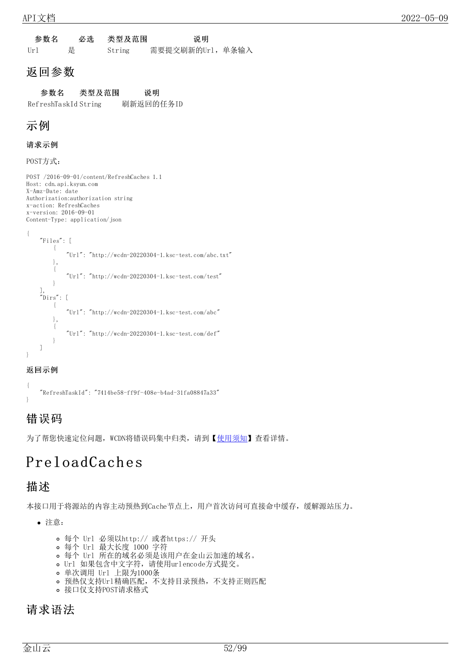参数名 必选 类型及范围 说明 Url 是 String 需要提交刷新的Url,单条输入

### 返回参数

参数名 类型及范围 说明 RefreshTaskId String 刷新返回的任务ID

## 示例

### 请求示例

POST方式:

POST /2016-09-01/content/RefreshCaches 1.1 Host: cdn.api.ksyun.com X-Amz-Date: date Authorization:authorization string x-action: RefreshCaches x-version: 2016-09-01 Content-Type: application/json

```
{
    "Files": [
        {
             "Ur1": "http://wcdn-20220304-1.ksc-test.com/abc.txt"
        },
        {
             "Url": "http://wcdn-20220304-1.ksc-test.com/test"
         }
    ],
    "Dirs": [
         {
             "Url": "http://wcdn-20220304-1.ksc-test.com/abc"
        },
        {
             "Ur1": "http://wcdn-20220304-1.ksc-test.com/def"
        }
    ]
}
```
### 返回示例

{ "RefreshTaskId": "7414be58-ff9f-408e-b4ad-31fa08847a33" }

# 错误码

为了帮您快速定位问题, WCDN将错误码集中归类, 请到【[使用须知](https://docs.ksyun.com/documents/41619#4)】查看详情。

# PreloadCach es

### 描述

本接口用于将源站的内容主动预热到Cache节点上,用户首次访问可直接命中缓存,缓解源站压力。

注意:

- 每个 Url 必须以http:// 或者https:// 开头
- 每个 Url 最大长度 1000 字符
- 每个 Url 所在的域名必须是该用户在金山云加速的域名。
- Url 如果包含中文字符,请使用urlencode方式提交。
- 单次调用 Url 上限为1000条
- 预热仅支持Url精确匹配,不支持目录预热,不支持正则匹配
- 接口仅支持POST请求格式

### 请求语法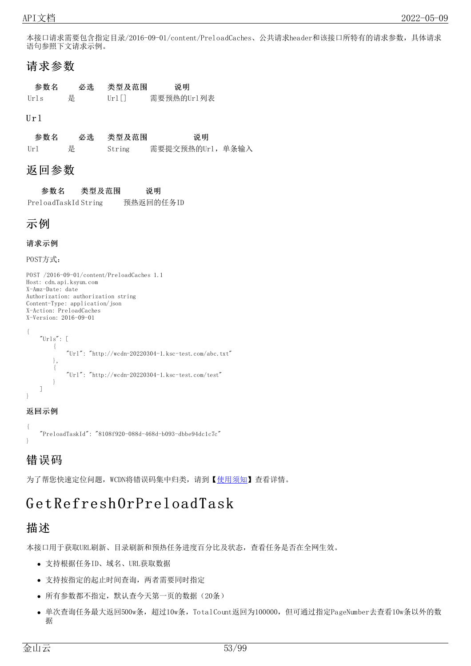本接口请求需要包含指定目录/2016-09-01/content/PreloadCaches、公共请求header和该接口所特有的请求参数,具体请求 语句参照下文请求示例。

### 请求参数

| 参数名                   | 必选 | 类型及范围   | 说明         |
|-----------------------|----|---------|------------|
| $[\lceil r \rceil]$ s | 是  | Url I I | 需要预热的Url列表 |

#### $U$ r 1

参数名 必选 类型及范围 对 Url 是 String 需要提交预热的Url,单条输入

### 返回参数

参数名 类型及范围 说明 PreloadTaskId String 预热返回的任务ID

### 示例

#### 请求示例

POST方式:

```
POST /2016-09-01/content/PreloadCaches 1.1
Host: cdn.api.ksyun.com
X-Amz-Date: date
Authorization: authorization string
Content-Type: application/json
X-Action: PreloadCaches
X-Version: 2016-09-01
{
    ^{\prime\prime} Urls": [
         \mathcal{A}"Ur1": "http://wcdn-20220304-1.ksc-test.com/abc.txt"
         },
         {
              "Url": "http://wcdn-20220304-1.ksc-test.com/test"
         }
    ]
}
```
#### 返回示例

{ "PreloadTaskId": "8108f920-088d-468d-b093-dbbe94dc1c7c" }

### 错误码

为了帮您快速定位问题, WCDN将错误码集中归类, 请到【[使用须知](https://docs.ksyun.com/documents/41619#4)】查看详情。

# G et Refresh OrPreloadTask

### 描述

本接口用于获取URL刷新、目录刷新和预热任务进度百分比及状态,查看任务是否在全网生效。

- 支持根据任务ID、域名、URL获取数据
- 支持按指定的起止时间查询,两者需要同时指定
- 所有参数都不指定,默认查今天第一页的数据(20条)
- 单次查询任务最大返回500w条,超过10w条, TotalCount返回为100000, 但可通过指定PageNumber去查看10w条以外的数 据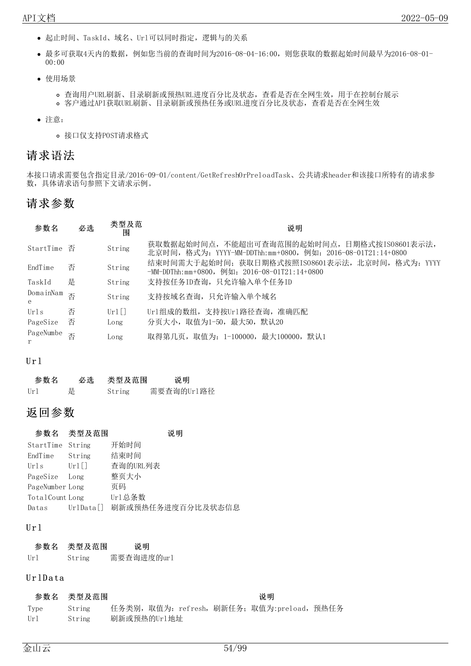- 起止时间、TaskId、域名、Url可以同时指定,逻辑与的关系
- 最多可获取4天内的数据,例如您当前的查询时间为2016-08-04-16:00,则您获取的数据起始时间最早为2016-08-01- 00:00
- 使用场景
	- 查询用户URL刷新、目录刷新或预热URL进度百分比及状态,查看是否在全网生效,用于在控制台展示
	- 客户通过API获取URL刷新、目录刷新或预热任务或URL进度百分比及状态,查看是否在全网生效
- 注意:
	- 接口仅支持POST请求格式

### 请求语法

本接口请求需要包含指定目录/2016-09-01/content/GetRefreshOrPreloadTask、公共请求header和该接口所特有的请求参 数,具体请求语句参照下文请求示例。

### 请求参数

| 参数名            | 必选 | 类型及范<br>围 | 说明                                                                                                          |
|----------------|----|-----------|-------------------------------------------------------------------------------------------------------------|
| StartTime 否    |    | String    | 获取数据起始时间点, 不能超出可查询范围的起始时间点, 日期格式按IS08601表示法,<br>北京时间, 格式为: YYYY-MM-DDThh:mm+0800, 例如: 2016-08-01T21:14+0800 |
| EndTime        | 否  | String    | 结束时间需大于起始时间; 获取日期格式按照IS08601表示法, 北京时间, 格式为: YYYY<br>$-MM-DDThh:mm+0800$ , 例如: 2016-08-01T21:14+0800         |
| TaskId         | 是  | String    | 支持按任务ID查询, 只允许输入单个任务ID                                                                                      |
| DomainNam<br>e | 否  | String    | 支持按域名查询,只允许输入单个域名                                                                                           |
| Urls           | 否  | $Ur1$ []  | Url组成的数组, 支持按Url路径查询, 准确匹配                                                                                  |
| PageSize       | 否  | Long      | 分页大小,取值为1-50,最大50,默认20                                                                                      |
| PageNumbe      | 否  | Long      | 取得第几页, 取值为: 1-100000, 最大100000, 默认1                                                                         |

#### U r l

| 参数名 | 必选 | 类型及范围  | 说明         |
|-----|----|--------|------------|
| Ur1 | 是  | String | 需要查询的Url路径 |

### 返回参数

| 参数名              | 类型及范围               | 说明                |
|------------------|---------------------|-------------------|
| StartTime String |                     | 开始时间              |
| EndTime          | String              | 结束时间              |
| Urls             | $Ur1$ []            | 查询的URL列表          |
| PageSize         | Long                | 整页大小              |
| PageNumber Long  |                     | 页码                |
| TotalCount Long  |                     | Ur1总条数            |
| Datas            | $Ur1$ Data $\lceil$ | 刷新或预热任务进度百分比及状态信息 |

#### U r l

| 参数名 | 类型及范围  | 说明         |
|-----|--------|------------|
| Url | String | 需要查询进度的url |

#### UrlData

|      | 参数名 类型及范围 |             |  | 说明                                         |  |
|------|-----------|-------------|--|--------------------------------------------|--|
| Type | String    |             |  | 任务类别,取值为: refresh, 刷新任务; 取值为:preload, 预热任务 |  |
| Url  | String    | 刷新或预热的Url地址 |  |                                            |  |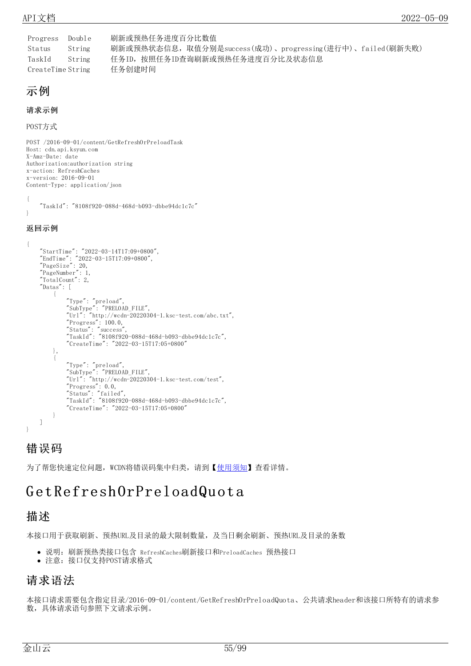Progress Double 刷新或预热任务进度百分比数值 Status String 刷新或预热状态信息,取值分别是success(成功)、progressing(进行中)、failed(刷新失败) TaskId String 任务ID,按照任务ID查询刷新或预热任务进度百分比及状态信息 CreateTime String 任务创建时间

### 示例

#### 请求示例

POST方式

POST /2016-09-01/content/GetRefreshOrPreloadTask Host: cdn.api.ksyun.com X-Amz-Date: date Authorization:authorization string x-action: RefreshCaches x-version: 2016-09-01 Content-Type: application/json {

"TaskId": "8108f920-088d-468d-b093-dbbe94dc1c7c" }

#### 返回示例

```
{
    "StartTime": "2022-03-14T17:09+0800",
    "EndTime": "2022-03-15T17:09+0800",
    "PageSize": 20,
    "PageNumber": 1,
    "TotalCount": 2,
    "Datas": [
        {
             "Type": "preload",
             "SubType": "PRELOAD_FILE",
            "Ur1": "http://wcdn-20220304-1.ksc-test.com/abc.txt",
             "Progress": 100.0,
             "Status": "success",
             "TaskId": "8108f920-088d-468d-b093-dbbe94dc1c7c",
            "CreateTime": "2022-03-15T17:05+0800"
        },
        {
             "Type": "preload",
             "SubType": "PRELOAD_FILE",
             "Url": "http://wcdn-20220304-1.ksc-test.com/test",
             "Progress": 0.0,
             "Status": "failed",
             "TaskId": "8108f920-088d-468d-b093-dbbe94dc1c7c",
            "CreateTime": "2022-03-15T17:05+0800"
        }
    ]
}
```
### 错误码

为了帮您快速定位问题, WCDN将错误码集中归类, 请到【[使用须知](https://docs.ksyun.com/documents/41619#4)】查看详情。

# GetRefresh OrPreload Quota

### 描述

本接口用于获取刷新、预热URL及目录的最大限制数量,及当日剩余刷新、预热URL及目录的条数

- 说明:刷新预热类接口包含 RefreshCaches刷新接口和PreloadCaches 预热接口
- 注意:接口仅支持POST请求格式

### 请求语法

本接口请求需要包含指定目录/2016-09-01/content/GetRefreshOrPreloadQuota、公共请求header和该接口所特有的请求参 数,具体请求语句参照下文请求示例。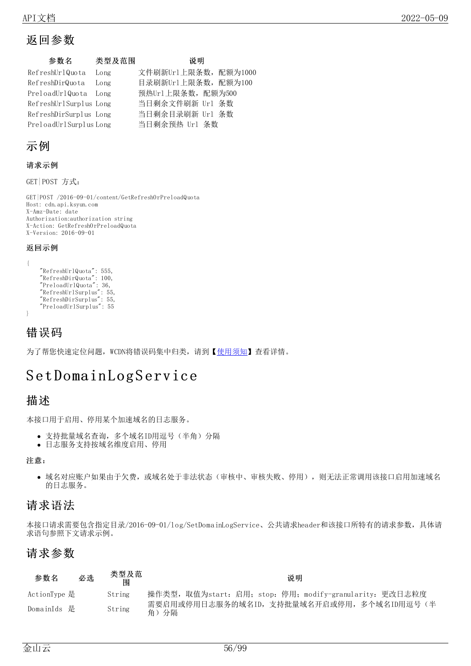## 返回参数

| 参数名                    | 类型及范围 | 说明                   |  |
|------------------------|-------|----------------------|--|
| RefreshUrlQuota        | Long  | 文件刷新Ur1上限条数, 配额为1000 |  |
| RefreshDirQuota        | Long  | 目录刷新Ur1上限条数, 配额为100  |  |
| PreloadUrlQuota Long   |       | 预热Ur1上限条数, 配额为500    |  |
| RefreshUrlSurplus Long |       | 当日剩余文件刷新 Url 条数      |  |
| RefreshDirSurplus Long |       | 当日剩余目录刷新 Url 条数      |  |
| PreloadUrlSurplusLong  |       | 当日剩余预热 Url 条数        |  |

### 示例

#### 请求示例

GET|POST 方式:

GET|POST /2016-09-01/content/GetRefreshOrPreloadQuota Host: cdn.api.ksyun.com X-Amz-Date: date Authorization:authorization string X-Action: GetRefreshOrPreloadQuota X-Version: 2016-09-01

#### 返回示例

```
{
    "RefreshUrlQuota": 555,
    "RefreshDirQuota": 100,
    "PreloadUrlQuota": 36,
    "RefreshUrlSurplus": 55,
    "RefreshDirSurplus": 55,
   "PreloadUrlSurplus": 55
}
```
### 错误码

为了帮您快速定位问题, WCDN将错误码集中归类, 请到【[使用须知](https://docs.ksyun.com/documents/41619#4)】查看详情。

# Set Domain Log Service

### 描述

本接口用于启用、停用某个加速域名的日志服务。

- 支持批量域名查询,多个域名ID用逗号(半角)分隔
- 日志服务支持按域名维度启用、停用

#### 注意:

● 域名对应账户如果由于欠费,或域名处于非法状态(审核中、审核失败、停用),则无法正常调用该接口启用加速域名 的日志服务。

### 请求语法

本接口请求需要包含指定目录/2016-09-01/log/SetDomainLogService、公共请求header和该接口所特有的请求参数,具体请 求语句参照下文请求示例。

### 请求参数

| 参数名          | 必选 | 类型及范<br>闱 | 说明                                                       |
|--------------|----|-----------|----------------------------------------------------------|
| ActionType 是 |    | String    | 操作类型, 取值为start: 启用; stop: 停用; modify-granularity: 更改日志粒度 |
| DomainIds 是  |    | String    | 需要启用或停用日志服务的域名ID, 支持批量域名开启或停用, 多个域名ID用逗号(半<br>角)<br>分隔   |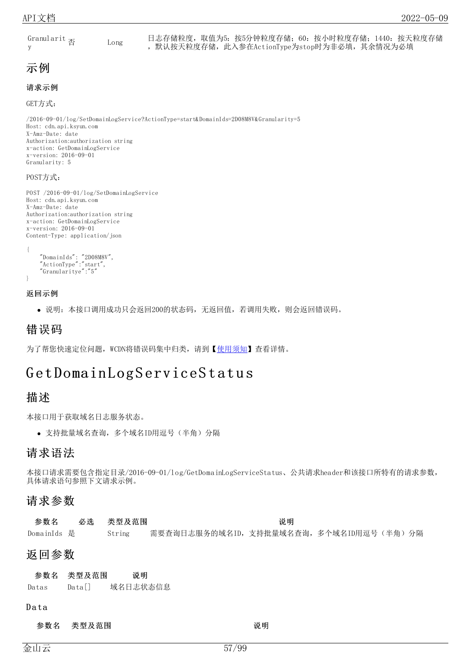Granularit y Long

日志存储粒度,取值为5:按5分钟粒度存储;60:按小时粒度存储;1440:按天粒度存储 ,默认按天粒度存储,此入参在ActionType为stop时为非必填,其余情况为必填

### 示例

### 请求示例

GET方式:

/2016-09-01/log/SetDomainLogService?ActionType=start&DomainIds=2D08M8V&Granularity=5 Host: cdn.api.ksyun.com X-Amz-Date: date Authorization:authorization string x-action: GetDomainLogService x-version: 2016-09-01 Granularity: 5

#### POST方式:

```
POST /2016-09-01/log/SetDomainLogService
Host: cdn.api.ksyun.com
X-Amz-Date: date
Authorization:authorization string
x-action: GetDomainLogService
x-version: 2016-09-01
Content-Type: application/json
```

```
{
    "DomainIds": "2D08M8V",
    "ActionType":"start",
    "Granularitye":"5"
}
```
#### 返回示例

说明:本接口调用成功只会返回200的状态码,无返回值,若调用失败,则会返回错误码。

### 错误码

为了帮您快速定位问题, WCDN将错误码集中归类, 请到【[使用须知](https://docs.ksyun.com/documents/41619#4)】查看详情。

# GetDomainLogServiceStatus

### 描述

本接口用于获取域名日志服务状态。

支持批量域名查询,多个域名ID用逗号(半角)分隔

### 请求语法

本接口请求需要包含指定目录/2016-09-01/log/GetDomainLogServiceStatus、公共请求header和该接口所特有的请求参数, 具体请求语句参照下文请求示例。

### 请求参数

| 参数名         | 必选 | 类型及范围  | 说明 |                                        |
|-------------|----|--------|----|----------------------------------------|
| DomainIds 是 |    | String |    | 需要查询日志服务的域名ID,支持批量域名查询,多个域名ID用逗号(半角)分隔 |

### 返回参数

|     | 参数名 类型及范围 | 说明      |
|-----|-----------|---------|
| D . | n. 17     | はんロナ心ナム |

Datas Data[] 域名日志状态信息

#### **Data**

参数名 类型及范围 说明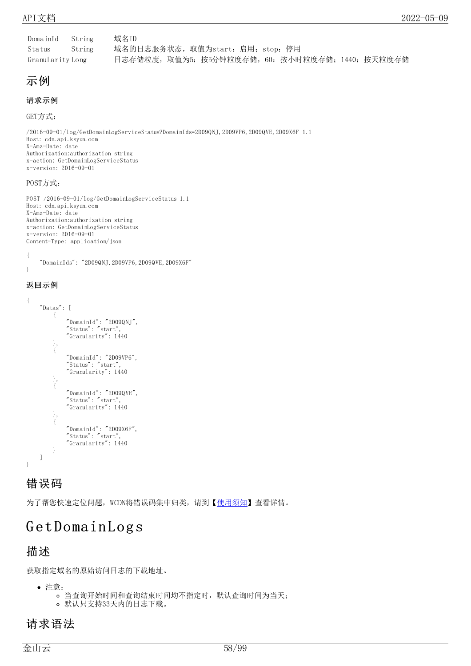| DomainId         | String | 域名ID                                              |
|------------------|--------|---------------------------------------------------|
| Status           | String | 域名的日志服务状态,取值为start: 启用; stop: 停用                  |
| Granularity Long |        | 日志存储粒度, 取值为5: 按5分钟粒度存储, 60: 按小时粒度存储; 1440: 按天粒度存储 |

示例

#### 请求示例

GET方式:

/2016-09-01/log/GetDomainLogServiceStatus?DomainIds=2D09QNJ,2D09VP6,2D09QVE,2D09X6F 1.1 Host: cdn.api.ksyun.com X-Amz-Date: date Authorization:authorization string x-action: GetDomainLogServiceStatus x-version: 2016-09-01

#### POST方式:

```
POST /2016-09-01/log/GetDomainLogServiceStatus 1.1
Host: cdn.api.ksyun.com
X-Amz-Date: date
Authorization:authorization string
x-action: GetDomainLogServiceStatus
x-version: 2016-09-01
Content-Type: application/json
```
{ "DomainIds": "2D09QNJ,2D09VP6,2D09QVE,2D09X6F" }

### 返回示例

```
{
    "Datas": [
         {
             "DomainId": "2D09QNJ",
             "Status": "start",
             "Granularity": 1440
        },
         {
             "DomainId": "2D09VP6",
             "Status": "start",
             "Granularity": 1440
        },
         {
             "DomainId": "2D09QVE",
             "Status": "start",
             "Granularity": 1440
        },
         {
             "DomainId": "2D09X6F",
             "Status": "start",
             "Granularity": 1440
        }
    ]
}
```
### 错误码

为了帮您快速定位问题, WCDN将错误码集中归类, 请到【[使用须知](https://docs.ksyun.com/documents/41619#4)】查看详情。

# GetDomainLogs

### 描述

获取指定域名的原始访问日志的下载地址。

- 注意:
	- 当查询开始时间和查询结束时间均不指定时,默认查询时间为当天;
	- 默认只支持33天内的日志下载。

### 请求语法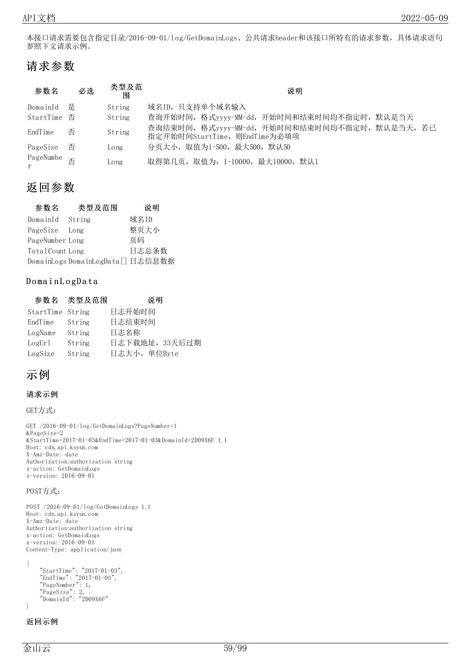本接口请求需要包含指定目录/2016-09-01/log/GetDomainLogs、公共请求header和该接口所特有的请求参数,具体请求语句 参照下文请求示例。

### 请求参数

| 参数名                    | 必选 | 类型及范<br>围 | 说明                                                                              |
|------------------------|----|-----------|---------------------------------------------------------------------------------|
| DomainId               | 是  | String    | 域名ID,只支持单个域名输入                                                                  |
| StartTime 否            |    | String    | 查询开始时间,格式yyyy-MM-dd,开始时间和结束时间均不指定时,默认是当天                                        |
| EndTime                | 否  | String    | 查询结束时间, 格式yyyy-MM-dd, 开始时间和结束时间均不指定时, 默认是当天, 若已<br>指定开始时间StartTime,则EndTime为必填项 |
| PageSize               | 否  | Long      | 分页大小, 取值为1-500, 最大500, 默认50                                                     |
| PageNumbe <sub>否</sub> |    | Long      | 取得第几页, 取值为: 1-10000, 最大10000, 默认1                                               |

### 返回参数

| 参数名             | 类型及范围                             | 说明    |
|-----------------|-----------------------------------|-------|
| DomainId String |                                   | 域名ID  |
| PageSize Long   |                                   | 整页大小  |
| PageNumber Long |                                   | 页码    |
| TotalCount Long |                                   | 日志总条数 |
|                 | DomainLogs DomainLogData[] 日志信息数据 |       |

### DomainLogData

|                  | 参数名 类型及范围 | 说明             |
|------------------|-----------|----------------|
| StartTime String |           | 日志开始时间         |
| EndTime          | String    | 日志结束时间         |
| LogName          | String    | 日志名称           |
| LogUr1           | String    | 日志下载地址, 33天后过期 |
| LogSize          | String    | 日志大小, 单位Byte   |

### 示例

#### 请求示例

```
GET方式:
```

```
GET /2016-09-01/log/GetDomainLogs?PageNumber=1
&PageSize=2
&StartTime=2017-01-03&EndTime=2017-01-03&DomainId=2D09X6F 1.1
Host: cdn.api.ksyun.com
X-Amz-Date: date
Authorization:authorization string
x-action: GetDomainLogs
x-version: 2016-09-01
```
#### POST方式:

```
POST /2016-09-01/log/GetDomainLogs 1.1
Host: cdn.api.ksyun.com
X-Amz-Date: date
Authorization:authorization string
x-action: GetDomainLogs
x-version: 2016-09-01
Content-Type: application/json
```

```
{
    "StartTime": "2017-01-03",
    "EndTime": "2017-01-03",
    "PageNumber": 1,
    "PageSize": 2,
    "DomainId": "2D09X6F"
}
```
### 返回示例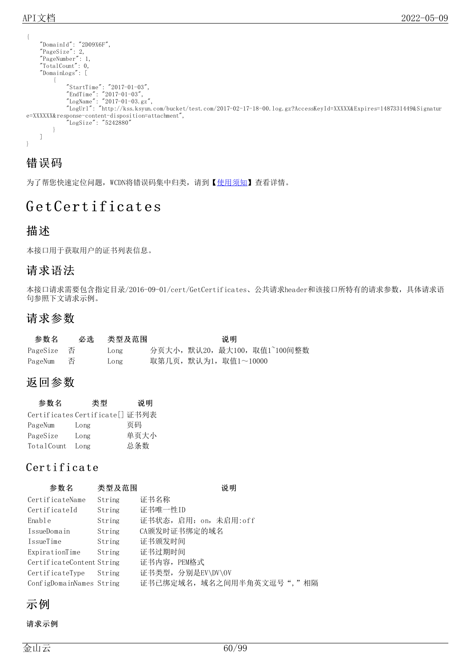```
{
    "DomainId": "2D09X6F",
    "PageSize": 2,
    "PageNumber": 1,
    "TotalCount": 0,
    "DomainLogs": [
        {
            "StartTime": "2017-01-03",
            "EndTime": "2017-01-03",
            "LogName": "2017-01-03.gz",
            "LogUrl": "http://kss.ksyun.com/bucket/test.com/2017-02-17-18-00.log.gz?AccessKeyId=XXXXX&Expires=1487331449&Signatur
e=XXXXXX&response-content-disposition=attachment",
            "LogSize": "5242880"
        }
   ]
}
```
### 错误码

为了帮您快速定位问题, WCDN将错误码集中归类, 请到【[使用须知](https://docs.ksyun.com/documents/41619#4)】查看详情。

# Get Certificates

### 描述

本接口用于获取用户的证书列表信息。

### 请求语法

本接口请求需要包含指定目录/2016-09-01/cert/GetCertificates、公共请求header和该接口所特有的请求参数,具体请求语 句参照下文请求示例。

### 请求参数

| 参数名       | 必选 类型及范围 |                     | 说明 |                            |
|-----------|----------|---------------------|----|----------------------------|
|           | Long     |                     |    | 分页大小,默认20,最大100,取值1~100间整数 |
| PageNum 否 | Long     | 取第几页,默认为1,取值1~10000 |    |                            |

### 返回参数

| 参数名        | 类型                              | 说明   |
|------------|---------------------------------|------|
|            | Certificates Certificate[] 证书列表 |      |
| PageNum    | Long                            | 页码   |
| PageSize   | Long                            | 单页大小 |
| TotalCount | Long                            | 总条数  |

### Certifica te

| 参数名                       | 类型及范围  | 说明                        |
|---------------------------|--------|---------------------------|
| CertificateName           | String | 证书名称                      |
| CertificateId             | String | 证书唯一性ID                   |
| Enable                    | String | 证书状态, 启用: on, 未启用:off     |
| IssueDomain               | String | CA颁发时证书绑定的域名              |
| IssueTime                 | String | 证书颁发时间                    |
| ExpirationTime            | String | 证书过期时间                    |
| CertificateContent String |        | 证书内容,PEM格式                |
| CertificateType           | String | 证书类型, 分别是EV\DV\OV         |
| ConfigDomainNames String  |        | 证书已绑定域名, 域名之间用半角英文逗号","相隔 |

示例

请求示例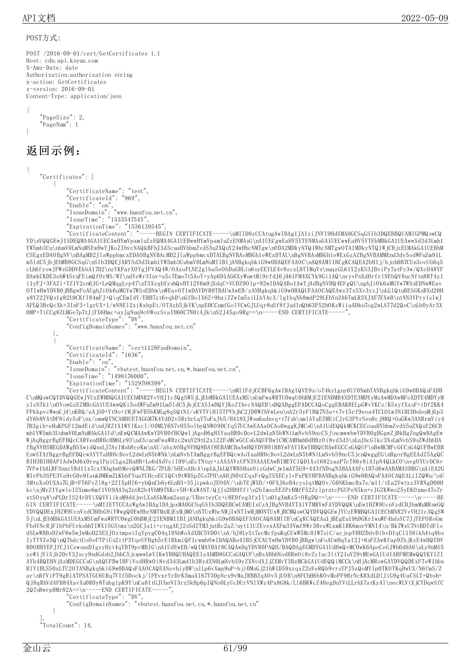#### POST方式:

```
POST /2016-09-01/cert/GetCertificates 1.1
Host: cdn.api.ksyun.com
X-Amz-Date: date
Authorization:authorization string
x-action: GetCertificates
x-version: 2016-09-01
Content-Type: application/json
```
{ "PageSize": 2, "PageNum": 1 }

### 返回示例:

{

"Certificates": [ { "CertificateName": "test", "CertificateId": "969", "Enable": "on", "IssueDomain": "www.huanfou.net.cn", "IssueTime": "1533547545", "ExpirationTime": "1536139545",

"CertificateContent": "-----BEGIN CERTIFICATE-----\nMIID8zCCAtugAwIBAgIJAIziJNVI9HdSMA0GCSqGSIb3DQEBBQUAMIGPMQswCQ YD\nVQQGEwJISDEQMA4GA1UECAwHYmVpamluZzEQMA4GA1UEBwwHYmVpamluZzENMAsG\nA1UECgwEaHV5YTENMAsGA1UECwwEaHV5YTEbMBkGA1UEAwwSd3d3Lmh1 YW5mb3Uu\nbmV0LmNuMSEwHwYJKoZIhvcNAQkBFhJ3d3cuaHVhbmZvdS5uZXQuY24wHhcNMTgw\nODA2MDkyNTQ1WhcNMTgwOTA1MDkyNTQ1WjCBjzELMAkGA1UEBhM CSEgxEDAOBgNV\nBAgMB2JlaWppbmcxEDAOBgNVBAcMB2JlaWppbmcxDTALBgNVBAoMBGh1eWExDTAL\nBgNVBAsMBGh1eWExGzAZBgNVBAMMEnd3dy5odWFuZm91L m5ldC5jbjEhMB8GCSqG\nSIb3DQEJARYSd3d3Lmh1YW5mb3UubmV0LmNuMIIBIjANBgkqhkiG9w0BAQEFAAOC\nAQ8AMIIBCgKCAQEA2bH1j/bjoh0B7CUn3ovUG6q5 cLh6fyowJPWzGDDVEkbA17H2\nzYKParXOYgJFVAQ4W/OAxoFLNE2glba5eObDaGHLiu6syEEYLE4v8zczL9TIMqVs\nuqzGL61Y2zKS3JBviPy7atFy3w/QXcH48YF DAwkCKDE3ehW4SruFEimQfOrMS/WZ\ndYeWr3Iuv+a5c7Emo7t5AoY+yAp6D1AG6XyWuwtMi9rfdJ6j461FM4XCYk9Gi1AQ\nvyvPnXd0rfrlNEbQV8ucNftn8RT4z1 i1yFJ+3FAZl+TZ1V2cn6JG+LeQMqgLvp47\nTSXzqhYyshQeBY12Y6m9jXdqC+VUDZ9Olp+92wIDAQABo1AwTjAdBgNVHQ4EFgQU\nghJiOk6aMGYw7WSsEDNwWEav OTIwHwYDVR0jBBgwFoAUghJiOk6aMGYw7WSsEDNw\nWEavOTIwDAYDVR0TBAUwAwEB/zANBgkqhkiG9w0BAQUFAAOCAQEAwz3Tx5Xv3yzJ\nLGlQtuBESGKsRXd20H x8YZ2JVQs1g82L9CKfI84mFJ+QiqCEmIdY/ERB7zt6vqbD\nGfBoIX6Z+9hxiZZwIm5ziLLbYAcX/lg1bqNb8mdP29LEhYn3A6TmLR3XJAF7EXwB\ntNN3VPry1sIwJ APLQ3BvQcXk+3InF3+lgrUX+1/wNNEl2xiKxbpEt/OTAzh3jkYK\npE0CCnmfGoIVCwGJLUqr8uSf8fJud1nQh63P52hOKzWiiaADku7og2wLAT7d2QoC\nLb0yAr3X 0MP+TiCCg8ZLMGe7p7tJjTX6Hmc+ayJgNuq9cOWozSvaIH60C7N0iAJk\nS2J45go9Rg==\n-----END CERTIFICATE-----",

"CertificateType": "DV",

"ConfigDomainNames": "www.huanfou.net.cn"

}, {

"CertificateName": "cert1128FanDomain",

"CertificateId": "1636",

"Enable": "on",

"IssueDomain": "vbutest.huanfou.net.cn,\*.huanfou.net.cn",

"IssueTime": "1498176000",

"ExpirationTime": "1529798399",

"CertificateContent": "-----BEGIN CERTIFICATE-----\nMIIFdjCCBF6gAwIBAgIQVE9s/oT4krLguy6Uf0NmhTANBgkqhkiG9w0BAQsFADB C\nMQswCQYDVQQGEwJVUzEWMBQGA1UEChMNR2VvVHJ1c3QgSW5jLjEbMBkGA1UEAxMS\nUmFwaWRTU0wgU0hBMjU2IENBMB4XDTE3MDYyMzAwMDAwMFoXDTE4MDYyM zIzNTk1\nOVowGzEZMBcGA1UEAwwQKi5odWFuZm91Lm5ldC5jbjCCASIwDQYJKoZIhvcNAQEB\nBQADggEPADCCAQoCggEBAKRELpGWvYKCz/K5xyfXxsF+iDf2KK4 FPkkpvcWwuCj4\nKRQ/aAjS0+Yt9o+1MjFwFB5bKMLg8qSQtN1/sKVTViH15TPVhjhC2JD0WfhVwLeu\nA2r3yFlBQ7N3a+v7v15rf9eoa4TCLOLw3N1BUDbdeuMjGp3 dY6b8VAtDF8idy5sF\nx/omwQTNCAMBUETAGGM7K4YdD2v5RrhrLqYTuFxJb5/H418XJWsu6adnvq+t7fsh\nmlAYaEZMEiCJrG3PVrSen8cj9RQ+GuGKw3ANRrmViy4 7B3gih+eHuKPGF12mdEid\ndJRZ1X1WYlKzcI/O0MLY6N7vH55olhyQNWO9DCfqS7UCAwEAAaOCAo0wggKJMCsG\nA1UdEQQkMCKCECouaHVhbmZvdS5uZXQuY26CD mh1YW5mb3UubmV0LmNuMAkGA1Ud\nEwQCMAAwKwYDVR0fBCQwIjAgoB6gHIYaaHR0cDovL2dwLnN5bWNiLmNvbS9ncC5j\ncmwwbwYDVR0gBGgwZjBkBgZngQwBAgEw WjAqBggrBgEFBQcCARYeaHR0cHM6Ly93\nd3cucmFwaWRzc2wuY29tL2xlZ2FsMCwGCCsGAQUFBwICMCAMHmh0dHBz0i8vd3d3\nLnJhcGlkc3NsLmNvbS9sZWdhbDA fBgNVHSMEGDAWgBSXwidQnsLJ7AyIMsh8reKm\nAU/abzAOBgNVHQ8BAf8EBAMCBaAwHQYDVR0lBBYwFAYIKwYBBQUHAwEGCCsGAQUF\nBwMCMFcGCCsGAQUFBwEBB EswSTAfBggrBgEFBQcwAYYTaHR0cDovL2dwLnN5bWNk\nLmNvbTAmBggrBgEFBQcwAoYaaHR0cDovL2dwLnN5bWNiLmNvbS9ncC5jcnQwggEG\nBgorBgEEAdZ5AgQC BIH3BIH0APIAdwDd6x0reg1PpiCLga2BaHB+Lo6dAdVciI09\nEcTNtuy+zAAAAVzUFN3NAAAEAwBIMEYCIQD1Xs1682zaaP7cT86y8iAIpN4QLkCO\nvgOYUrDC6v 7VFwIhALRF3nnzY8d11x7cxfKhghnOMevQWNL7KG/7PLD/bHEoAHcA\npLkJkLQYWBSHuxOizGdwCjw1mAT5G9+443fNDsgN3BAAAAFc1BTd6wAABAMASDBG\nAiEA2G MIrPb3SPE3Va9rG0e9IankDMKmZLKbbFYuaYUHcoECIQCt9tWBSpZGs7PH\nAHjN0tCCqxFrQgZSXECylvPxPKYHPDANBgkqhkiG9w0BAQsFAAOCAQEALiIZQWu/\nU 3MtoXoOUXAs7GjB+FT6FvZl8g+2ZIXpHI6+ybQnCb6y6LnB3+35jipwkoJEO0V/\nbTEjWXD/+0FXJ6eB4cys1qtMQOv/G0NKbmcBx7s/m1I/tEa2Vwtxz3VRNgD00H kc\njMyZ1YgwleIZXnme6mf1VO9AA3q2ntR2b4VhM97XKcv5H+KxWANT/QJJs2HB9Yfi\n2bImszEEZPrBMfF52ZrlprntcPGUPeN5kn+vJGZKWwo25yEKOxme47o7r xtSOyq8\nPLDrIS24rDYiXQVViiksM9ddjnvLXsASkMam2auyg/UBnvteyCz+c8E9feg3fxIl\n01gXmKz5+ORgDQ==\n-----END CERTIFICATE-----\n-----BE GIN CERTIFICATE-----\nMIIETTCCAzWgAwIBAgIDAjpxMA0GCSqGSIb3DQEBCwUAMEIxCzAJBgNVBAYTAlVTMRYwFAYDVQQK\nEw1HZW9UcnVzdCBJbmMuMRswGQ YDVQQDExJHZW9UcnVzdCBHbG9iYWwgQ0EwHhcNMTMxMjExMjM0\nNTUxWhcNMjIwNTIwMjM0NTUxWjBCMQswCQYDVQQGEwJVUzEWMBQGA1UEChMNR2VvVHJ1c3QgSW 5j\nLjEbMBkGA1UEAxMSUmFwaWRTU0wgU0hBMjU2IENBMIIBIjANBgkqhkiG9w0BAQEFAAOCAQ8AMIIB\nCgKCAQEAu1jBEgEul9h9GKrIwuWF4hdsYC7JjTEFORoGm FbdVNcRjFlbPbFUrkshhTIWX1SG5tmx\n2GCJa1i+ctqgAEJ2sSdZTM3jutRc2aZ/uyt11UZEvexAXFm33Vmf8Wr3BvzWLxmKlRK6msrVMNI4\n/Bk7WxU7NtBDTdFlo dSLwWBBs9ZwF8w5wJwMoD23ESJOztmpetIqYpygC04q18NhWoXdXBC5VD0t\nA/hJ8LySt7ecMcfpuKqCCwW5Mc0IW7siC/acjopVHHZDdvDibvDfqCl158ikh4tq8bs IyTYYZe5Q\nQ7hdctUoOeFTPiUs2itP3YqeUFDgb5rE1RkmiQF1cwmbOwIDAQABo4IBSjCCAUYwHwYDVR0jBBgw\nFoAUwHqYaI2J+6sFZAwRfap9ZbjKzE4wHQYDV R0OBBYEFJfCJ1CewsnsDIgvyHyt4qYBT9pvMBIG\nA1UdEwEB/wQIMAYBAf8CAQAwDgYDVR0PAQH/BAQDAgEGMDYGA1UdHwQvMC0wK6ApoCeGJWh0dHA6\nLy9nMS5 zeW1jYi5jb20vY3Jscy9ndGdsb2JhbC5jcmwwLwYIKwYBBQUHAQEEIzAhMB8GCCsGAQUF\nBzABhhNodHRwOi8vZzIuc3ltY2IuY29tMEwGA1UdIARFMEMwQQYKYIZI AYb4RQEHNjAzMDEGCCsG\nAQUFBwIBFiVodHRwOi8vd3d3Lmdlb3RydXN0LmNvbS9yZXNvdXJjZXMvY3BzMCkGA1UdEQQiMCCk\nHjAcMRowGAYDVQQDExFTeW1hbn RlY1BLSS0xLTU2OTANBgkqhkiG9w0BAQsFAAOCAQEANevhiyBW\nlLp6vXmp9uP+bji0MsGj21hWID59xzqxZ2nVeRQb9vrsYPJ5zQoMYIp0TKOTKqDwUX/N6fmS/Z ar\nRfViPT9gRlATPSATGC6URq7VIf5Dockj/lPEvxrYrDrK3maXI67T30pNcx9vMaJRBBZqAOv5jUOB\n8FChH6bKOvMoPF9RrNcKRXdLDlJiG9g4UaCSLT+Qbsh+ QJ8gRhVd4FB84XavXu0R0y8TubglpK9Y\nCa81tGJUheNI3rzSkHp6pIQNo0LyUcDUrVNlXWz4Px8G8k/Ll6BKWcZ40egDuYVtLLrhX7atKz4l\necWLVtXjCYDqwSfC 2Q7sRwrp0Mr82A==\n-----END CERTIFICATE-----

"CertificateType": "DV",

"ConfigDomainNames": "vbutest.huanfou.net.cn,\*.huanfou.net.cn"

} ],

TotalCount": 14.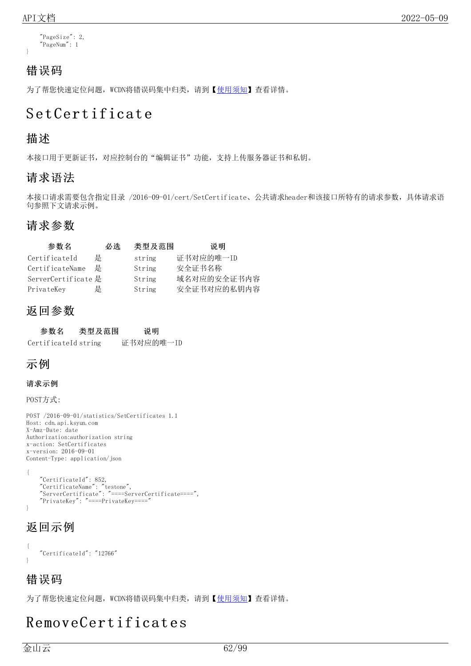}

```
"PageSize": 2,
"PageNum": 1
```
### 错误码

为了帮您快速定位问题, WCDN将错误码集中归类, 请到【[使用须知](https://docs.ksyun.com/documents/41619#4)】查看详情。

# Set Cert ificate

### 描述

本接口用于更新证书,对应控制台的"编辑证书"功能,支持上传服务器证书和私钥。

### 请求语法

本接口请求需要包含指定目录 /2016-09-01/cert/SetCertificate、公共请求header和该接口所特有的请求参数,具体请求语 句参照下文请求示例。

### 请求参数

| 参数名                 | 必选 | 类型及范围  | 说明          |
|---------------------|----|--------|-------------|
| CertificateId       | 是  | string | 证书对应的唯一ID   |
| CertificateName     | 是  | String | 安全证书名称      |
| ServerCertificate 是 |    | String | 域名对应的安全证书内容 |
| PrivateKey          | 是  | String | 安全证书对应的私钥内容 |

### 返回参数

| 参数名                  | 类型及范围 | 说明        |
|----------------------|-------|-----------|
| CertificateId string |       | 证书对应的唯一ID |

### 示例

#### 请求示例

POST方式:

```
POST /2016-09-01/statistics/SetCertificates 1.1
Host: cdn.api.ksyun.com
X-Amz-Date: date
Authorization:authorization string
x-action: SetCertificates
x-version: 2016-09-01
Content-Type: application/json
```

```
{
    "CertificateId": 852,
    "CertificateName": "testone",
    "ServerCertificate": "====ServerCertificate====",
    "PrivateKey": "====PrivateKey===="
}
```
### 返回示例

```
{
    "CertificateId": "12766"
}
```
### 错误码

为了帮您快速定位问题, WCDN将错误码集中归类, 请到【[使用须知](https://docs.ksyun.com/documents/41619#4)】查看详情。

# RemoveCert ificat es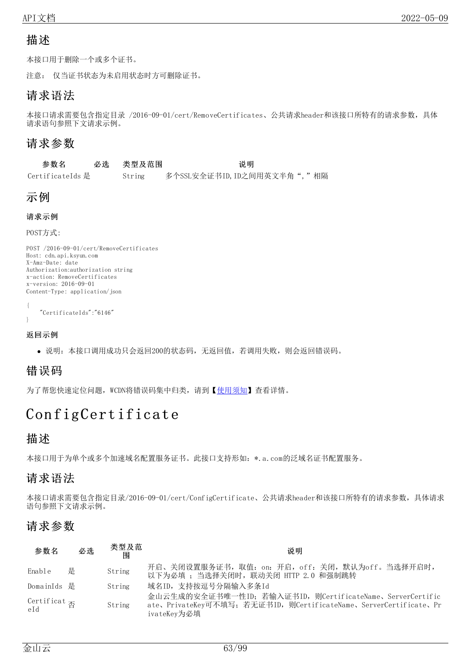### 描述

本接口用于删除一个或多个证书。

注意: 仅当证书状态为未启用状态时方可删除证书。

### 请求语法

本接口请求需要包含指定目录 /2016-09-01/cert/RemoveCertificates、公共请求header和该接口所特有的请求参数,具体 请求语句参照下文请求示例。

### 请求参数

| 参数名              | 必选 类型及范围 | 说明                           |  |
|------------------|----------|------------------------------|--|
| CertificateIds 是 | String   | 多个SSL安全证书ID, ID之间用英文半角", "相隔 |  |

### 示例

```
请求示例
```
POST方式:

```
POST /2016-09-01/cert/RemoveCertificates
Host: cdn.api.ksyun.com
X-Amz-Date: date
Authorization:authorization string
x-action: RemoveCertificates
x-version: 2016-09-01
Content-Type: application/json
```

```
{
    "CertificateIds":"6146"
}
```
#### 返回示例

说明:本接口调用成功只会返回200的状态码,无返回值,若调用失败,则会返回错误码。

### 错误码

为了帮您快速定位问题, WCDN将错误码集中归类, 请到【[使用须知](https://docs.ksyun.com/documents/41619#4)】查看详情。

# ConfigCertificate

### 描述

本接口用于为单个或多个加速域名配置服务证书。此接口支持形如:\*.a.com的泛域名证书配置服务。

### 请求语法

本接口请求需要包含指定目录/2016-09-01/cert/ConfigCertificate、公共请求header和该接口所特有的请求参数,具体请求 语句参照下文请求示例。

### 请求参数

| 参数名                                       | 必选 | 类型及范<br>闱 | 说明                                                                                                                                            |
|-------------------------------------------|----|-----------|-----------------------------------------------------------------------------------------------------------------------------------------------|
| Enable                                    | 是  | String    | 开启、关闭设置服务证书, 取值: on: 开启, off: 关闭, 默认为off。当选择开启时,<br>以下为必填; 当选择关闭时, 联动关闭 HTTP 2.0 和强制跳转                                                        |
| DomainIds 是                               |    | String    | 域名ID,支持按逗号分隔输入多条Id                                                                                                                            |
| Certificat $\mathop{\oplus}_\mathrm{eId}$ |    | String    | 金山云生成的安全证书唯一性ID; 若输入证书ID, 则CertificateName、ServerCertific<br>ate、PrivateKey可不填写; 若无证书ID, 则CertificateName、ServerCertificate、Pr<br>ivateKev为必填 |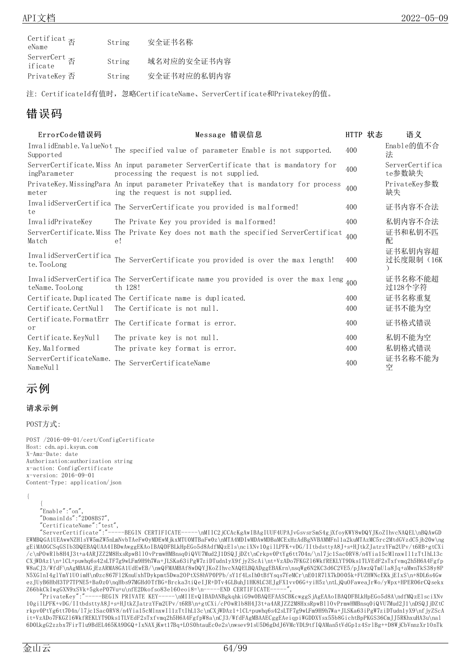| Certificat $\overline{\mathbb{B}}$<br>eName | String | 安全证书名称      |
|---------------------------------------------|--------|-------------|
| ServerCert $\overline{\mathbb{B}}$ if icate | String | 域名对应的安全证书内容 |
| PrivateKey 否                                | String | 安全证书对应的私钥内容 |

注: CertificateId有值时,忽略CertificateName、ServerCertificate和Privatekey的值。

### 错误码

| ErrorCode错误码                          | Message 错误信息                                                                                                                  | HTTP 状态 | 语义                        |
|---------------------------------------|-------------------------------------------------------------------------------------------------------------------------------|---------|---------------------------|
| Supported                             | InvalidEnable.ValueNot The specified value of parameter Enable is not supported.                                              | 400     | Enable的值不合<br>法           |
| ingParameter                          | ServerCertificate. Miss An input parameter ServerCertificate that is mandatory for<br>processing the request is not supplied. | 400     | ServerCertifica<br>te参数缺失 |
| meter                                 | PrivateKey.MissingPara An input parameter PrivateKey that is mandatory for process<br>ing the request is not supplied.        | 400     | PrivateKey参数<br>缺失        |
| InvalidServerCertifica<br>te          | The ServerCertificate you provided is malformed!                                                                              | 400     | 证书内容不合法                   |
| InvalidPrivateKey                     | The Private Key you provided is malformed!                                                                                    | 400     | 私钥内容不合法                   |
| Match                                 | ServerCertificate. Miss The Private Key does not math the specified ServerCertificat<br>e!                                    | 400     | 证书和私钥不匹<br>配              |
| InvalidServerCertifica<br>te. TooLong | The ServerCertificate you provided is over the max length!                                                                    | 400     | 证书私钥内容超<br>过长度限制(16K      |
| teName. TooLong                       | InvalidServerCertifica The ServerCertificate name you provided is over the max leng <sub>400</sub><br>th 128!                 |         | 证书名称不能超<br>过128个字符        |
|                                       | Certificate.Duplicated The Certificate name is duplicated.                                                                    | 400     | 证书名称重复                    |
| Certificate.CertNull                  | The Certificate is not null.                                                                                                  | 400     | 证书不能为空                    |
| Certificate. FormatErr<br>or          | The Certificate format is error.                                                                                              | 400     | 证书格式错误                    |
| Certificate. KeyNull                  | The private key is not null.                                                                                                  | 400     | 私钥不能为空                    |
| Key. Malformed                        | The private key format is error.                                                                                              | 400     | 私钥格式错误                    |
| ServerCertificateName.<br>NameNul 1   | The ServerCertificateName                                                                                                     | 400     | 证书名称不能为<br>空              |

### 示例

#### 请求示例

POST方式:

{

POST /2016-09-01/cert/ConfigCertificate Host: cdn.api.ksyun.com X-Amz-Date: date Authorization:authorization string x-action: ConfigCertificate x-version: 2016-09-01 Content-Type: application/json

{ "Enable":"on", "DomainIds":"2D08BS7", "CertificateName":"test",

"ServerCertificate":"-----BEGIN CERTIFICATE-----\nMIIC2jCCAcKgAwIBAgIUUF4UPAJvGsvsrSmS4gjXfoyKWY8wDQYJKoZIhvcNAQEL\nBQAwGD EWMBQGA1UEAwwNZHlsYW5mZW5nLmNvbTAeFw0yMDEwMjkxMTU0MTBaFw0z\nMTA4MDIwMDAwMDBaMCExHzAdBgNVBAMMFnl1a2kuMTAzMC5rc2MtdGVzdC5jb20w\ng gEiMA0GCSqGSIb3DQEBAQUAA4IBDwAwggEKAoIBAQDFBLkHpEGo5d8AdfMQzEls\nciXNv10gilLPFK+vDG/IItbdsttyA8J+s+HJtkZJatrzYFm2UPv/t6RB+gtCXi /c\nPOwRlb8H4J3t+a4ARJZZ2M8HxsRpwBllOvPrmwHMBnsq0iQVU7Mud2J1DSQJjDZt\nCrkpv0PtYg6tt704n/\nl7jc1Sac0RV8/n4Yia15cMlnxwIl1zTtIhL13c CXjWDAz1\n+lCL+puwhq6s42sLTF7g9wLFm9H9h7Wa+JLSKa63iPgW7ziDTudn1yX9fjyZScAi\nt+VzADo7FKGZl6WkfREKLYT9Dks1TLVEdF2sTxfvmq2h5H6A4Fgfp W8aCJ3/WfdF\nAgMBAAGjEzARMA8GA1UdEwEB/\nwQFMAMBAf8wDQYJKoZIhvcNAQELBQADggEBAKrn\nsqWg6N2KC3d6C2VE5/pJAwzQTmUla8Jq+aMwnTkS38y8P N5XGlnI4glYmY1UOimH\n0zc867Fl2KnuUxhTDykpmt5Dwa2OPtXS8hVP0PPb/sY1f4LsIh0tBfYsqs7YeMCr\nE01R7lX7kDO05k+FUZHWNcEKkjEIxS\n+8DL6s4Gw ezJUyB6HbH3TP7TPNE5+Ba0z0\nqHbs97MGHdOTfBG+Brcka3tiQeIJR+DTv4GLBuhJ1HK8LC3EJgFX1vv06G+yiH5z\ntLjQuOFaweaJrWo/yWpx+HPER06rCQsekx Z66bkCkIwgGXN9xSVk+5gkeP07Vu+u\nfE2Dkofso83e16Oeoi8=\n----END CERTIFICATE-

"PrivateKey":"-----BEGIN PRIVATE KEY-----\nMIIEvQIBADANBgkqhkiG9w0BAQEFAASCBKcwggSjAgEAAoIBAQDFBLkHpEGo5d8A\ndfMQzElsciXNv 10gilLPFK+vDG/IItbdsttyA8J+s+HJtkZJatrzYFm2UPv/t6RB\n+gtCXi/cPOwRlb8H4J3t+a4ARJZZ2M8HxsRpwBllOvPrmwHMBnsq0iQVU7Mud2J1\nDSQJjDZtC rkpv0PtYg6tt704n/l7jc1Sac0RV8/n4Yia15cMlnxwIl1zTtIhL13c\nCXjWDAz1+lCL+puwhq6s42sLTF7g9wLFm9H9h7Wa+JLSKa63iPgW7ziDTudn1yX9\nfjyZScA it+VzADo7FKGZl6WkfREKLYT9Dks1TLVEdF2sTxfvmq2h5H6A4FgfpW8a\nCJ3/WfdFAgMBAAECggEAeiqpiWGDDXYsx55b8GichtBpPKGS36CmJJ5RKhxuHA3u\nal 6D0LkgG2zzbx7FirTlu9BdEL465KA9DGQ+IxNAXjKwt17Bq+LOS0htauEc0e2s\nwsev91sU5D6gDdJ6VMcYDL9tfIQAMan5tVdGp1z4SrlBg++D8WjCbVnnzXr1OnTk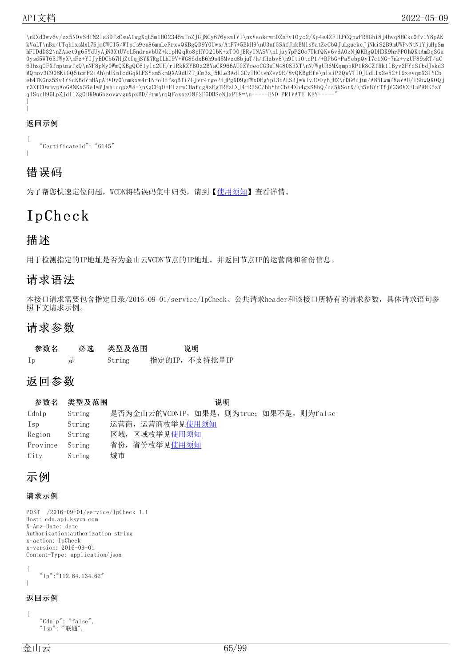\n9Xd3wv6v/zz5NOvSdfN2la3DfsCsuA1wgXqL5m1HO2345wToZJGjNCy676ysmIVl\nxVaokrwm0ZnFv1Oyo2/Xp4e4ZFILFCQpwFRHGhi8j4hvq8HCku0fv1Y8pAK kVaLT\nBz/UTqhixsMxL7SjmCWCI5/WIpfs9en86mnLeFrxwQKBgQD9Y0Uws/AtF7+5BkH9\nU3nfGSAfJnkBMlsYatZeCbQJuLguckcJjNkiS2B9mUWPvNtN1YjuHpSm hFUDdD32\nZAset9g65YdUyAjN3XtUVoL5ndrnvbUZ+kipHQqRo8pHYO2lbK+xTO0jERyUNASV\nljay7pP20o7TkfQKv6vdA0zNjQKBgQDHDK9hrPPOhQKtAmDqSGa 0ysd5WT6EfWyX\nFz+YIJyEDCb67HjZtIqjSYK7RgILhU9V+WG8SdxB6h9s45Mvzu8bjuT/h/fHzbv8\n9ItiOtcP1/+BPbG+PaYebpQvI7c1NG+7nk+vzUF89sRT/aC 6lhxqOFXfnptmwfxQ\nNF8pNy0WmQKBgQC61ylc2UH/riRkRZYBOz2BYaCK966AUGZVoeoCG3uTM480SHXT\nN/WgUR6MXqmpbKP1R8CZfRk1lByv2FYcSfbdJskd3 MQmov3C908KiGQ5tcmF2iAh\nUKmlcdGqRLFSYsm5kmQXA9dUZTjCm3zJ5KLe3AdlGCvTHCtshZsv9E/8vQKBgEfe\nlaiP2QwVTI0JUdLlx2e52+I9zevqmX3IYCb eh4TKGnz5Sv1YScKBdVmHApAEV0v0\nmkxw4r1N+oDHfsqBTiZGJvr4rgePijPgXD9gfWx0EgYpL3dALS3JwWlv3OOyBjHZ\nDG6ujtm/A85Lwm/8aVAU/TSbwQKOQj r3XfC0wmvpAoGANKx56eIwMJwh+dqpzW8+\nXgCFqO+FIzrwCHafqgAzEgTREzLXJ4rR2SC/bbYhtCb+4Xb4gzS8bQ/ca5kSotX/\n5vBYfTfjVG36VZFLuPA8K5zY qlSqqH96LpZJdI1ZgODK9u6bzovwvguXpzBD/Prm\nqQFaxxzO8P2F6DBSeNJxPT8=\n-----END PRIVATE KEY-}

#### 返回示例

}

```
{
    "CertificateId": "6145"
}
```
### 错误码

为了帮您快速定位问题, WCDN将错误码集中归类, 请到【[使用须知](https://docs.ksyun.com/documents/41619#4)】查看详情。

# Ip Ch eck

### 描述

用于检测指定的IP地址是否为金山云WCDN节点的IP地址。并返回节点IP的运营商和省份信息。

### 请求语法

本接口请求需要包含指定目录/2016-09-01/service/IpCheck、公共请求header和该接口所特有的请求参数,具体请求语句参 照下文请求示例。

### 请求参数

| 参数名 |   | 必选 类型及范围 | 说明            |
|-----|---|----------|---------------|
| Ip  | 是 | String   | 指定的IP,不支持批量IP |

### 返回参数

参数名 类型及范围 说明 CdnIp String 是否为金山云的WCDNIP, 如果是, 则为true; 如果不是, 则为false Isp String 运营商,运营商枚举见[使用须知](https://docs.ksyun.com/documents/196#38) Region String 区域, 区域枚举[见使用须知](https://docs.ksyun.com/documents/196#36) Province String 省份,省份枚举[见使用须知](https://docs.ksyun.com/documents/196#37) City String 城市

### 示例

#### 请求示例

POST /2016-09-01/service/IpCheck 1.1 Host: cdn.api.ksyun.com X-Amz-Date: date Authorization:authorization string x-action: IpCheck x-version: 2016-09-01 Content-Type: application/json

{ "Ip":"112.84.134.62" }

#### 返回示例

```
{
    "CdnIp": "false",
    "Isp": "联通",
```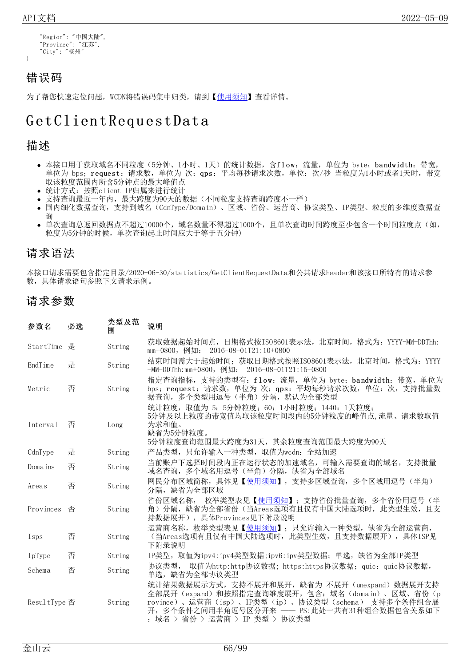}

```
"Region": "中国大陆",
"Province": "江苏",
"City": "扬州"
```
### 错误码

为了帮您快速定位问题, WCDN将错误码集中归类, 请到【[使用须知](https://docs.ksyun.com/documents/41619#4)】查看详情。

# Get Client Request Data

### 描述

- 本接口用于获取域名不同粒度(5分钟、1小时、1天)的统计数据,含flow: 流量,单位为 byte; bandwidth: 带宽, 单位为 bps; request: 请求数, 单位为 次; qps: 平均每秒请求次数, 单位: 次/秒 当粒度为1小时或者1天时, 带宽 取该粒度范围内所含5分钟点的最大峰值点
- 统计方式:按照client IP归属来进行统计
- 支持查询最近一年内,最大跨度为90天的数据(不同粒度支持查询跨度不一样)  $\bullet$
- 国内细化数据查询,支持到域名(CdnType/Domain)、区域、省份、运营商、协议类型、IP类型、粒度的多维度数据查 询
- 单次查询总返回数据点不超过10000个, 域名数量不得超过1000个, 且单次查询时间跨度至少包含一个时间粒度点(如, 粒度为5分钟的时候,单次查询起止时间应大于等于五分钟)

### 请求语法

本接口请求需要包含指定目录/2020-06-30/statistics/GetClientRequestData和公共请求header和该接口所特有的请求参 数,具体请求语句参照下文请求示例。

### 请求参数

| 参数名          | 必选 | 类型及范<br>围 | 说明                                                                                                                                                                                                                                           |
|--------------|----|-----------|----------------------------------------------------------------------------------------------------------------------------------------------------------------------------------------------------------------------------------------------|
| StartTime 是  |    | String    | 获取数据起始时间点,日期格式按ISO8601表示法,北京时间,格式为: YYYY-MM-DDThh:<br>mm+0800,例如: 2016-08-01T21:10+0800                                                                                                                                                      |
| EndTime      | 是  | String    | 结束时间需大于起始时间; 获取日期格式按照IS08601表示法, 北京时间, 格式为: YYYY<br>-MM-DDThh:mm+0800, 例如: 2016-08-01T21:15+0800                                                                                                                                             |
| Metric       | 否  | String    | 指定查询指标, 支持的类型有: flow: 流量, 单位为 byte; bandwidth: 带宽, 单位为<br>bps; request: 请求数,单位为 次; qps: 平均每秒请求次数,单位: 次,支持批量数<br>据查询, 多个类型用逗号(半角) 分隔, 默认为全部类型                                                                                                 |
| Interval     | 否  | Long      | 统计粒度, 取值为 5: 5分钟粒度; 60: 1小时粒度; 1440: 1天粒度;<br>5分钟及以上粒度的带宽值均取该粒度时间段内的5分钟粒度的峰值点,流量、请求数取值<br>为求和值。<br>缺省为5分钟粒度。<br>5分钟粒度查询范围最大跨度为31天,其余粒度查询范围最大跨度为90天                                                                                           |
| CdnType      | 是  | String    | 产品类型, 只允许输入一种类型, 取值为wcdn: 全站加速                                                                                                                                                                                                               |
| Domains      | 否  | String    | 当前账户下选择时间段内正在运行状态的加速域名,可输入需要查询的域名,支持批量<br>域名查询, 多个域名用逗号 (半角) 分隔, 缺省为全部域名                                                                                                                                                                     |
| Areas        | 否  | String    | 网民分布区域简称,具体见【使用须知】,支持多区域查询,多个区域用逗号(半角)<br>分隔, 缺省为全部区域                                                                                                                                                                                        |
| Provinces    | 否  | String    | 省份区域名称, 枚举类型表见【使用须知】; 支持省份批量查询, 多个省份用逗号(半<br>角) 分隔, 缺省为全部省份(当Areas选项有且仅有中国大陆选项时, 此类型生效, 且支<br>持数据展开),具体Provinces见下附录说明                                                                                                                       |
| Isps         | 否  | String    | 运营商名称,枚举类型表见【使用须知】; 只允许输入一种类型,缺省为全部运营商,<br>(当Areas选项有且仅有中国大陆选项时, 此类型生效, 且支持数据展开), 具体ISP见<br>下附录说明                                                                                                                                            |
| IpType       | 否  | String    | IP类型, 取值为ipv4:ipv4类型数据;ipv6:ipv类型数据; 单选, 缺省为全部IP类型                                                                                                                                                                                           |
| Schema       | 否  | String    | 协议类型, 取值为http:http协议数据; https:https协议数据; quic: quic协议数据,<br>单选, 缺省为全部协议类型                                                                                                                                                                    |
| ResultType 否 |    | String    | 统计结果数据展示方式, 支持不展开和展开, 缺省为 不展开 (unexpand) 数据展开支持<br>全部展开 (expand) 和按照指定查询维度展开, 包含: 域名 (domain) 、区域、省份 (p<br>rovince)、运营商(isp)、IP类型(ip)、协议类型(schema) 支持多个条件组合展<br>开,多个条件之间用半角逗号区分开来 —— PS:此处一共有31种组合数据包含关系如下<br>: 域名 > 省份 > 运营商 > IP 类型 > 协议类型 |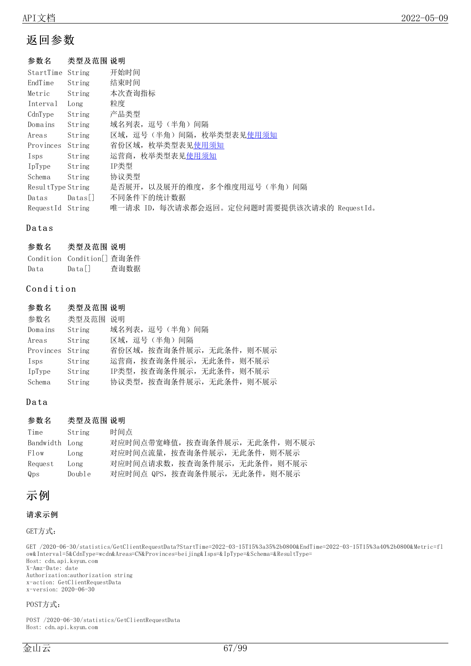### 返回参数

#### 参数名 类型及范围 说明

| StartTime         | String         | 开始时间                                        |
|-------------------|----------------|---------------------------------------------|
| EndTime           | String         | 结束时间                                        |
| Metric            | String         | 本次查询指标                                      |
| Interval          | Long           | 粒度                                          |
| CdnType           | String         | 产品类型                                        |
| Domains           | String         | 域名列表, 逗号 (半角) 间隔                            |
| Areas             | String         | 区域, 逗号(半角)间隔, 枚举类型表见使用须知                    |
| Provinces         | String         | 省份区域, 枚举类型表见使用须知                            |
| Isps              | String         | 运营商, 枚举类型表见使用须知                             |
| IpType            | String         | IP类型                                        |
| Schema            | String         | 协议类型                                        |
| ResultType String |                | 是否展开, 以及展开的维度, 多个维度用逗号(半角) 间隔               |
| Datas             | $\text{Datas}$ | 不同条件下的统计数据                                  |
| RequestId         | String         | 唯一请求 ID, 每次请求都会返回。定位问题时需要提供该次请求的 RequestId。 |

#### **Datas**

#### 参数名 类型及范围 说明

|      | Condition Condition[] 查询条件 |      |
|------|----------------------------|------|
| Data | $Data$                     | 查询数据 |

#### Condition

| 参数名              | 类型及范围 说明 |                           |
|------------------|----------|---------------------------|
| 参数名              | 类型及范围    | 说明                        |
| Domains          | String   | 域名列表, 逗号 (半角) 间隔          |
| Areas            | String   | 区域,逗号(半角)间隔               |
| Provinces String |          | 省份区域,按查询条件展示,无此条件,则不展示    |
| Isps             | String   | 运营商, 按查询条件展示, 无此条件, 则不展示  |
| IpType           | String   | IP类型, 按查询条件展示, 无此条件, 则不展示 |
| Schema           | String   | 协议类型, 按查询条件展示, 无此条件, 则不展示 |

#### Data

#### 参数名 类型及范围 说明

| Time           | String | 时间点                            |
|----------------|--------|--------------------------------|
| Bandwidth Long |        | 对应时间点带宽峰值, 按查询条件展示, 无此条件, 则不展示 |
| Flow           | Long   | 对应时间点流量, 按查询条件展示, 无此条件, 则不展示   |
| Request        | Long   | 对应时间点请求数,按查询条件展示,无此条件,则不展示     |
| Qps            | Double | 对应时间点 QPS, 按查询条件展示, 无此条件, 则不展示 |

### 示例

#### 请求示例

GET方式:

GET /2020-06-30/statistics/GetClientRequestData?StartTime=2022-03-15T15%3a35%2b0800&EndTime=2022-03-15T15%3a40%2b0800&Metric=fl ow&Interval=5&CdnType=wcdn&Areas=CN&Provinces=beijing&Isps=&IpType=&Schema=&ResultType= Host: cdn.api.ksyun.com X-Amz-Date: date Authorization:authorization string

x-action: GetClientRequestData x-version: 2020-06-30

#### POST方式:

POST /2020-06-30/statistics/GetClientRequestData Host: cdn.api.ksyun.com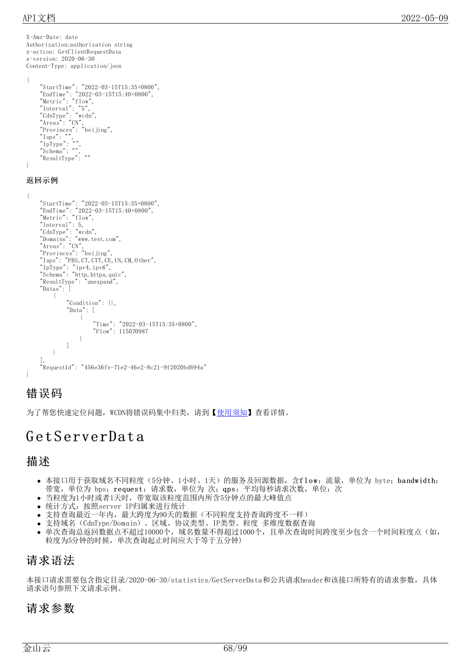X-Amz-Date: date Authorization:authorization string x-action: GetClientRequestData x-version: 2020-06-30 Content-Type: application/json  $\left\{ \right.$ "StartTime": "2022-03-15T15:35+0800", "EndTime": "2022-03-15T15:40+0800", "Metric": "flow", "Interval": "5", "CdnType": "wcdn", "Areas": "CN", "Provinces": "beijing",  $\degree$ Isps $\degree$ :  $\degree$ ",  $\emph{''IpType''}:$   $\emph{''''},$ "Schema": "", "ResultType": "" } 返回示例 { "StartTime": "2022-03-15T15:35+0800", "EndTime": "2022-03-15T15:40+0800", "Metric": "flow", "Interval": 5, "CdnType": "wcdn", "Domains": "www.test.com", "Areas": "CN", "Provinces": "beijing",  $"Isps"$ :  $"PBS, CT, CTT, CE, UN, CM, Other",$ "IpType": "ipv4,ipv6", "Schema": "http, https, quic", "ResultType": "unexpand", "Datas": [ { "Condition": {}, "Data": [ { "Time": "2022-03-15T15:35+0800", "Flow": 115070987 } ] } ], "RequestId": "456e36fe-71e2-46e2-8c21-9f2020bd694a" }

### 错误码

为了帮您快速定位问题, WCDN将错误码集中归类, 请到【[使用须知](https://docs.ksyun.com/documents/41619#4)】查看详情。

# G et S erverDat a

### 描述

- 本接口用于获取域名不同粒度(5分钟、1小时、1天)的服务及回源数据,含flow:流量,单位为 byte; bandwidth: 带宽,单位为 bps; request: 请求数,单位为 次; qps: 平均每秒请求次数, 单位: 次
- 当粒度为1小时或者1天时,带宽取该粒度范围内所含5分钟点的最大峰值点
- 统计方式:按照server IP归属来进行统计
- 支持查询最近一年内,最大跨度为90天的数据(不同粒度支持查询跨度不一样)
- 支持域名(CdnType/Domain)、区域、协议类型、IP类型、粒度 多维度数据查询
- 单次查询总返回数据点不超过10000个, 域名数量不得超过1000个, 且单次查询时间跨度至少包含一个时间粒度点(如, 粒度为5分钟的时候,单次查询起止时间应大于等于五分钟)

### 请求语法

本接口请求需要包含指定目录/2020-06-30/statistics/GetServerData和公共请求header和该接口所特有的请求参数,具体 请求语句参照下文请求示例。

### 请求参数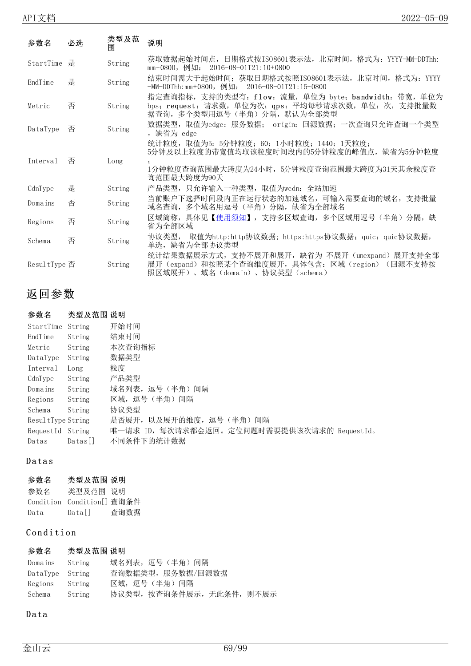| 参数名           | 必选 | 类型及范<br>围 | 说明                                                                                                                                          |
|---------------|----|-----------|---------------------------------------------------------------------------------------------------------------------------------------------|
| StartTime 是   |    | String    | 获取数据起始时间点,日期格式按ISO8601表示法,北京时间,格式为:YYYY-MM-DDThh:<br>$mm+0800$ , 例如: 2016-08-01T21:10+0800                                                  |
| EndTime       | 是  | String    | 结束时间需大于起始时间; 获取日期格式按照ISO8601表示法, 北京时间, 格式为: YYYY<br>$-MM-DDThh:mm+0800$ , 例如: 2016-08-01T21:15+0800                                         |
| Metric        | 否  | String    | 指定查询指标, 支持的类型有: flow: 流量, 单位为 byte; bandwidth: 带宽, 单位为<br>bps; request: 请求数,单位为次; qps: 平均每秒请求次数,单位: 次,支持批量数<br>据查询, 多个类型用逗号(半角) 分隔, 默认为全部类型 |
| DataType      | 否  | String    | 数据类型,取值为edge: 服务数据; origin: 回源数据; 一次查询只允许查询一个类型<br>, 缺省为 edge                                                                               |
|               |    |           | 统计粒度,取值为5: 5分钟粒度; 60: 1小时粒度; 1440: 1天粒度;<br>5分钟及以上粒度的带宽值均取该粒度时间段内的5分钟粒度的峰值点,缺省为5分钟粒度                                                        |
| Interval      | 否  | Long      | 1分钟粒度查询范围最大跨度为24小时,5分钟粒度查询范围最大跨度为31天其余粒度查<br>询范围最大跨度为90天                                                                                    |
| CdnType       | 是  | String    | 产品类型, 只允许输入一种类型, 取值为wcdn: 全站加速                                                                                                              |
| Domains       | 否  | String    | 当前账户下选择时间段内正在运行状态的加速域名,可输入需要查询的域名,支持批量<br>域名查询, 多个域名用逗号(半角) 分隔, 缺省为全部域名                                                                     |
| Regions       | 否  | String    | 区域简称,具体见【 <u>使用须知</u> 】,支持多区域查询,多个区域用逗号(半角)分隔,缺<br>省为全部区域                                                                                   |
| Schema        | 否  | String    | 协议类型, 取值为http:http协议数据; https:https协议数据; quic: quic协议数据,<br>单选, 缺省为全部协议类型                                                                   |
| Resul tType 否 |    | String    | 统计结果数据展示方式, 支持不展开和展开, 缺省为 不展开 (unexpand) 展开支持全部<br>展开(expand)和按照某个查询维度展开,具体包含: 区域(region)(回源不支持按<br>照区域展开)、域名(domain)、协议类型(schema)          |

## 返回参数

#### 参数名 类型及范围 说明 StartTime String 开始时间 EndTime String 结束时间 Metric String 本次查询指标 DataType String 数据类型 Interval Long 粒度 CdnType String 产品类型 Domains String 域名列表, 逗号(半角)间隔 Regions String 区域,逗号(半角)间隔 Schema String 协议类型 ResultType String 是否展开,以及展开的维度,逗号(半角)间隔 RequestId String 唯一请求 ID,每次请求都会返回。定位问题时需要提供该次请求的 RequestId。 Datas Datas[] 不同条件下的统计数据

#### **Datas**

#### 参数名 类型及范围 说明

| 参数名  | 类型及范围 说明                   |      |
|------|----------------------------|------|
|      | Condition Condition[] 查询条件 |      |
| Data | Datall                     | 查询数据 |

### Condition

#### 参数名 类型及范围 说明

| Domains String  |        | 域名列表, 逗号 (半角) 间隔          |
|-----------------|--------|---------------------------|
| DataType String |        | 查询数据类型,服务数据/回源数据          |
| Regions String  |        | 区域, 逗号(半角)间隔              |
| Schema          | String | 协议类型, 按查询条件展示, 无此条件, 则不展示 |

#### Data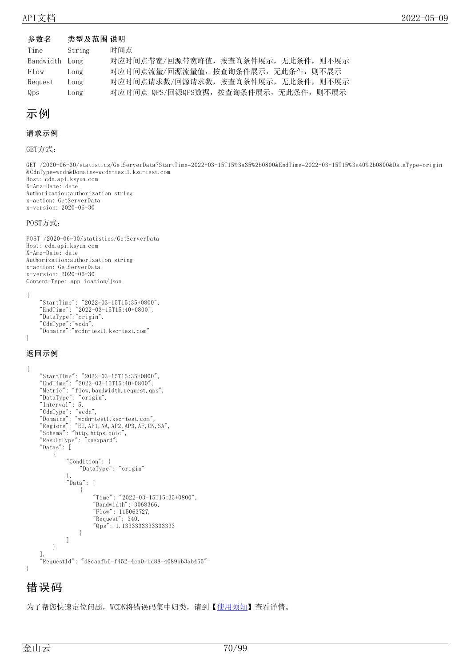#### 参数名 类型及范围 说明

| Time           | String | 时间点                                 |
|----------------|--------|-------------------------------------|
| Bandwidth Long |        | 对应时间点带宽/回源带宽峰值,按查询条件展示,无此条件,则不展示    |
| Flow           | Long   | 对应时间点流量/回源流量值, 按查询条件展示, 无此条件, 则不展示  |
| Request        | Long   | 对应时间点请求数/回源请求数,按查询条件展示,无此条件,则不展示    |
| Qps            | Long   | 对应时间点 QPS/回源QPS数据,按查询条件展示,无此条件,则不展示 |

### 示例

#### 请求示例

GET方式:

GET /2020-06-30/statistics/GetServerData?StartTime=2022-03-15T15%3a35%2b0800&EndTime=2022-03-15T15%3a40%2b0800&DataType=origin &CdnType=wcdn&Domains=wcdn-test1.ksc-test.com Host: cdn.api.ksyun.com X-Amz-Date: date Authorization:authorization string x-action: GetServerData x-version: 2020-06-30

#### POST方式:

POST /2020-06-30/statistics/GetServerData Host: cdn.api.ksyun.com X-Amz-Date: date Authorization:authorization string x-action: GetServerData x-version: 2020-06-30 Content-Type: application/json { "StartTime": "2022-03-15T15:35+0800", "EndTime": "2022-03-15T15:40+0800", "DataType":"origin", "CdnType":"wcdn",

```
"Domains":"wcdn-test1.ksc-test.com"
}
```
#### 返回示例

```
{
    "StartTime": "2022-03-15T15:35+0800",
    "EndTime": "2022-03-15T15:40+0800",
    "Metric": "flow,bandwidth,request,qps",
    "DataType": "origin",
    "Interval": 5,
    "CdnType": "wcdn",
    "Domains": "wcdn-test1.ksc-test.com",
    "Regions": "EU,AP1,NA,AP2,AP3,AF,CN,SA",
    "Schema": "http, https, quic","ResultType": "unexpand",
    "Datas": [
        {
            "Condition": {
                "DataType": "origin"
            },
            "Data": [
                 {
                     "Time": "2022-03-15T15:35+0800",
                    "Bandwidth": 3068366,
                     "Flow": 115063727,
                     "Request": 340,
                    "Qps": 1.1333333333333333
                }
            ]
       }
    ],
    "RequestId": "d8caafb6-f452-4ca0-bd88-4089bb3ab455"
}
```
### 错误码

为了帮您快速定位问题, WCDN将错误码集中归类, 请到【[使用须知](https://docs.ksyun.com/documents/41619#4)】查看详情。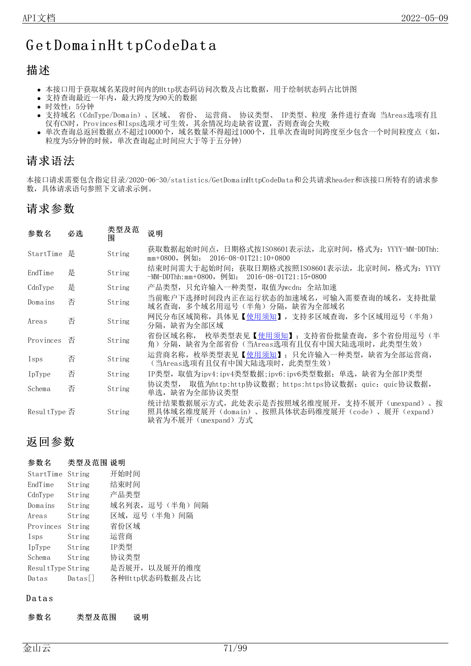# GetDomainHttpCodeData

### 描述

- 本接口用于获取域名某段时间内的Http状态码访问次数及占比数据,用于绘制状态码占比饼图
- 支持查询最近一年内,最大跨度为90天的数据
- 时效性:5分钟
- 支持域名(CdnType/Domain)、区域、 省份、 运营商、 协议类型、 IP类型、粒度 条件进行查询 当Areas选项有且 仅有CN时,Provinces和Isps选项才可生效,其余情况均走缺省设置,否则查询会失败
- 单次查询总返回数据点不超过10000个,域名数量不得超过1000个,且单次查询时间跨度至少包含一个时间粒度点(如, 粒度为5分钟的时候,单次查询起止时间应大于等于五分钟)

### 请求语法

本接口请求需要包含指定目录/2020-06-30/statistics/GetDomainHttpCodeData和公共请求header和该接口所特有的请求参 数,具体请求语句参照下文请求示例。

### 请求参数

| 参数名           | 必选 | 类型及范<br>闱 | 说明                                                                                                                  |
|---------------|----|-----------|---------------------------------------------------------------------------------------------------------------------|
| StartTime     | 是  | String    | 获取数据起始时间点,日期格式按ISO8601表示法,北京时间,格式为: YYYY-MM-DDThh:<br>mm+0800,例如: 2016-08-01T21:10+0800                             |
| EndTime       | 是  | String    | 结束时间需大于起始时间; 获取日期格式按照IS08601表示法, 北京时间, 格式为: YYYY<br>-MM-DDThh:mm+0800, 例如: 2016-08-01T21:15+0800                    |
| CdnType       | 是  | String    | 产品类型,只允许输入一种类型,取值为wcdn: 全站加速                                                                                        |
| Domains       | 否  | String    | 当前账户下选择时间段内正在运行状态的加速域名,可输入需要查询的域名,支持批量<br>域名查询,多个域名用逗号(半角)分隔,缺省为全部域名                                                |
| Areas         | 否  | String    | 网民分布区域简称,具体见【使用须知】,支持多区域查询,多个区域用逗号(半角)<br>分隔,缺省为全部区域                                                                |
| Provinces     | 否  | String    | 省份区域名称, 枚举类型表见【使用须知】;支持省份批量查询,多个省份用逗号(半<br>角)分隔,缺省为全部省份(当Areas选项有且仅有中国大陆选项时,此类型生效)                                  |
| Isps          | 否  | String    | 运营商名称, 枚举类型表见【使用须知】; 只允许输入一种类型, 缺省为全部运营商,<br>(当Areas选项有且仅有中国大陆选项时,此类型生效)                                            |
| IpType        | 否  | String    | IP类型,取值为ipv4:ipv4类型数据;ipv6:ipv6类型数据;单选,缺省为全部IP类型                                                                    |
| Schema        | 否  | String    | 取值为http:http协议数据; https:https协议数据; quic: quic协议数据,<br>协议类型,<br>单选,缺省为全部协议类型                                         |
| Resul tType 否 |    | String    | 统计结果数据展示方式,此处表示是否按照域名维度展开,支持不展开(unexpand)、按<br>照具体域名维度展开(domain)、按照具体状态码维度展开(code)、展开(expand)<br>缺省为不展开(unexpand)方式 |

### 返回参数

#### 参数名 类型及范围 说明

| StartTime         | String | 开始时间             |
|-------------------|--------|------------------|
| EndTime           | String | 结束时间             |
| CdnType           | String | 产品类型             |
| Domains           | String | 域名列表, 逗号 (半角) 间隔 |
| Areas             | String | 区域, 逗号(半角) 间隔    |
| Provinces         | String | 省份区域             |
| Isps              | String | 运营商              |
| IpType            | String | IP类型             |
| Schema            | String | 协议类型             |
| ResultType String |        | 是否展开, 以及展开的维度    |
| Datas             | Datas  | 各种Http状态码数据及占比   |

#### **Datas**

参数名 类型及范围 说明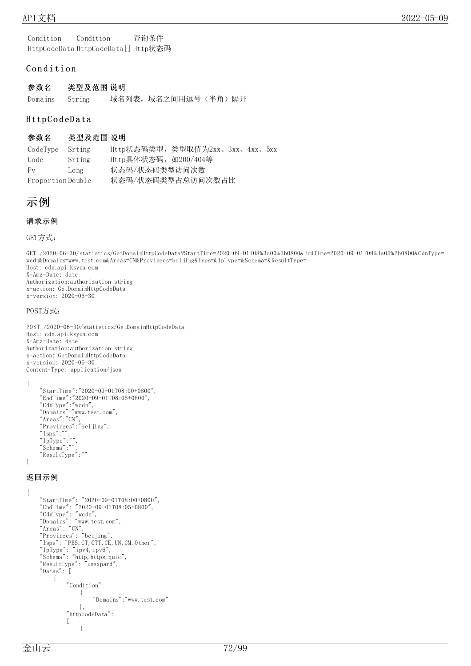Condition Condition 查询条件 HttpCodeData HttpCodeData[] Http状态码

#### Condition

| 参数名            | 类型及范围 说明 |                       |  |
|----------------|----------|-----------------------|--|
| Domains String |          | 域名列表, 域名之间用逗号 (半角) 隔开 |  |

#### Http C o d eD a ta

#### 参数名 类型及范围 说明

CodeType Srting Http状态码类型,类型取值为2xx、3xx、4xx、5xx Code Srting Http具体状态码, 如200/404等 Pv Long 状态码/状态码类型访问次数 Proportion Double 状态码/状态码类型占总访问次数占比

```
示例
```
#### 请求示例

GET方式:

GET /2020-06-30/statistics/GetDomainHttpCodeData?StartTime=2020-09-01T08%3a00%2b0800&EndTime=2020-09-01T08%3a05%2b0800&CdnType= wcdn&Domains=www.test.com&Areas=CN&Provinces=beijing&Isps=&IpType=&Schema=&ResultType= Host: cdn.api.ksyun.com X-Amz-Date: date Authorization:authorization string x-action: GetDomainHttpCodeData x-version: 2020-06-30

#### POST方式:

POST /2020-06-30/statistics/GetDomainHttpCodeData Host: cdn.api.ksyun.com X-Amz-Date: date Authorization:authorization string x-action: GetDomainHttpCodeData x-version: 2020-06-30 Content-Type: application/json

{

```
"StartTime":"2020-09-01T08:00+0800",
"EndTime":"2020-09-01T08:05+0800",
"CdnType":"wcdn",
"Domains":"www.test.com",
"Areas":"CN",
"Provinces":"beijing",
^{\prime\prime}Isps^{\prime\prime}:^{\prime\prime\prime},
"IpType":"",
"Schema":"",
"ResultType":""
```
}

#### 返回示例

```
{
    "StartTime": "2020-09-01T08:00+0800",
    "EndTime": "2020-09-01T08:05+0800",
    "CdnType": "wcdn",
    "Domains": "www.test.com",
    "Areas": "CN",
    "Provinces": "beijing",
    "Isps": "PBS, CT, CTT, CE, UN, CM, 0ther",
    "IpType": "ipv4,ipv6",
    "Schema": "http, https, quic","ResultType": "unexpand",
   "Datas": [
        {
            "Condition":
                {
                     "Domains":"www.test.com"
                },
            "httpcodeData":
            [
                 {
```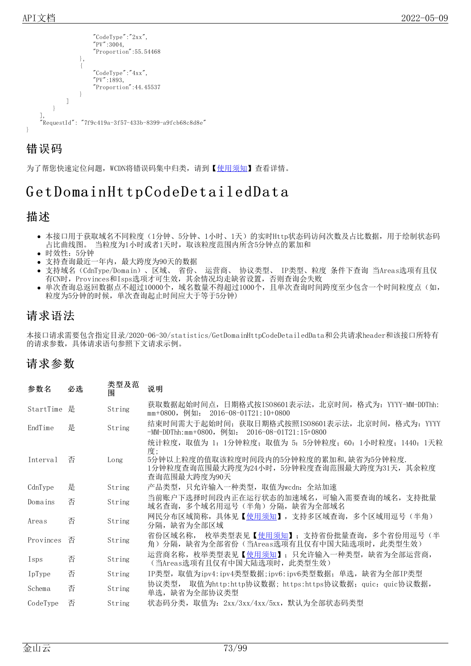

为了帮您快速定位问题, WCDN将错误码集中归类, 请到【[使用须知](https://docs.ksyun.com/documents/41619#4)】查看详情。

# Get Domain Http Code Detailed Data

## 描述

- 本接口用于获取域名不同粒度(1分钟、5分钟、1小时、1天)的实时Http状态码访问次数及占比数据,用于绘制状态码 占比曲线图。 当粒度为1小时或者1天时,取该粒度范围内所含5分钟点的累加和
- 时效性:5分钟
- 支持查询最近一年内,最大跨度为90天的数据
- 支持域名(CdnType/Domain)、区域、 省份、 运营商、 协议类型、 IP类型、粒度 条件下查询 当Areas选项有且仅 有CN时, Provinces和Isps选项才可生效, 其余情况均走缺省设置, 否则查询会失败
- 单次查询总返回数据点不超过10000个, 域名数量不得超过1000个, 且单次查询时间跨度至少包含一个时间粒度点(如, 粒度为5分钟的时候,单次查询起止时间应大于等于5分钟)

## 请求语法

本接口请求需要包含指定目录/2020-06-30/statistics/GetDomainHttpCodeDetailedData和公共请求header和该接口所特有 的请求参数,具体请求语句参照下文请求示例。

| 参数名       | 必选 | 类型及范<br>围 | 说明                                                                                                                                                                |
|-----------|----|-----------|-------------------------------------------------------------------------------------------------------------------------------------------------------------------|
| StartTime | 是  | String    | 获取数据起始时间点,日期格式按ISO8601表示法,北京时间,格式为: YYYY-MM-DDThh:<br>mm+0800, 例如: 2016-08-01T21:10+0800                                                                          |
| EndTime   | 是  | String    | 结束时间需大于起始时间; 获取日期格式按照IS08601表示法, 北京时间, 格式为: YYYY<br>$-MM-DDThh:mm+0800$ , 例如: 2016-08-01T21:15+0800                                                               |
| Interval  | 否  | Long      | 统计粒度,取值为 1: 1分钟粒度; 取值为 5: 5分钟粒度; 60: 1小时粒度; 1440: 1天粒<br>度:<br>5分钟以上粒度的值取该粒度时间段内的5分钟粒度的累加和,缺省为5分钟粒度.<br>1分钟粒度查询范围最大跨度为24小时,5分钟粒度查询范围最大跨度为31天,其余粒度<br>查询范围最大跨度为90天 |
| CdnType   | 是  | String    | 产品类型,只允许输入一种类型,取值为wcdn:全站加速                                                                                                                                       |
| Domains   | 否  | String    | 当前账户下选择时间段内正在运行状态的加速域名, 可输入需要查询的域名, 支持批量<br>域名查询, 多个域名用逗号 (半角) 分隔, 缺省为全部域名                                                                                        |
| Areas     | 否  | String    | 网民分布区域简称,具体见【 <u>使用须知</u> 】,支持多区域查询,多个区域用逗号(半角)<br>分隔, 缺省为全部区域                                                                                                    |
| Provinces | 否  | String    | 枚举类型表见【 <u>使用须知</u> 】;支持省份批量查询,多个省份用逗号(半 <br>省份区域名称,<br>角)分隔,缺省为全部省份(当Areas选项有且仅有中国大陆选项时,此类型生效)                                                                   |
| Isps      | 否  | String    | 运营商名称,枚举类型表见【使用须知】; 只允许输入一种类型,缺省为全部运营商,<br>(当Areas选项有且仅有中国大陆选项时, 此类型生效)                                                                                           |
| IpType    | 否  | String    | IP类型, 取值为ipv4:ipv4类型数据;ipv6:ipv6类型数据; 单选, 缺省为全部IP类型                                                                                                               |
| Schema    | 否  | String    | 取值为http:http协议数据;https:https协议数据;quic:quic协议数据,<br>协议类型,<br>单选, 缺省为全部协议类型                                                                                         |
| CodeType  | 否  | String    | 状态码分类,取值为: 2xx/3xx/4xx/5xx,默认为全部状态码类型                                                                                                                             |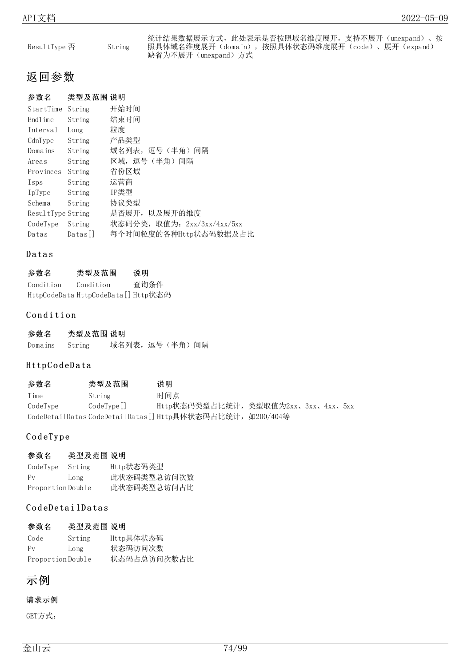| Resul tType 否 | String |
|---------------|--------|
|               |        |

统计结果数据展示方式,此处表示是否按照域名维度展开,支持不展开(unexpand)、按 照具体域名维度展开(domain),按照具体状态码维度展开(code)、展开(expand) 缺省为不展开(unexpand)方式

## 返回参数

| 参数名               | 类型及范围 说明 |                            |
|-------------------|----------|----------------------------|
| StartTime         | String   | 开始时间                       |
| EndTime           | String   | 结束时间                       |
| Interval          | Long     | 粒度                         |
| CdnType           | String   | 产品类型                       |
| Domains           | String   | 域名列表,逗号(半角)间隔              |
| Areas             | String   | 区域,逗号(半角)间隔                |
| Provinces         | String   | 省份区域                       |
| Isps              | String   | 运营商                        |
| IpType            | String   | IP类型                       |
| Schema            | String   | 协议类型                       |
| ResultType String |          | 是否展开, 以及展开的维度              |
| CodeType          | String   | 状态码分类,取值为: 2xx/3xx/4xx/5xx |
| Datas             | Datas    | 每个时间粒度的各种Http状态码数据及占比      |

### **Datas**

| 参数名       | 类型及范围                               | 说明   |
|-----------|-------------------------------------|------|
| Condition | Condition                           | 查询条件 |
|           | HttpCodeData HttpCodeData[] Http状态码 |      |

### Condition

| 参数名     | 类型及范围 说明 |               |  |  |
|---------|----------|---------------|--|--|
| Domains | String   | 域名列表,逗号(半角)间隔 |  |  |

### Http C o d eD a ta

| 参数名      | 类型及范围    | 说明                                                        |  |  |
|----------|----------|-----------------------------------------------------------|--|--|
| Time     | String   | 时间点                                                       |  |  |
| CodeType | CodeType | Http状态码类型占比统计,类型取值为2xx、3xx、4xx、5xx                        |  |  |
|          |          | CodeDetailDatas CodeDetailDatas[] Http具体状态码占比统计,如200/404等 |  |  |

### C o d eTy p e

### 参数名 类型及范围 说明

| CodeType          | Srting | Http状态码类型   |
|-------------------|--------|-------------|
| $P_{V}$           | Long   | 此状态码类型总访问次数 |
| Proportion Double |        | 此状态码类型总访问占比 |

### CodeDetailDatas

| 参数名               | 类型及范围 说明 |             |
|-------------------|----------|-------------|
| Code              | Srting   | Http具体状态码   |
| $P_V$             | Long     | 状态码访问次数     |
| Proportion Double |          | 状态码占总访问次数占比 |

## 示例

### 请求示例

GET方式: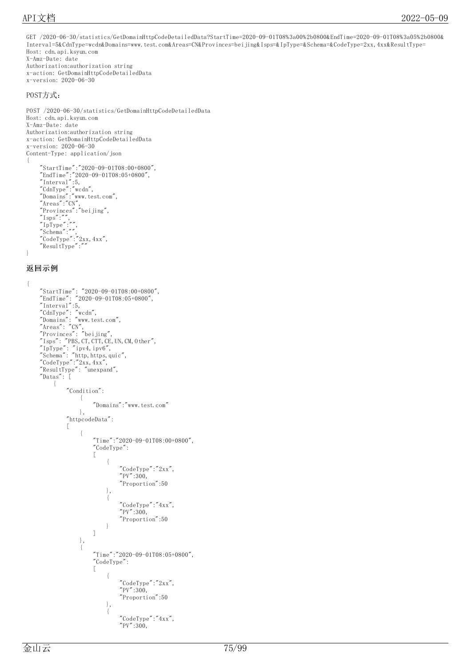```
GET /2020-06-30/statistics/GetDomainHttpCodeDetailedData?StartTime=2020-09-01T08%3a00%2b0800&EndTime=2020-09-01T08%3a05%2b0800&
Interval=5&CdnType=wcdn&Domains=www.test.com&Areas=CN&Provinces=beijing&Isps=&IpType=&Schema=&CodeType=2xx,4xx&ResultType=
Host: cdn.api.ksyun.com
X-Amz-Date: date
Authorization:authorization string
x-action: GetDomainHttpCodeDetailedData
x-version: 2020-06-30
POST方式:
POST /2020-06-30/statistics/GetDomainHttpCodeDetailedData
Host: cdn.api.ksyun.com
X-Amz-Date: date
Authorization:authorization string
x-action: GetDomainHttpCodeDetailedData
x-version: 2020-06-30
Content-Type: application/json
{
     "StartTime":"2020-09-01T08:00+0800",
     "EndTime":"2020-09-01T08:05+0800",
     "Interval":5,
     "CdnType":"wcdn",
     "Domains":"www.test.com",
     "Areas":"CN",
     "Provinces":"beijing",
     ^{\prime\prime}Isps^{\prime\prime}:^{\prime\prime\prime},
     "IpType":"",
    \sum_{n=1}^{\infty}Schema":"",
     "CodeType":"2xx, 4xx","ResultType":""
}
返回示例
{
     "StartTime": "2020-09-01T08:00+0800",
     "EndTime": "2020-09-01T08:05+0800",
     "Interval":5,
     "CdnType": "wcdn",
     "Domains": "www.test.com",
     "Areas": "CN",
     "Provinces": "beijing",
     "Isps": "PBS, CT, CTT, CE, UN, CM, Other","IpType": "ipv4,ipv6",
     "Schema": "http, https, quic",
     "CodeType":"2xx, 4xx","ResultType": "unexpand",
     "Datas": [
         {
             "Condition":
                  {
                      "Domains":"www.test.com"
                 },
             "httpcodeData":
             [
                  {
                      "Time":"2020-09-01T08:00+0800",
                      "CodeType":
                      [
                           {
                               "CodeType":"2xx",
                               "PV":300,
                               "Proportion":50
                          },
                           {
                               "CodeType":"4xx",
                               "PV":300,
                               "Proportion":50
                          }
                      ]
                 },
                  {
                      "Time":"2020-09-01T08:05+0800",
                      "CodeType":
                      [
                           {
                               "CodeType":"2xx",
                               "PV":300,
                               "Proportion":50
                          },
                           {
                               "CodeType":"4xx",
                               "PV":300,
```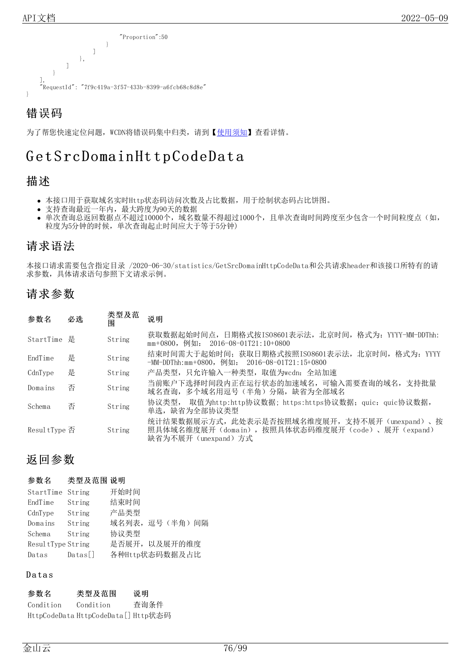

为了帮您快速定位问题, WCDN将错误码集中归类, 请到【[使用须知](https://docs.ksyun.com/documents/41619#4)】查看详情。

## Get SrcDomain Http CodeData

## 描述

- 本接口用于获取域名实时Http状态码访问次数及占比数据,用于绘制状态码占比饼图。
- 支持查询最近一年内,最大跨度为90天的数据
- 单次查询总返回数据点不超过10000个, 域名数量不得超过1000个, 且单次查询时间跨度至少包含一个时间粒度点(如, 粒度为5分钟的时候,单次查询起止时间应大于等于5分钟)

## 请求语法

本接口请求需要包含指定目录 /2020-06-30/statistics/GetSrcDomainHttpCodeData和公共请求header和该接口所特有的请 求参数,具体请求语句参照下文请求示例。

## 请求参数

| 参数名           | 必选 | 类型及范<br>闱 | 说明                                                                                                                   |
|---------------|----|-----------|----------------------------------------------------------------------------------------------------------------------|
| StartTime 是   |    | String    | 获取数据起始时间点, 日期格式按IS08601表示法, 北京时间, 格式为: YYYY-MM-DDThh:<br>mm+0800, 例如: 2016-08-01T21:10+0800                          |
| EndTime       | 是  | String    | 结束时间需大于起始时间; 获取日期格式按照IS08601表示法, 北京时间, 格式为: YYYY<br>$-MM-DDThh:mm+0800$ , 例如: 2016-08-01T21:15+0800                  |
| CdnType       | 是  | String    | 产品类型,只允许输入一种类型,取值为wcdn: 全站加速                                                                                         |
| Domains       | 否  | String    | 当前账户下选择时间段内正在运行状态的加速域名, 可输入需要查询的域名, 支持批量<br>域名杳询,多个域名用逗号(半角)分隔,缺省为全部域名                                               |
| Schema        | 否  | String    | 协议类型, 取值为http:http协议数据; https:https协议数据; quic: quic协议数据,<br>单选,缺省为全部协议类型                                             |
| Resul tType 否 |    | String    | 统计结果数据展示方式,此处表示是否按照域名维度展开,支持不展开(unexpand)、按<br>照具体域名维度展开(domain), 按照具体状态码维度展开(code)、展开(expand)<br>缺省为不展开(unexpand)方式 |

## 返回参数

### 参数名 类型及范围 说明

| StartTime String  |                | 开始时间           |  |  |
|-------------------|----------------|----------------|--|--|
| EndTime           | String         | 结束时间           |  |  |
| CdnType           | String         | 产品类型           |  |  |
| Domains           | String         | 域名列表, 逗号(半角)间隔 |  |  |
| Schema            | String         | 协议类型           |  |  |
| ResultType String |                | 是否展开, 以及展开的维度  |  |  |
| Datas             | $\text{Datas}$ | 各种Http状态码数据及占比 |  |  |

### **Datas**

| 参数名       | 类型及范围                               | 说明   |
|-----------|-------------------------------------|------|
| Condition | Condition                           | 查询条件 |
|           | HttpCodeData HttpCodeData[] Http状态码 |      |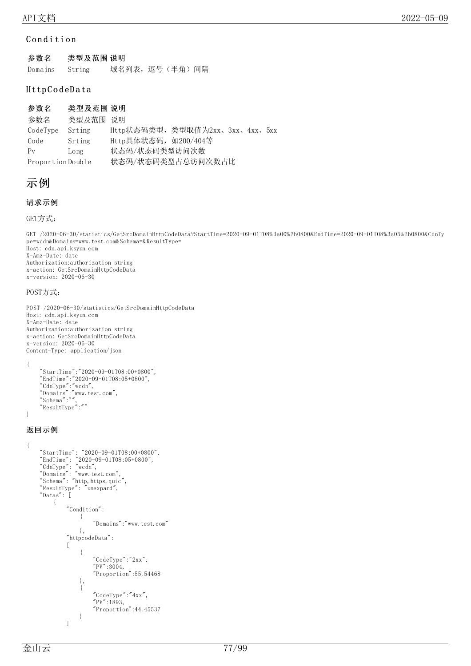### Condition

| 参数名     | 类型及范围 说明 |               |  |  |
|---------|----------|---------------|--|--|
| Domains | String   | 域名列表,逗号(半角)间隔 |  |  |

### Http C o d eD a ta

| 参数名               | 类型及范围 说明 |                                 |  |  |
|-------------------|----------|---------------------------------|--|--|
| 参数名               | 类型及范围 说明 |                                 |  |  |
| CodeType          | Srting   | Http状态码类型, 类型取值为2xx、3xx、4xx、5xx |  |  |
| Code              | Srting   | Http具体状态码, 如200/404等            |  |  |
| $P_V$             | Long     | 状态码/状态码类型访问次数                   |  |  |
| Proportion Double |          | 状态码/状态码类型占总访问次数占比               |  |  |

## 示例

### 请求示例

```
GET方式:
```
GET /2020-06-30/statistics/GetSrcDomainHttpCodeData?StartTime=2020-09-01T08%3a00%2b0800&EndTime=2020-09-01T08%3a05%2b0800&CdnTy pe=wcdn&Domains=www.test.com&Schema=&ResultType= Host: cdn.api.ksyun.com X-Amz-Date: date Authorization:authorization string x-action: GetSrcDomainHttpCodeData x-version: 2020-06-30

### POST方式:

```
POST /2020-06-30/statistics/GetSrcDomainHttpCodeData
Host: cdn.api.ksyun.com
X-Amz-Date: date
Authorization:authorization string
x-action: GetSrcDomainHttpCodeData
x-version: 2020-06-30
Content-Type: application/json
```
{

}

{

```
"StartTime":"2020-09-01T08:00+0800",
"EndTime":"2020-09-01T08:05+0800",
"CdnType":"wcdn",
"Domains":"www.test.com",
"Schema":"",
"ResultType":""
```
### 返回示例

```
"StartTime": "2020-09-01T08:00+0800",
"EndTime": "2020-09-01T08:05+0800",
"CdnType": "wcdn",
"Domains": "www.test.com",
"Schema": "http, https, quic","ResultType": "unexpand",
"Datas": [
    {
        "Condition":
             {
                 "Domains":"www.test.com"
            },
        "httpcodeData":
        \lceil{
                 "CodeType":"2xx",
                 "PV" : 3004,"Proportion":55.54468
            },
             {
                 "CodeType":"4xx",
                 "PV" : 1893,"Proportion":44.45537
             }
        ]
```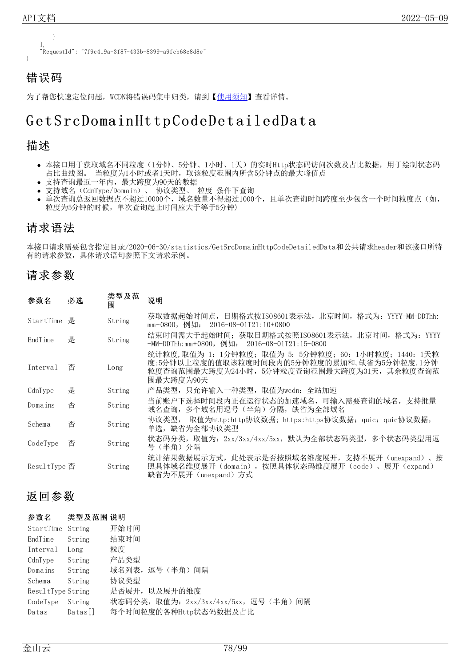} ], "RequestId": "7f9c419a-3f87-433b-8399-a9fcb68c8d8e" }

## 错误码

为了帮您快速定位问题, WCDN将错误码集中归类, 请到【[使用须知](https://docs.ksyun.com/documents/41619#4)】查看详情。

## Get SrcDomain Http CodeDetailedData

### 描述

- 本接口用于获取域名不同粒度(1分钟、5分钟、1小时、1天)的实时Http状态码访问次数及占比数据,用于绘制状态码 占比曲线图。 当粒度为1小时或者1天时,取该粒度范围内所含5分钟点的最大峰值点
- 支持查询最近一年内,最大跨度为90天的数据
- 支持域名(CdnType/Domain)、 协议类型、 粒度 条件下查询
- 单次查询总返回数据点不超过10000个,域名数量不得超过1000个,且单次查询时间跨度至少包含一个时间粒度点(如, 粒度为5分钟的时候,单次查询起止时间应大于等于5分钟)

## 请求语法

本接口请求需要包含指定目录/2020-06-30/statistics/GetSrcDomainHttpCodeDetailedData和公共请求header和该接口所特 有的请求参数,具体请求语句参照下文请求示例。

## 请求参数

| 参数名           | 必选 | 类型及范<br>围 | 说明                                                                                                                                                               |
|---------------|----|-----------|------------------------------------------------------------------------------------------------------------------------------------------------------------------|
| StartTime     | 是  | String    | 获取数据起始时间点,日期格式按ISO8601表示法,北京时间,格式为: YYYY-MM-DDThh:<br>mm+0800,例如: 2016-08-01T21:10+0800                                                                          |
| EndTime       | 是  | String    | 结束时间需大于起始时间; 获取日期格式按照IS08601表示法, 北京时间, 格式为: YYYY<br>$-MM-DDThh:mm+0800$ , 例如: 2016-08-01T21:15+0800                                                              |
| Interval      | 否  | Long      | 统计粒度, 取值为 1: 1分钟粒度; 取值为 5: 5分钟粒度; 60: 1小时粒度; 1440: 1天粒<br>度:5分钟以上粒度的值取该粒度时间段内的5分钟粒度的累加和, 缺省为5分钟粒度. 1分钟<br>粒度查询范围最大跨度为24小时,5分钟粒度查询范围最大跨度为31天,其余粒度查询范<br>围最大跨度为90天 |
| CdnType       | 是  | String    | 产品类型,只允许输入一种类型,取值为wcdn: 全站加速                                                                                                                                     |
| Domains       | 否  | String    | 当前账户下选择时间段内正在运行状态的加速域名,可输入需要查询的域名,支持批量<br>域名查询,多个域名用逗号(半角)分隔,缺省为全部域名                                                                                             |
| Schema        | 否  | String    | 协议类型, 取值为http:http协议数据; https:https协议数据; quic: quic协议数据,<br>单选,缺省为全部协议类型                                                                                         |
| CodeType      | 否  | String    | 状态码分类,取值为: 2xx/3xx/4xx/5xx,默认为全部状态码类型,多个状态码类型用逗<br>号 (半角) 分隔                                                                                                     |
| Resul tType 否 |    | String    | 统计结果数据展示方式,此处表示是否按照域名维度展开,支持不展开(unexpand)、按<br>照具体域名维度展开(domain),按照具体状态码维度展开(code)、展开(expand)<br>缺省为不展开(unexpand)方式                                              |

## 返回参数

| 参数名               | 类型及范围 说明 |                                    |
|-------------------|----------|------------------------------------|
| StartTime String  |          | 开始时间                               |
| EndTime           | String   | 结束时间                               |
| Interval          | Long     | 粒度                                 |
| CdnType           | String   | 产品类型                               |
| Domains           | String   | 域名列表, 逗号(半角)间隔                     |
| Schema            | String   | 协议类型                               |
| ResultType String |          | 是否展开, 以及展开的维度                      |
| CodeType          | String   | 状态码分类,取值为:2xx/3xx/4xx/5xx,逗号(半角)间隔 |
| Datas             | Datas    | 每个时间粒度的各种Http状态码数据及占比              |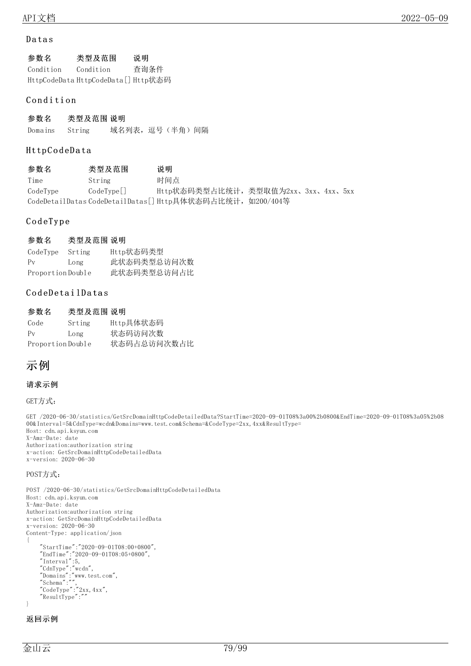### **Datas**

| 参数名       | 类型及范围                               | 说明   |
|-----------|-------------------------------------|------|
| Condition | Condition                           | 杳询条件 |
|           | HttpCodeData HttpCodeData[] Http状态码 |      |

### Condition

参数名 类型及范围 说明 Domains String 域名列表,逗号(半角)间隔

### Http C o d eD a ta

参数名 类型及范围 说明 Time String 时间点 CodeType CodeType[] Http状态码类型占比统计,类型取值为2xx、3xx、4xx、5xx CodeDetailDatas CodeDetailDatas[] Http具体状态码占比统计,如200/404等

### C o d e T y p e

### 参数名 类型及范围 说明

| CodeType          | Srting | Http状态码类型   |
|-------------------|--------|-------------|
| $P_V$             | Long   | 此状态码类型总访问次数 |
| Proportion Double |        | 此状态码类型总访问占比 |

### CodeDetailDatas

| 参数名               | 类型及范围 说明 |             |
|-------------------|----------|-------------|
| Code              | Srting   | Http具体状态码   |
| $P_V$             | Long     | 状态码访问次数     |
| Proportion Double |          | 状态码占总访问次数占比 |

## 示例

### 请求示例

GET方式:

GET /2020-06-30/statistics/GetSrcDomainHttpCodeDetailedData?StartTime=2020-09-01T08%3a00%2b0800&EndTime=2020-09-01T08%3a05%2b08 00&Interval=5&CdnType=wcdn&Domains=www.test.com&Schema=&CodeType=2xx,4xx&ResultType= Host: cdn.api.ksyun.com X-Amz-Date: date Authorization:authorization string x-action: GetSrcDomainHttpCodeDetailedData x-version: 2020-06-30

#### POST方式:

```
POST /2020-06-30/statistics/GetSrcDomainHttpCodeDetailedData
Host: cdn.api.ksyun.com
X-Amz-Date: date
Authorization:authorization string
x-action: GetSrcDomainHttpCodeDetailedData
x-version: 2020-06-30
Content-Type: application/json
{
    "StartTime":"2020-09-01T08:00+0800",
    "EndTime":"2020-09-01T08:05+0800",
    "Interval":5,
    "CdnType":"wcdn",
    "Domains":"www.test.com",
    "Schema":"",
    "CodeType":"2xx, 4xx","ResultType":""
}
```
### 返回示例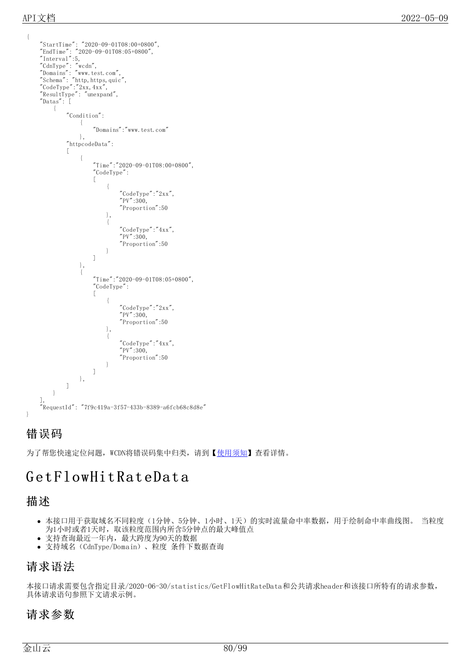```
{
    "StartTime": "2020-09-01T08:00+0800",
    "EndTime": "2020-09-01T08:05+0800",
    "Interval":5,
    "CdnType": "wcdn",
    "Domains": "www.test.com",
    "Schema": "http, https, quic","CodeType":"2xx,4xx",
    "ResultType": "unexpand",
    "Datas": [
        {
             "Condition":
                 {
                      "Domains":"www.test.com"
                 },
             "httpcodeData":
             \lceil{
                      "Time":"2020-09-01T08:00+0800",
                      "CodeType":
                     [
                          {
                              "CodeType":"2xx",
                              "PV":300,
                              "Proportion":50
                          },
                          {
                              "CodeType":"4xx",
                              "PV":300,
                              "Proportion":50
                          }
                     ]
                 },
                 {
                      "Time":"2020-09-01T08:05+0800",
                     "CodeType":
                     [
                          {
                              "CodeType":"2xx",
                              "PV":300,
                              "Proportion":50
                          },
                          {
                              "CodeType":"4xx",
                               "PV":300,
                              "Proportion":50
                          }
                     ]
                 },
            ]
        }
    ],
    "RequestId": "7f9c419a-3f57-433b-8389-a6fcb68c8d8e"
}
```
为了帮您快速定位问题, WCDN将错误码集中归类, 请到【[使用须知](https://docs.ksyun.com/documents/41619#4)】查看详情。

## GetFlowHitRateData

## 描述

- 本接口用于获取域名不同粒度(1分钟、5分钟、1小时、1天)的实时流量命中率数据,用于绘制命中率曲线图。 当粒度 为1小时或者1天时,取该粒度范围内所含5分钟点的最大峰值点
- 支持查询最近一年内,最大跨度为90天的数据
- 支持域名(CdnType/Domain)、粒度 条件下数据查询

## 请求语法

本接口请求需要包含指定目录/2020-06-30/statistics/GetFlowHitRateData和公共请求header和该接口所特有的请求参数, 具体请求语句参照下文请求示例。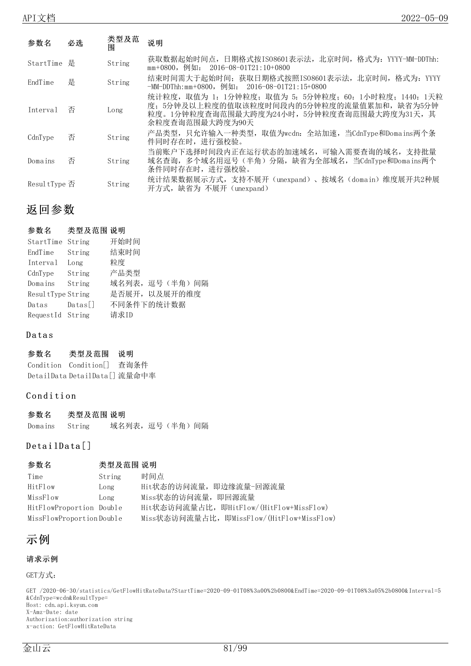| 参数名           | 必选 | 类型及范<br>闱 | 说明                                                                                                                                                                     |
|---------------|----|-----------|------------------------------------------------------------------------------------------------------------------------------------------------------------------------|
| StartTime 是   |    | String    | 获取数据起始时间点, 日期格式按IS08601表示法, 北京时间, 格式为: YYYY-MM-DDThh:<br>$mm+0800$ , 例如: 2016-08-01T21:10+0800                                                                         |
| EndTime       | 是  | String    | 结束时间需大于起始时间,获取日期格式按照IS08601表示法,北京时间,格式为: YYYY<br>-MM-DDThh:mm+0800,例如: 2016-08-01T21:15+0800                                                                           |
| Interval      | 否  | Long      | 统计粒度, 取值为 1: 1分钟粒度; 取值为 5: 5分钟粒度; 60: 1小时粒度; 1440: 1天粒<br>度; 5分钟及以上粒度的值取该粒度时间段内的5分钟粒度的流量值累加和, 缺省为5分钟<br>粒度。1分钟粒度查询范围最大跨度为24小时, 5分钟粒度查询范围最大跨度为31天, 其<br>余粒度杳询范围最大跨度为90天 |
| CdnType       | 否  | String    | 产品类型,只允许输入一种类型,取值为wcdn. 全站加速,当CdnType和Domains两个条<br>件同时存在时,讲行强校验。                                                                                                      |
| Domains       | 否  | String    | 当前账户下选择时间段内正在运行状态的加速域名, 可输入需要查询的域名, 支持批量<br>域名查询, 多个域名用逗号(半角) 分隔, 缺省为全部域名, 当CdnType和Domains两个<br>条件同时存在时,讲行强校验。                                                        |
| Resul tType 否 |    | String    | 统计结果数据展示方式, 支持不展开(unexpand)、按域名(domain)维度展开共2种展<br>开方式,缺省为 不展开 (unexpand)                                                                                              |

### 参数名 类型及范围 说明

| StartTime String  |                | 开始时间           |
|-------------------|----------------|----------------|
| EndTime           | String         | 结束时间           |
| Interval          | Long           | 粒度             |
| CdnType           | String         | 产品类型           |
| Domains           | String         | 域名列表, 逗号(半角)间隔 |
| ResultType String |                | 是否展开, 以及展开的维度  |
| Datas             | $\text{Datas}$ | 不同条件下的统计数据     |
| RequestId String  |                | 请求ID           |

### **Datas**

### 参数名 类型及范围 说明

Condition Condition[] 查询条件 DetailData DetailData[] 流量命中率

### Condition

| 参数名     | 类型及范围 说明 |               |  |  |
|---------|----------|---------------|--|--|
| Domains | String   | 域名列表,逗号(半角)间隔 |  |  |

### DetailData<sup>[]</sup>

| 参数名                      | 类型及范围 说明 |                                            |
|--------------------------|----------|--------------------------------------------|
| Time                     | String   | 时间点                                        |
| HitFlow                  | Long     | Hit状态的访问流量, 即边缘流量-回源流量                     |
| MissFlow                 | Long     | Miss状态的访问流量, 即回源流量                         |
| HitFlowProportion Double |          | Hit状态访问流量占比, 即HitFlow/(HitFlow+MissFlow)   |
| MissFlowProportionDouble |          | Miss状态访问流量占比, 即MissFlow/(HitFlow+MissFlow) |

## 示例

### 请求示例

GET方式:

GET /2020-06-30/statistics/GetFlowHitRateData?StartTime=2020-09-01T08%3a00%2b0800&EndTime=2020-09-01T08%3a05%2b0800&Interval=5 &CdnType=wcdn&ResultType= Host: cdn.api.ksyun.com X-Amz-Date: date Authorization:authorization string x-action: GetFlowHitRateData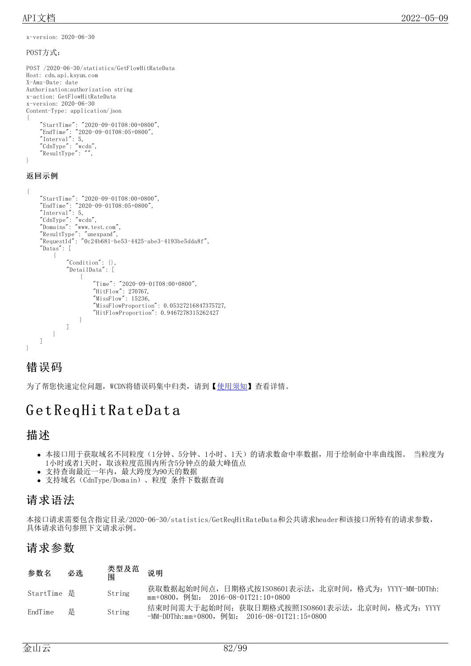x-version: 2020-06-30

POST方式:

```
POST /2020-06-30/statistics/GetFlowHitRateData
Host: cdn.api.ksyun.com
X-Amz-Date: date
Authorization:authorization string
x-action: GetFlowHitRateData
x-version: 2020-06-30
Content-Type: application/json
{
    "StartTime": "2020-09-01T08:00+0800",
    "EndTime": "2020-09-01T08:05+0800",
    "Interval": 5,
    "CdnType": "wcdn",
    "ResultType": "",
```
#### }

### 返回示例

```
{
    "StartTime": "2020-09-01T08:00+0800",
    "EndTime": "2020-09-01T08:05+0800",
    "Interval": 5,
    "CdnType": "wcdn",
    "Domains": "www.test.com",
    "ResultType": "unexpand",
    "RequestId": "0c24b681-be53-4425-abe3-4193be5dda8f",
    "Datas": [
        {
             "Condition": {}\}"DetailData": [
                 {
                     "Time": "2020-09-01T08:00+0800",
                     "HitFlow": 270767,
                     "MissFlow": 15236,
                     "MissFlowProportion": 0.05327216847375727,
                     "HitFlowProportion": 0.9467278315262427
                 }
            ]
        }
    ]
}
```
## 错误码

为了帮您快速定位问题, WCDN将错误码集中归类, 请到【[使用须知](https://docs.ksyun.com/documents/41619#4)】查看详情。

## Get Req Hit RateData

### 描述

- 本接口用于获取域名不同粒度(1分钟、5分钟、1小时、1天)的请求数命中率数据,用于绘制命中率曲线图。 当粒度为 1小时或者1天时,取该粒度范围内所含5分钟点的最大峰值点
- 支持查询最近一年内,最大跨度为90天的数据
- 支持域名(CdnType/Domain)、粒度 条件下数据查询

## 请求语法

本接口请求需要包含指定目录/2020-06-30/statistics/GetReqHitRateData和公共请求header和该接口所特有的请求参数, 具体请求语句参照下文请求示例。

| 参数名         | 必选 | 类型及范<br>闱 | 说明                                                                                                  |
|-------------|----|-----------|-----------------------------------------------------------------------------------------------------|
| StartTime 是 |    | String    | 获取数据起始时间点,日期格式按ISO8601表示法,北京时间,格式为: YYYY-MM-DDThh:<br>mm+0800,例如: 2016-08-01T21:10+0800             |
| EndTime     | 是  | String    | 结束时间需大于起始时间; 获取日期格式按照ISO8601表示法, 北京时间, 格式为: YYYY<br>$-MM-DDThh:mm+0800$ , 例如: 2016-08-01T21:15+0800 |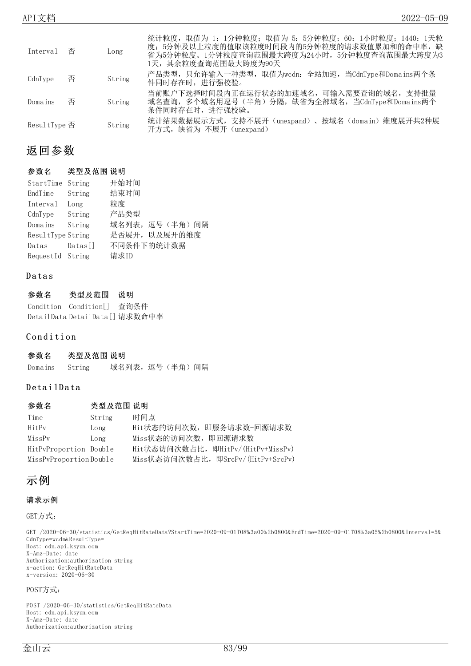| Interval 否    |   | Long   | 统计粒度, 取值为 1: 1分钟粒度; 取值为 5: 5分钟粒度; 60: 1小时粒度; 1440: 1天粒<br>度; 5分钟及以上粒度的值取该粒度时间段内的5分钟粒度的请求数值累加和的命中率, 缺<br>省为5分钟粒度。1分钟粒度查询范围最大跨度为24小时,5分钟粒度查询范围最大跨度为3<br>1天,其余粒度杳询范围最大跨度为90天 |
|---------------|---|--------|---------------------------------------------------------------------------------------------------------------------------------------------------------------------------|
| CdnType       | 否 | String | 产品类型,只允许输入一种类型,取值为wcdn. 全站加速,当CdnType和Domains两个条<br>件同时存在时,进行强校验。                                                                                                         |
| Domains       | 否 | String | 当前账户下选择时间段内正在运行状态的加速域名,可输入需要查询的域名,支持批量<br>域名查询,多个域名用逗号(半角)分隔,缺省为全部域名,当CdnType和Domains两个<br>条件同时存在时,讲行强校验。                                                                 |
| Resul tType 否 |   | String | 统计结果数据展示方式,支持不展开 (unexpand) 、按域名 (domain) 维度展开共2种展<br>开方式,缺省为 不展开 (unexpand)                                                                                              |

### 参数名 类型及范围 说明

| StartTime String  |                | 开始时间            |
|-------------------|----------------|-----------------|
| EndTime           | String         | 结束时间            |
| Interval          | Long           | 粒度              |
| CdnType           | String         | 产品类型            |
| Domains           | String         | 域名列表, 逗号(半角) 间隔 |
| ResultType String |                | 是否展开, 以及展开的维度   |
| Datas             | $\text{Datas}$ | 不同条件下的统计数据      |
| RequestId String  |                | 请求ID            |

### **Datas**

| 参数名 | 类型及范围                          | 说明 |
|-----|--------------------------------|----|
|     | Condition Condition[] 查询条件     |    |
|     | DetailData DetailData[] 请求数命中率 |    |

### Condition

| 参数名     | 类型及范围 说明 |               |  |  |
|---------|----------|---------------|--|--|
| Domains | String   | 域名列表,逗号(半角)间隔 |  |  |

### DetailData

| 参数名                    | 类型及范围 说明 |                                    |
|------------------------|----------|------------------------------------|
| Time                   | String   | 时间点                                |
| HitPy                  | Long     | Hit状态的访问次数, 即服务请求数-回源请求数           |
| MissPy                 | Long     | Miss状态的访问次数, 即回源请求数                |
| HitPyProportion Double |          | Hit状态访问次数占比, 即HitPv/(HitPv+MissPv) |
| MissPvProportionDouble |          | Miss状态访问次数占比, 即SrcPv/(HitPv+SrcPv) |

## 示例

### 请求示例

GET方式:

GET /2020-06-30/statistics/GetReqHitRateData?StartTime=2020-09-01T08%3a00%2b0800&EndTime=2020-09-01T08%3a05%2b0800&Interval=5& CdnType=wcdn&ResultType= Host: cdn.api.ksyun.com X-Amz-Date: date Authorization:authorization string x-action: GetReqHitRateData x-version: 2020-06-30

#### POST方式:

POST /2020-06-30/statistics/GetReqHitRateData Host: cdn.api.ksyun.com X-Amz-Date: date Authorization:authorization string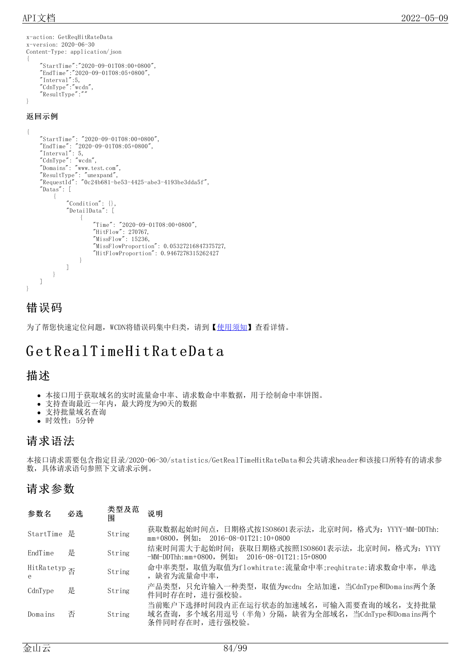```
x-action: GetReqHitRateData
x-version: 2020-06-30
Content-Type: application/json
{
    "StartTime":"2020-09-01T08:00+0800",
    "EndTime":"2020-09-01T08:05+0800",
    "Interval":5,
    "CdnType":"wcdn",
    "ResultType":""
}
```
### 返回示例

```
{
    "StartTime": "2020-09-01T08:00+0800",
    "EndTime": "2020-09-01T08:05+0800",
    "Interval": 5,
    "CdnType": "wcdn",
    "Domains": "www.test.com",
    "ResultType": "unexpand",
    "RequestId": "0c24b681-be53-4425-abe3-4193be3dda5f",
    "Datas": [
        {
            "Condition": {}\}"DetailData": [
                 {
                     "Time": "2020-09-01T08:00+0800",
                     "HitFlow": 270767,
                     "MissFlow": 15236,
                    "MissFlowProportion": 0.05327216847375727,
                     "HitFlowProportion": 0.9467278315262427
                }
            ]
        }
   ]
}
```
## 错误码

为了帮您快速定位问题, WCDN将错误码集中归类, 请到【[使用须知](https://docs.ksyun.com/documents/41619#4)】查看详情。

## G et RealTimeHit Rat eDat a

## 描述

- 本接口用于获取域名的实时流量命中率、请求数命中率数据,用于绘制命中率饼图。
- 支持查询最近一年内,最大跨度为90天的数据
- 支持批量域名查询
- 时效性:5分钟

## 请求语法

本接口请求需要包含指定目录/2020-06-30/statistics/GetRealTimeHitRateData和公共请求header和该接口所特有的请求参 数,具体请求语句参照下文请求示例。

| 参数名                                                       | 必选 | 类型及范<br>闱 | 说明                                                                                                          |
|-----------------------------------------------------------|----|-----------|-------------------------------------------------------------------------------------------------------------|
| StartTime 是                                               |    | String    | 获取数据起始时间点,日期格式按ISO8601表示法,北京时间,格式为: YYYY-MM-DDThh:<br>mm+0800, 例如: 2016-08-01T21:10+0800                    |
| EndTime                                                   | 是  | String    | 结束时间需大于起始时间; 获取日期格式按照IS08601表示法, 北京时间, 格式为: YYYY<br>-MM-DDThh:mm+0800,例如: 2016-08-01T21:15+0800             |
| HitRatetyp <sub><math>\overline{\mathcal{A}}</math></sub> |    | String    | 命中率类型, 取值为取值为flowhitrate:流量命中率;reqhitrate:请求数命中率, 单选<br>,缺省为流量命中率,                                          |
| CdnType                                                   | 是  | String    | 产品类型,只允许输入一种类型,取值为wcdn:全站加速,当CdnType和Domains两个条<br>件同时存在时,进行强校验。                                            |
| Domains                                                   | 否  | String    | 当前账户下选择时间段内正在运行状态的加速域名, 可输入需要查询的域名, 支持批量<br>域名查询,多个域名用逗号(半角)分隔,缺省为全部域名,当CdnType和Domains两个<br>条件同时存在时,进行强校验。 |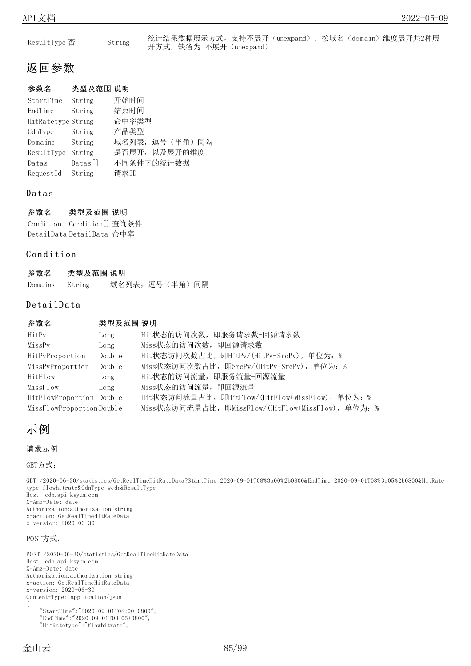| Resul tType 否 | String |                         | 统计结果数据展示方式,支持不展开(unexpand)、按域名(domain)维度展开共2种展 |  |  |
|---------------|--------|-------------------------|------------------------------------------------|--|--|
|               |        | 开方式, 缺省为 不展开 (unexpand) |                                                |  |  |

| StartTime          | String         | 开始时间            |
|--------------------|----------------|-----------------|
| EndTime            | String         | 结束时间            |
| HitRatetype String |                | 命中率类型           |
| CdnType            | String         | 产品类型            |
| Domains            | String         | 域名列表, 逗号(半角) 间隔 |
| ResultType         | String         | 是否展开, 以及展开的维度   |
| Datas              | $\text{Datas}$ | 不同条件下的统计数据      |
| RequestId          | String         | 请求ID            |

### **Datas**

参数名 类型及范围 说明 Condition Condition[] 查询条件 DetailData DetailData 命中率

### Condition

| 参数名     | 类型及范围 说明 |                  |  |  |
|---------|----------|------------------|--|--|
| Domains | String   | 域名列表, 逗号 (半角) 间隔 |  |  |

### DetailData

| 参数名                      | 类型及范围 说明 |                                                    |
|--------------------------|----------|----------------------------------------------------|
| HitPy                    | Long     | Hit状态的访问次数, 即服务请求数-回源请求数                           |
| MissPv                   | Long     | Miss状态的访问次数, 即回源请求数                                |
| HitPyProportion          | Double   | Hit状态访问次数占比, 即HitPv/(HitPv+SrcPv), 单位为: %          |
| MissPvProportion         | Double   | Miss状态访问次数占比, 即SrcPv/(HitPv+SrcPv), 单位为: %         |
| HitFlow                  | Long     | Hit状态的访问流量, 即服务流量-回源流量                             |
| MissFlow                 | Long     | Miss状态的访问流量, 即回源流量                                 |
| HitFlowProportion Double |          | Hit状态访问流量占比, 即HitFlow/(HitFlow+MissFlow), 单位为: %   |
| MissFlowProportionDouble |          | Miss状态访问流量占比, 即MissFlow/(HitFlow+MissFlow), 单位为: % |

## 示例

### 请求示例

GET方式:

GET /2020-06-30/statistics/GetRealTimeHitRateData?StartTime=2020-09-01T08%3a00%2b0800&EndTime=2020-09-01T08%3a05%2b0800&HitRate type=flowhitrate&CdnType=wcdn&ResultType= Host: cdn.api.ksyun.com X-Amz-Date: date Authorization:authorization string x-action: GetRealTimeHitRateData x-version: 2020-06-30 POST方式:

POST /2020-06-30/statistics/GetRealTimeHitRateData Host: cdn.api.ksyun.com X-Amz-Date: date Authorization:authorization string x-action: GetRealTimeHitRateData x-version: 2020-06-30 Content-Type: application/json { "StartTime":"2020-09-01T08:00+0800",

"EndTime":"2020-09-01T08:05+0800", "HitRatetype":"flowhitrate",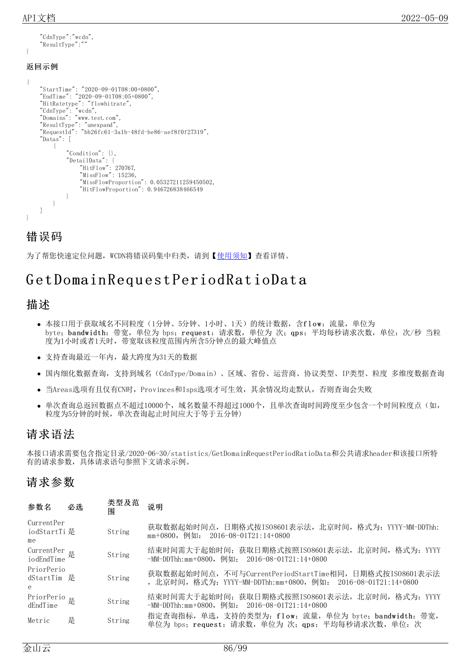### 返回示例

}

"CdnType":"wcdn", "ResultType":""

```
{
    "StartTime": "2020-09-01T08:00+0800",
    "EndTime": "2020-09-01T08:05+0800",
    "HitRatetype": "flowhitrate",
    "CdnType": "wcdn",
    "Domains": "www.test.com",
    "ResultType": "unexpand",
    "RequestId": "bb26fc61-3a1b-48fd-be86-aef8f0f27319",
    "Datas": [
        {
            "Condition": {},
            "DetailData": {
                 "HitFlow": 270767,
                 "MissFlow": 15236,
                 "MissFlowProportion": 0.05327211259450502,
                "HitFlowProportion": 0.946726838466549
            }
        }
   ]
}
```
## 错误码

为了帮您快速定位问题, WCDN将错误码集中归类, 请到【[使用须知](https://docs.ksyun.com/documents/41619#4)】查看详情。

## G et Domain Req u est PeriodRat ioDat a

### 描述

- 本接口用于获取域名不同粒度(1分钟、5分钟、1小时、1天)的统计数据, 含f l ow: 流量, 单位为 byte; bandwidth: 带宽, 单位为 bps; request: 请求数, 单位为 次; qps: 平均每秒请求次数, 单位: 次/秒 当粒 度为1小时或者1天时,带宽取该粒度范围内所含5分钟点的最大峰值点
- 支持查询最近一年内,最大跨度为31天的数据
- 国内细化数据查询,支持到域名(CdnType/Domain)、区域、省份、运营商、协议类型、IP类型、粒度 多维度数据查询
- 当Areas选项有且仅有CN时, Provinces和Isps选项才可生效, 其余情况均走默认, 否则查询会失败
- 单次查询总返回数据点不超过10000个,域名数量不得超过1000个,且单次查询时间跨度至少包含一个时间粒度点(如, 粒度为5分钟的时候,单次查询起止时间应大于等于五分钟)

## 请求语法

本接口请求需要包含指定目录/2020-06-30/statistics/GetDomainRequestPeriodRatioData和公共请求header和该接口所特 有的请求参数,具体请求语句参照下文请求示例。

| 参数名                              | 必选 | 类型及范<br>闱 | 说明                                                                                                                       |
|----------------------------------|----|-----------|--------------------------------------------------------------------------------------------------------------------------|
| CurrentPer<br>iodStartTi 是<br>me |    | String    | 获取数据起始时间点,日期格式按IS08601表示法,北京时间,格式为: YYYY-MM-DDThh:<br>mm+0800, 例如: 2016-08-01T21:14+0800                                 |
| CurrentPer<br>iodEndTime 是       |    | String    | 结束时间需大于起始时间; 获取日期格式按照IS08601表示法, 北京时间, 格式为: YYYY<br>-MM-DDThh:mm+0800,例如: 2016-08-01T21:14+0800                          |
| PriorPerio<br>dStartTim 是<br>e   |    | String    | 获取数据起始时间点, 不可与CurrentPeriodStartTime相同, 日期格式按IS08601表示法<br>, 北京时间, 格式为: YYYY-MM-DDThh:mm+0800, 例如: 2016-08-01T21:14+0800 |
| PriorPerio<br>dEndTime           |    | String    | 结束时间需大于起始时间; 获取日期格式按照IS08601表示法, 北京时间, 格式为: YYYY<br>-MM-DDThh:mm+0800,例如: 2016-08-01T21:14+0800                          |
| Metric                           | 是  | String    | 指定查询指标, 单选, 支持的类型为: flow: 流量, 单位为 byte; bandwidth: 带宽,<br>单位为 bps; request: 请求数,单位为 次; qps: 平均每秒请求次数,单位: 次               |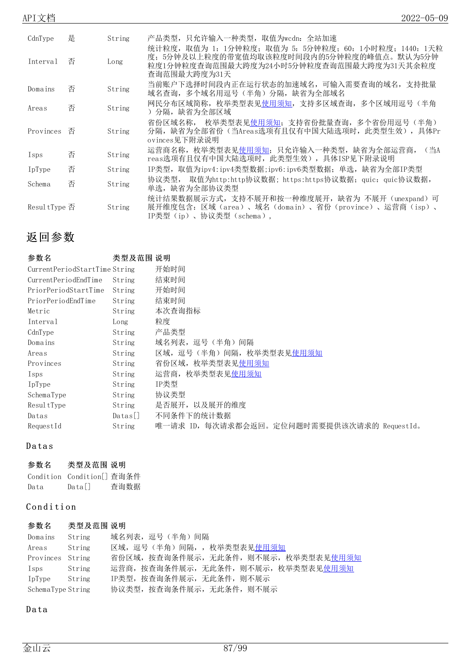| CdnType       | 是 | String | 产品类型,只允许输入一种类型,取值为wcdn:全站加速                                                                                                                                     |
|---------------|---|--------|-----------------------------------------------------------------------------------------------------------------------------------------------------------------|
| Interval      | 否 | Long   | 统计粒度,取值为 1: 1分钟粒度; 取值为 5: 5分钟粒度; 60: 1小时粒度; 1440: 1天粒<br>度; 5分钟及以上粒度的带宽值均取该粒度时间段内的5分钟粒度的峰值点。默认为5分钟<br>粒度1分钟粒度查询范围最大跨度为24小时5分钟粒度查询范围最大跨度为31天其余粒度<br>查询范围最大跨度为31天 |
| Domains       | 否 | String | 当前账户下选择时间段内正在运行状态的加速域名,可输入需要查询的域名,支持批量<br>域名查询, 多个域名用逗号 (半角) 分隔, 缺省为全部域名                                                                                        |
| Areas         | 否 | String | 网民分布区域简称,枚举类型表见使用须知,支持多区域查询,多个区域用逗号(半角<br>) 分隔,缺省为全部区域                                                                                                          |
| Provinces     | 否 | String | 枚举类型表见使用须知; 支持省份批量查询,多个省份用逗号(半角)<br>省份区域名称,<br>分隔,缺省为全部省份(当Areas选项有且仅有中国大陆选项时,此类型生效),具体Pr<br>ovinces见下附录说明                                                      |
| Isps          | 否 | String | 运营商名称, 枚举类型表见使用须知; 只允许输入一种类型, 缺省为全部运营商,<br>(当A<br>reas选项有且仅有中国大陆选项时, 此类型生效), 具体ISP见下附录说明                                                                        |
| IpType        | 否 | String | IP类型,取值为ipv4:ipv4类型数据;ipv6:ipv6类型数据;单选,缺省为全部IP类型                                                                                                                |
| Schema        | 否 | String | 取值为http:http协议数据;https:https协议数据;quic:quic协议数据,<br>协议类型,<br>单选,缺省为全部协议类型                                                                                        |
| Resul tType 否 |   | String | 统计结果数据展示方式,支持不展开和按一种维度展开,缺省为 不展开(unexpand)可<br>展开维度包含: 区域 (area)、域名 (domain)、省份 (province)、运营商 (isp)、<br>IP类型 (ip)、协议类型 (schema),                               |

| 参数名                              | 类型及范围 说明       |                                             |
|----------------------------------|----------------|---------------------------------------------|
| Current Period Start Time String |                | 开始时间                                        |
| CurrentPeriodEndTime             | String         | 结束时间                                        |
| PriorPeriodStartTime             | String         | 开始时间                                        |
| PriorPeriodEndTime               | String         | 结束时间                                        |
| Metric                           | String         | 本次查询指标                                      |
| Interval                         | Long           | 粒度                                          |
| CdnType                          | String         | 产品类型                                        |
| Domains                          | String         | 域名列表,逗号(半角)间隔                               |
| Areas                            | String         | 区域,逗号(半角)间隔,枚举类型表见使用须知                      |
| Provinces                        | String         | 省份区域, 枚举类型表见 <u>使用须知</u>                    |
| Isps                             | String         | 运营商,枚举类型表见 <u>使用须知</u>                      |
| IpType                           | String         | IP类型                                        |
| SchemaType                       | String         | 协议类型                                        |
| ResultType                       | String         | 是否展开, 以及展开的维度                               |
| Datas                            | $\text{Datas}$ | 不同条件下的统计数据                                  |
| RequestId                        | String         | 唯一请求 ID, 每次请求都会返回。定位问题时需要提供该次请求的 RequestId。 |

### **Datas**

| 参数名  | 类型及范围 说明                               |      |
|------|----------------------------------------|------|
|      | Condition Condition <sup>[]</sup> 杳询条件 |      |
| Data | $\text{Data}$                          | 查询数据 |

### Condition

| 参数名               | 类型及范围 说明 |                                       |
|-------------------|----------|---------------------------------------|
| Domains           | String   | 域名列表,逗号(半角)间隔                         |
| Areas             | String   | 区域,逗号(半角)间隔,,枚举类型表见使用须知               |
| Provinces         | String   | 省份区域, 按查询条件展示, 无此条件, 则不展示, 枚举类型表见使用须知 |
| Isps              | String   | 运营商, 按查询条件展示, 无此条件, 则不展示, 枚举类型表见使用须知  |
| IpType            | String   | IP类型, 按查询条件展示, 无此条件, 则不展示             |
| SchemaType String |          | 协议类型, 按查询条件展示, 无此条件, 则不展示             |

### D a ta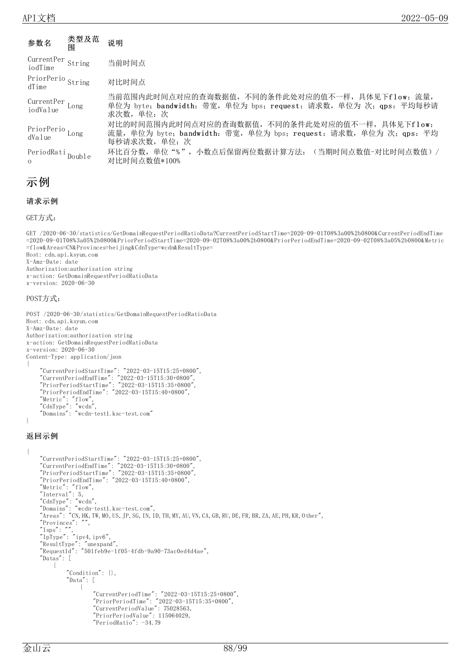| 参数名                                      | 类型及范<br>围 | 说明                                                                                                                                |
|------------------------------------------|-----------|-----------------------------------------------------------------------------------------------------------------------------------|
| $CurrentPer$ String<br>iodTime           |           | 当前时间点                                                                                                                             |
| PriorPerio String<br>dTime               |           | 对比时间点                                                                                                                             |
| CurrentPer<br>iodValue<br>Long           |           | 当前范围内此时间点对应的查询数据值,不同的条件此处对应的值不一样,具体见下flow: 流量,<br>单位为 byte; bandwidth: 带宽, 单位为 bps; request: 请求数, 单位为 次; qps: 平均每秒请<br>求次数, 单位: 次 |
| PriorPerio Long<br>dValue                |           | 对比的时间范围内此时间点对应的查询数据值,不同的条件此处对应的值不一样,具体见下flow:<br>流量,单位为 byte; bandwidth: 带宽,单位为 bps; request: 请求数,单位为 次; qps: 平均<br>每秒请求次数,单位:次   |
| PeriodRati <sub>Double</sub><br>$\Omega$ |           | 环比百分数,单位"%",小数点后保留两位数据计算方法: (当期时间点数值-对比时间点数值)/<br>对比时间点数值*100%                                                                    |

## 示例

### 请求示例

GET方式:

```
GET /2020-06-30/statistics/GetDomainRequestPeriodRatioData?CurrentPeriodStartTime=2020-09-01T08%3a00%2b0800&CurrentPeriodEndTime
=2020-09-01T08%3a05%2b0800&PriorPeriodStartTime=2020-09-02T08%3a00%2b0800&PriorPeriodEndTime=2020-09-02T08%3a05%2b0800&Metric
=flow&Areas=CN&Provinces=beijing&CdnType=wcdn&ResultType=
Host: cdn.api.ksyun.com
X-Amz-Date: date
Authorization:authorization string
x-action: GetDomainRequestPeriodRatioData
x-version: 2020-06-30
POST方式:
POST /2020-06-30/statistics/GetDomainRequestPeriodRatioData
Host: cdn.api.ksyun.com
X-Amz-Date: date
Authorization:authorization string
x-action: GetDomainRequestPeriodRatioData
x-version: 2020-06-30
Content-Type: application/json
{
    "CurrentPeriodStartTime": "2022-03-15T15:25+0800",
    "CurrentPeriodEndTime": "2022-03-15T15:30+0800",
    "PriorPeriodStartTime": "2022-03-15T15:35+0800",
    "PriorPeriodEndTime": "2022-03-15T15:40+0800",
    "Metric": "flow",
    "CdnType": "wcdn",
    "Domains": "wcdn-test1.ksc-test.com"
}
返回示例
{
    "CurrentPeriodStartTime": "2022-03-15T15:25+0800",
    "CurrentPeriodEndTime": "2022-03-15T15:30+0800",
    "PriorPeriodStartTime": "2022-03-15T15:35+0800",
    "PriorPeriodEndTime": "2022-03-15T15:40+0800",
    "Metric": "flow",
    "Interval": 5,
    "CdnType": "wcdn",
    "Domains": "wcdn-test1.ksc-test.com",
    "Areas": "CN,HK,TW,MO,US,JP,SG,IN,ID,TH,MY,AU,VN,CA,GB,RU,DE,FR,BR,ZA,AE,PH,KR,Other",
    "Provinces": "",
    \degreeIsps\degree: \degree",
    "IpType": "ipv4, ipv6","ResultType": "unexpand",
    "RequestId": "501feb9e-1f05-4fdb-9a90-73ac0ed4d4ae",
    "Datas": [
        {
             "Condition": {},
             \sqrt[\prime]{\rm Data} . <br> [
                 {
                     "CurrentPeriodTime": "2022-03-15T15:25+0800",
                     "PriorPeriodTime": "2022-03-15T15:35+0800",
                     "CurrentPeriodValue": 75028563,
                     "PriorPeriodValue": 115064029,
                     "PeriodRatio": -34.79
```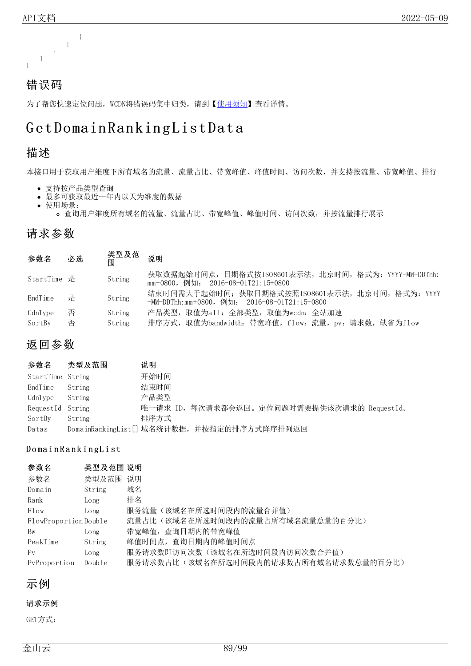

为了帮您快速定位问题, WCDN将错误码集中归类, 请到【[使用须知](https://docs.ksyun.com/documents/41619#4)】查看详情。

## Get Domain Ranking List Data

## 描述

本接口用于获取用户维度下所有域名的流量、流量占比、带宽峰值、峰值时间、访问次数,并支持按流量、带宽峰值、排行

- 支持按产品类型查询
- 最多可获取最近一年内以天为维度的数据
- 使用场景:
	- 查询用户维度所有域名的流量、流量占比、带宽峰值、峰值时间、访问次数,并按流量排行展示

## 请求参数

| 参数名         | 必选 | 类型及范<br>闱 | 说明                                                                                                  |
|-------------|----|-----------|-----------------------------------------------------------------------------------------------------|
| StartTime 是 |    | String    | 获取数据起始时间点,日期格式按IS08601表示法,北京时间,格式为: YYYY-MM-DDThh:<br>mm+0800,例如: 2016-08-01T21:15+0800             |
| EndTime     | 是  | String    | 结束时间需大于起始时间; 获取日期格式按照ISO8601表示法, 北京时间, 格式为: YYYY<br>$-MM-DDThh:mm+0800$ , 例如: 2016-08-01T21:15+0800 |
| CdnType     | 否  | String    | 产品类型, 取值为all: 全部类型, 取值为wcdn: 全站加速                                                                   |
| SortBy      | 否  | String    | 排序方式,取值为bandwidth: 带宽峰值,flow: 流量,pv: 请求数,缺省为flow                                                    |

## 返回参数

| 参数名              | 类型及范围  | 说明                                          |
|------------------|--------|---------------------------------------------|
| StartTime String |        | 开始时间                                        |
| EndTime          | String | 结束时间                                        |
| CdnType          | String | 产品类型                                        |
| RequestId String |        | 唯一请求 ID, 每次请求都会返回。定位问题时需要提供该次请求的 RequestId。 |
| SortBy           | String | 排序方式                                        |
| Datas            |        | DomainRankingList[] 域名统计数据, 并按指定的排序方式降序排列返回 |

### Domain Ranking List

| 参数名                  | 类型及范围 说明 |                                       |
|----------------------|----------|---------------------------------------|
| 参数名                  | 类型及范围    | 说明                                    |
| Domain               | String   | 域名                                    |
| Rank                 | Long     | 排名                                    |
| Flow                 | Long     | 服务流量(该域名在所选时间段内的流量合并值)                |
| FlowProportionDouble |          | 流量占比(该域名在所选时间段内的流量占所有域名流量总量的百分比)      |
| Bw                   | Long     | 带宽峰值, 查询日期内的带宽峰值                      |
| PeakTime             | String   | 峰值时间点, 查询日期内的峰值时间点                    |
| $P_V$                | Long     | 服务请求数即访问次数(该域名在所选时间段内访问次数合并值)         |
| PyProportion         | Double   | 服务请求数占比(该域名在所选时间段内的请求数占所有域名请求数总量的百分比) |

示例

请求示例

GET方式: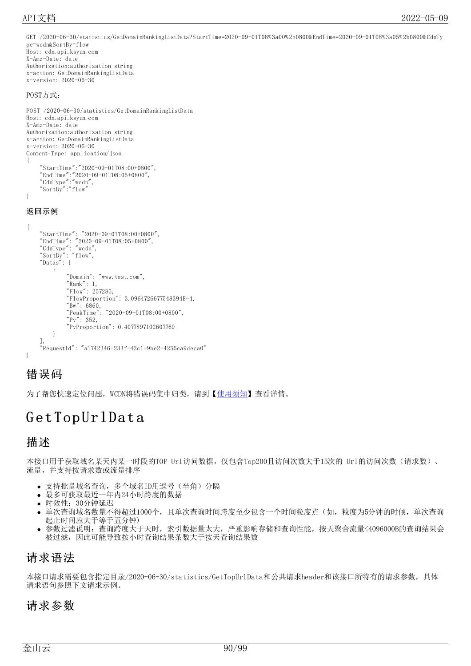GET /2020-06-30/statistics/GetDomainRankingListData?StartTime=2020-09-01T08%3a00%2b0800&EndTime=2020-09-01T08%3a05%2b0800&CdnTy pe=wcdn&SortBy=flow Host: cdn.api.ksyun.com X-Amz-Date: date Authorization:authorization string x-action: GetDomainRankingListData x-version: 2020-06-30

### POST方式:

```
POST /2020-06-30/statistics/GetDomainRankingListData
Host: cdn.api.ksyun.com
X-Amz-Date: date
Authorization:authorization string
x-action: GetDomainRankingListData
x-version: 2020-06-30
Content-Type: application/json
{
    "StartTime":"2020-09-01T08:00+0800",
    "EndTime":"2020-09-01T08:05+0800",
    "CdnType":"wcdn",
    "SortBy":"flow"
}
```
### 返回示例

```
{
    "StartTime": "2020-09-01T08:00+0800",
    "EndTime": "2020-09-01T08:05+0800",
    "CdnType": "wcdn",
    "SortBy": "flow",
    "Datas": [
        {
            "Domain": "www.test.com",
            "Rank" : 1,"Flow": 257285,
            "FlowProportion": 3.0964726677548394E-4,
            "Bw": 6860,
            "PeakTime": "2020-09-01T08:00+0800",
            "Pv" : 352,"PvProportion": 0.4077897102607769
        }
    ],
    "RequestId": "a1742346-233f-42c1-9be2-4255ca9deca0"
}
```
## 错误码

为了帮您快速定位问题, WCDN将错误码集中归类, 请到【[使用须知](https://docs.ksyun.com/documents/41619#4)】查看详情。

## GetTopUrlData

### 描述

本接口用于获取域名某天内某一时段的TOP Url访问数据,仅包含Top200且访问次数大于15次的 Url的访问次数(请求数)、 流量,并支持按请求数或流量排序

- 支持批量域名查询, 多个域名ID用逗号(半角)分隔
- 最多可获取最近一年内24小时跨度的数据
- 时效性:30分钟延迟
- 单次查询域名数量不得超过1000个,且单次查询时间跨度至少包含一个时间粒度点(如,粒度为5分钟的时候,单次查询 起止时间应大于等于五分钟)
- 参数过滤说明:查询跨度大于天时,索引数据量太大,严重影响存储和查询性能,按天聚合流量<4096000B的查询结果会 被过滤,因此可能导致按小时查询结果条数大于按天查询结果数

### 请求语法

本接口请求需要包含指定目录/2020-06-30/statistics/GetTopUrlData和公共请求header和该接口所特有的请求参数,具体 请求语句参照下文请求示例。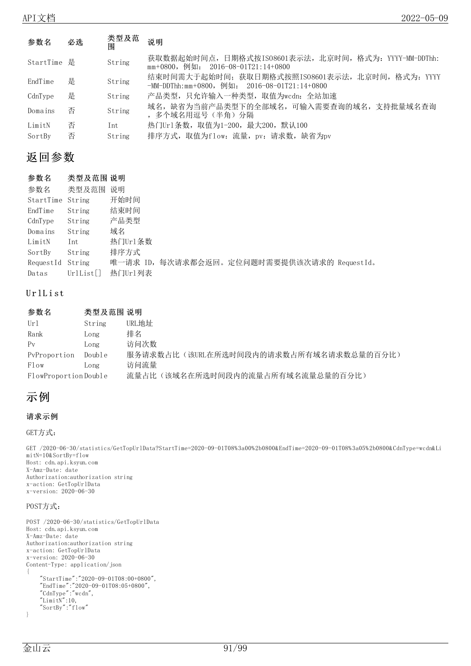| 参数名         | 必选 | 类型及范<br>围 | 说明                                                                                                  |  |
|-------------|----|-----------|-----------------------------------------------------------------------------------------------------|--|
| StartTime 是 |    | String    | 获取数据起始时间点,日期格式按ISO8601表示法,北京时间,格式为: YYYY-MM-DDThh:<br>mm+0800, 例如: 2016-08-01T21:14+0800            |  |
| EndTime     | 是  | String    | 结束时间需大于起始时间; 获取日期格式按照IS08601表示法, 北京时间, 格式为: YYYY<br>$-MM-DDThh:mm+0800$ , 例如: 2016-08-01T21:14+0800 |  |
| CdnType     | 是  | String    | 产品类型,只允许输入一种类型,取值为wcdn: 全站加速                                                                        |  |
| Domains     | 否  | String    | 域名,缺省为当前产品类型下的全部域名,可输入需要查询的域名,支持批量域名查询<br>,多个域名用逗号(半角)分隔                                            |  |
| LimitN      | 否  | Int.      | 热门Url条数, 取值为1-200, 最大200, 默认100                                                                     |  |
| SortBy      | 否  | String    | 排序方式, 取值为flow: 流量, pv: 请求数, 缺省为pv                                                                   |  |

| 参数名       | 类型及范围 说明 |                                             |
|-----------|----------|---------------------------------------------|
| 参数名       | 类型及范围    | 说明                                          |
| StartTime | String   | 开始时间                                        |
| EndTime   | String   | 结束时间                                        |
| CdnType   | String   | 产品类型                                        |
| Domains   | String   | 域名                                          |
| LimitN    | Int      | 热门Url条数                                     |
| SortBy    | String   | 排序方式                                        |
| RequestId | String   | 唯一请求 ID, 每次请求都会返回。定位问题时需要提供该次请求的 RequestId。 |
| Datas     | Urllist  | 热门Url列表                                     |

### UrlList

| 参数名                  | 类型及范围 说明 |                                        |
|----------------------|----------|----------------------------------------|
| Url                  | String   | URL地址                                  |
| Rank                 | Long     | 排名                                     |
| $P_{V}$              | Long     | 访问次数                                   |
| PyProportion         | Double   | 服务请求数占比(该URL在所选时间段内的请求数占所有域名请求数总量的百分比) |
| Flow                 | Long     | 访问流量                                   |
| FlowProportionDouble |          | 流量占比(该域名在所选时间段内的流量占所有域名流量总量的百分比)       |

## 示例

### 请求示例

GET方式:

GET /2020-06-30/statistics/GetTopUrlData?StartTime=2020-09-01T08%3a00%2b0800&EndTime=2020-09-01T08%3a05%2b0800&CdnType=wcdn&Li mitN=10&SortBy=flow Host: cdn.api.ksyun.com X-Amz-Date: date Authorization:authorization string x-action: GetTopUrlData x-version: 2020-06-30

### POST方式:

```
POST /2020-06-30/statistics/GetTopUrlData
Host: cdn.api.ksyun.com
X-Amz-Date: date
Authorization:authorization string
x-action: GetTopUrlData
x-version: 2020-06-30
Content-Type: application/json
{
    "StartTime":"2020-09-01T08:00+0800",
    "EndTime":"2020-09-01T08:05+0800",
    "CdnType":"wcdn",
    "LimitN":10,
    "SortBy":"flow"
}
```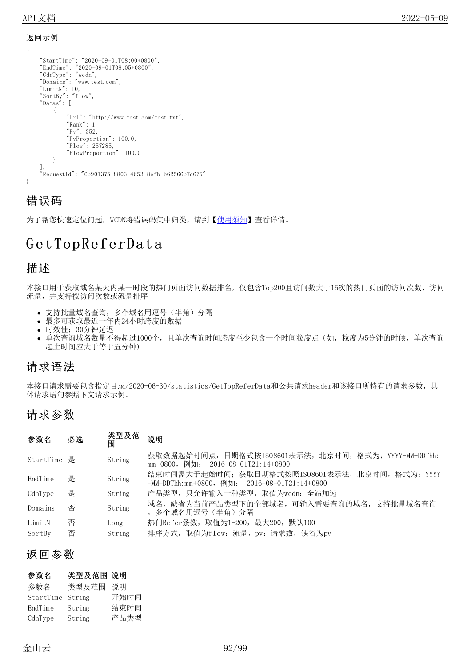### 返回示例

```
{
    "StartTime": "2020-09-01T08:00+0800",
    "EndTime": "2020-09-01T08:05+0800",
    "CdnType": "wcdn",
    "Domains": "www.test.com",
    "LimitN": 10,
    "SortBy": "flow",
    "Datas": [
        {
            "Url": "http://www.test.com/test.txt",
            "Rank" : 1,"Pv" : 352,"PvProportion": 100.0,
            "Flow": 257285,
            "FlowProportion": 100.0
        }
    ],
    "RequestId": "6b901375-8803-4653-8efb-b62566b7c675"
}
```
## 错误码

为了帮您快速定位问题, WCDN将错误码集中归类, 请到【[使用须知](https://docs.ksyun.com/documents/41619#4)】查看详情。

## GetTopReferData

## 描述

本接口用于获取域名某天内某一时段的热门页面访问数据排名,仅包含Top200且访问数大于15次的热门页面的访问次数、访问 流量,并支持按访问次数或流量排序

- 支持批量域名查询,多个域名用逗号(半角)分隔
- 最多可获取最近一年内24小时跨度的数据
- 时效性:30分钟延迟
- 单次查询域名数量不得超过1000个,且单次查询时间跨度至少包含一个时间粒度点(如,粒度为5分钟的时候,单次查询 起止时间应大于等于五分钟)

## 请求语法

本接口请求需要包含指定目录/2020-06-30/statistics/GetTopReferData和公共请求header和该接口所特有的请求参数,具 体请求语句参照下文请求示例。

## 请求参数

| 参数名         | 必选 | 类型及范<br>闱 | 说明                                                                                              |
|-------------|----|-----------|-------------------------------------------------------------------------------------------------|
| StartTime 是 |    | String    | 获取数据起始时间点,日期格式按ISO8601表示法,北京时间,格式为: YYYY-MM-DDThh:<br>$mm+0800$ , 例如: 2016-08-01T21:14+0800     |
| EndTime     | 是  | String    | 结束时间需大于起始时间; 获取日期格式按照IS08601表示法, 北京时间, 格式为: YYYY<br>-MM-DDThh:mm+0800,例如: 2016-08-01T21:14+0800 |
| CdnType     | 是  | String    | 产品类型,只允许输入一种类型,取值为wcdn: 全站加速                                                                    |
| Domains     | 否  | String    | 域名, 缺省为当前产品类型下的全部域名, 可输入需要查询的域名, 支持批量域名查询<br>,多个域名用逗号(半角)分隔                                     |
| LimitN      | 否  | Long      | 热门Refer条数, 取值为1-200, 最大200, 默认100                                                               |
| SortBy      | 否  | String    | 排序方式, 取值为flow: 流量, pv: 请求数, 缺省为pv                                                               |

## 返回参数

### 参数名 类型及范围 说明

| 参数名              | 类型及范围  | 说明   |
|------------------|--------|------|
| StartTime String |        | 开始时间 |
| EndTime          | String | 结束时间 |
| CdnType          | String | 产品类型 |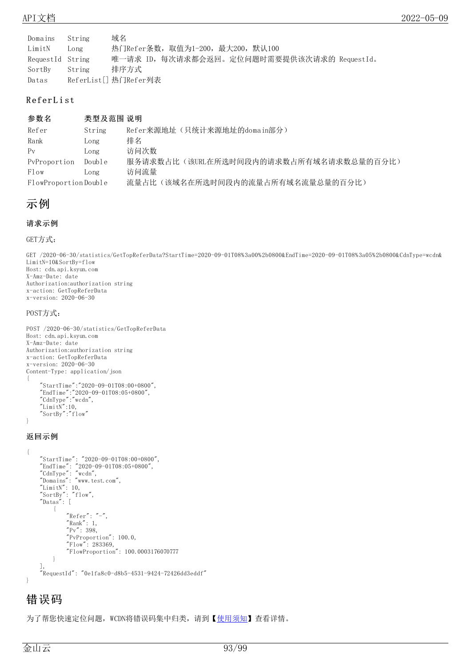| Domains          | String | 域名                                          |
|------------------|--------|---------------------------------------------|
| LimitN           | Long   | 热门Refer条数,取值为1-200,最大200,默认100              |
| RequestId String |        | 唯一请求 ID, 每次请求都会返回。定位问题时需要提供该次请求的 RequestId。 |
| SortBy           | String | 排序方式                                        |
| Datas            |        | ReferList[] 热门Refer列表                       |

### **ReferList**

### 参数名 类型及范围 说明

| Refer                | String | Refer来源地址(只统计来源地址的domain部分)            |
|----------------------|--------|----------------------------------------|
| Rank                 | Long   | 排名                                     |
| $P_V$                | Long   | 访问次数                                   |
| PyProportion         | Double | 服务请求数占比(该URL在所选时间段内的请求数占所有域名请求数总量的百分比) |
| Flow                 | Long   | 访问流量                                   |
| FlowProportionDouble |        | 流量占比(该域名在所选时间段内的流量占所有域名流量总量的百分比)       |

## 示例

### 请求示例

GET方式:

GET /2020-06-30/statistics/GetTopReferData?StartTime=2020-09-01T08%3a00%2b0800&EndTime=2020-09-01T08%3a05%2b0800&CdnType=wcdn& LimitN=10&SortBy=flow Host: cdn.api.ksyun.com X-Amz-Date: date Authorization:authorization string x-action: GetTopReferData x-version: 2020-06-30

### POST方式:

```
POST /2020-06-30/statistics/GetTopReferData
Host: cdn.api.ksyun.com
X-Amz-Date: date
Authorization:authorization string
x-action: GetTopReferData
x-version: 2020-06-30
Content-Type: application/json
{
    "StartTime":"2020-09-01T08:00+0800",
    "EndTime":"2020-09-01T08:05+0800",
    "CdnType":"wcdn",
    ''LimitN'':10,
    "SortBy":"flow"
}
```
### 返回示例

```
{
    "StartTime": "2020-09-01T08:00+0800",
    "EndTime": "2020-09-01T08:05+0800",
    "CdnType": "wcdn",
    "Domains": "www.test.com",
    "LimitN": 10,
    "SortBy": "flow",
    "Datas": [
        {
             "Refer": "-",
             "Rank" : 1,"Pv" : 398,"PvProportion": 100.0,
             "Flow": 283369,
            "FlowProportion": 100.0003176070777
        }
    ],
    "RequestId": "0e1fa8c0-d8b5-4531-9424-72426dd3eddf"
\mathbf{1}
```
## 错误码

为了帮您快速定位问题, WCDN将错误码集中归类, 请到【[使用须知](https://docs.ksyun.com/documents/41619#4)】查看详情。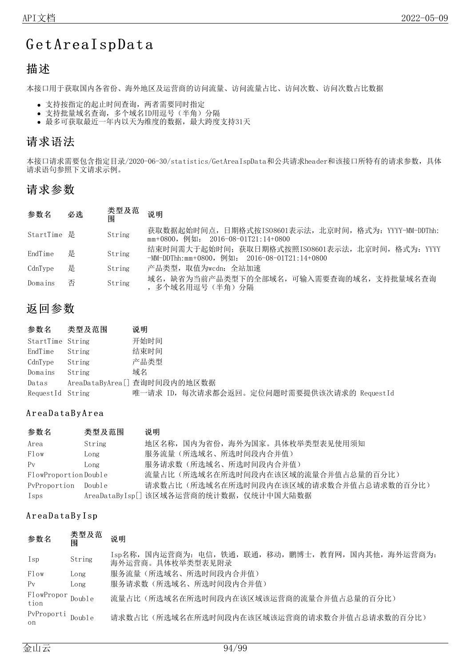## Get Area I spData

## 描述

本接口用于获取国内各省份、海外地区及运营商的访问流量、访问流量占比、访问次数、访问次数占比数据

- 支持按指定的起止时间查询,两者需要同时指定
- 支持批量域名查询,多个域名ID用逗号(半角)分隔
- 最多可获取最近一年内以天为维度的数据,最大跨度支持31天

## 请求语法

本接口请求需要包含指定目录/2020-06-30/statistics/GetAreaIspData和公共请求header和该接口所特有的请求参数,具体 请求语句参照下文请求示例。

## 请求参数

| 参数名         | 必选 | 类型及范<br>闱 | 说明                                                                                               |
|-------------|----|-----------|--------------------------------------------------------------------------------------------------|
| StartTime 是 |    | String    | 获取数据起始时间点, 日期格式按IS08601表示法, 北京时间, 格式为: YYYY-MM-DDThh:<br>mm+0800, 例如: 2016-08-01T21:14+0800      |
| EndTime     | 是  | String    | 结束时间需大于起始时间; 获取日期格式按照ISO8601表示法, 北京时间, 格式为: YYYY<br>-MM-DDThh:mm+0800, 例如: 2016-08-01T21:14+0800 |
| CdnType     | 是  | String    | 产品类型,取值为wcdn: 全站加速                                                                               |
| Domains     | 否  | String    | 域名,缺省为当前产品类型下的全部域名,可输入需要查询的域名,支持批量域名查询<br>,多个域名用逗号(半角)分隔                                         |

## 返回参数

| 参数名              | 类型及范围  | 说明                                         |
|------------------|--------|--------------------------------------------|
| StartTime String |        | 开始时间                                       |
| EndTime          | String | 结束时间                                       |
| CdnType          | String | 产品类型                                       |
| Domains          | String | 域名                                         |
| Datas            |        | AreaDataByArea[] 查询时间段内的地区数据               |
| RequestId String |        | 唯一请求 ID, 每次请求都会返回。定位问题时需要提供该次请求的 RequestId |

### A r ea Data By A r ea

| 参数名                  | 类型及范围  | 说明                                      |
|----------------------|--------|-----------------------------------------|
| Area                 | String | 地区名称, 国内为省份, 海外为国家。具体枚举类型表见使用须知         |
| Flow                 | Long   | 服务流量(所选域名、所选时间段内合并值)                    |
| $P_{V}$              | Long   | 服务请求数(所选域名、所选时间段内合并值)                   |
| FlowProportionDouble |        | 流量占比(所选域名在所选时间段内在该区域的流量合并值占总量的百分比)      |
| PyProportion         | Double | 请求数占比(所选域名在所选时间段内在该区域的请求数合并值占总请求数的百分比)  |
| Isps                 |        | AreaDataByIsp[] 该区域各运营商的统计数据, 仅统计中国大陆数据 |

### AreaDataByIsp

| 参数名                | 类型及范<br>围 | 说明                                                                         |
|--------------------|-----------|----------------------------------------------------------------------------|
| Isp                | String    | Isp名称, 国内运营商为: 电信, 铁通, 联通, 移动, 鹏博士, 教育网, 国内其他, 海外运营商为:<br>海外运营商。具体枚举类型表见附录 |
| Flow               | Long      | 服务流量(所选域名、所选时间段内合并值)                                                       |
| $P_{V}$            | Long      | 服务请求数(所选域名、所选时间段内合并值)                                                      |
| FlowPropor<br>tion | Double    | 流量占比(所选域名在所选时间段内在该区域该运营商的流量合并值占总量的百分比)                                     |
| PvProporti<br>on.  | Double    | 请求数占比(所选域名在所选时间段内在该区域该运营商的请求数合并值占总请求数的百分比)                                 |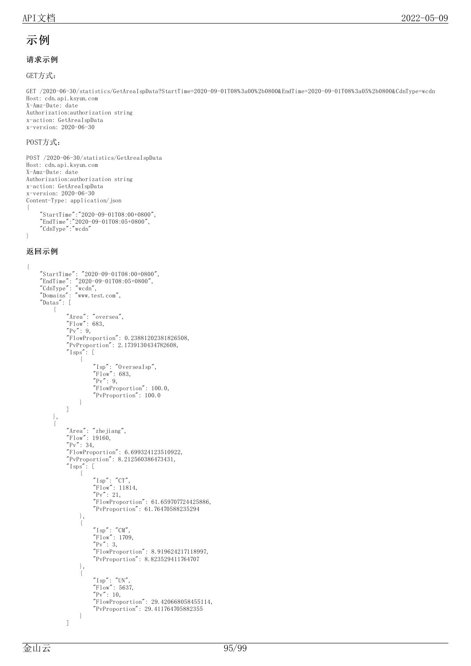### 示例

### 请求示例

GET方式:

GET /2020-06-30/statistics/GetAreaIspData?StartTime=2020-09-01T08%3a00%2b0800&EndTime=2020-09-01T08%3a05%2b0800&CdnType=wcdn Host: cdn.api.ksyun.com X-Amz-Date: date Authorization:authorization string x-action: GetAreaIspData x-version: 2020-06-30

#### POST方式:

```
POST /2020-06-30/statistics/GetAreaIspData
Host: cdn.api.ksyun.com
X-Amz-Date: date
Authorization:authorization string
x-action: GetAreaIspData
x-version: 2020-06-30
Content-Type: application/json
{
    "StartTime":"2020-09-01T08:00+0800",
    "EndTime":"2020-09-01T08:05+0800",
    "CdnType":"wcdn"
```

```
}
```
#### 返回示例

```
{
    "StartTime": "2020-09-01T08:00+0800",
    "EndTime": "2020-09-01T08:05+0800",
    "CdnType": "wcdn",
    "Domains": "www.test.com",
    "Datas": [
        {
             "Area": "oversea",
             "Flow": 683,
             "Pv" : 9,"FlowProportion": 0.23881202381826508,
             "PvProportion": 2.1739130434782608,
             "Isps": [
                 {
                      "Isp": "OverseaIsp",
                      "Flow": 683,
                      ''Pv'': 9,
                      "FlowProportion": 100.0,
                      "PvProportion": 100.0
                 }
             ]
        },
         {
             "Area": "zhejiang",
             "Flow": 19160,
             "Pv": 34,
             "FlowProportion": 6.699324123510922,
             "PvProportion": 8.212560386473431,
             "Isps": [
                 {
                      \degreeIsp\degree: \degreeCT\degree,
                      "Flow": 11814,
                      "Pv": 21,
                      "FlowProportion": 61.659707724425886,
                      "PvProportion": 61.76470588235294
                 },
                  {
                      \degreeIsp\degree: \degreeCM\degree,
                      "Flow": 1709,
                      "Pv" : 3,"FlowProportion": 8.919624217118997,
                      "PvProportion": 8.823529411764707
                 },
                  {
                      \tilde{}} Isp": "UN",
                      "Flow": 5637,
                      "Pv": 10,
                      "FlowProportion": 29.420668058455114,
                      "PvProportion": 29.411764705882355
                 }
             ]
```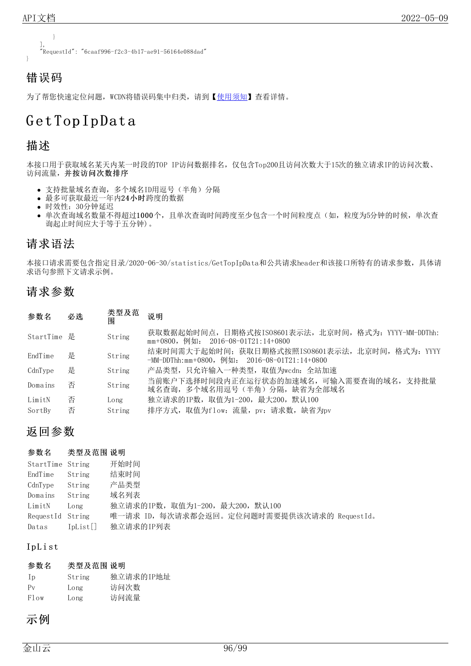

为了帮您快速定位问题, WCDN将错误码集中归类, 请到【[使用须知](https://docs.ksyun.com/documents/41619#4)】查看详情。

## G et Top Ip Dat a

## 描述

本接口用于获取域名某天内某一时段的TOP IP访问数据排名,仅包含Top200且访问次数大于15次的独立请求IP的访问次数、 访问流量,并按访问次数排序

- 支持批量域名查询,多个域名ID用逗号(半角)分隔
- 最多可获取最近一年内24小时跨度的数据
- 时效性:30分钟延迟
- 单次查询域名数量不得超过1000个,且单次查询时间跨度至少包含一个时间粒度点(如,粒度为5分钟的时候,单次查 询起止时间应大于等于五分钟)。

## 请求语法

本接口请求需要包含指定目录/2020-06-30/statistics/GetTopIpData和公共请求header和该接口所特有的请求参数,具体请 求语句参照下文请求示例。

## 请求参数

| 参数名         | 必选 | 类型及范<br>围 | 说明                                                                                                  |
|-------------|----|-----------|-----------------------------------------------------------------------------------------------------|
| StartTime 是 |    | String    | 获取数据起始时间点,日期格式按ISO8601表示法,北京时间,格式为: YYYY-MM-DDThh:<br>mm+0800,例如: 2016-08-01T21:14+0800             |
| EndTime     | 是  | String    | 结束时间需大于起始时间; 获取日期格式按照IS08601表示法, 北京时间, 格式为: YYYY<br>$-MM-DDThh:mm+0800$ , 例如: 2016-08-01T21:14+0800 |
| CdnType     | 是  | String    | 产品类型,只允许输入一种类型,取值为wcdn:全站加速                                                                         |
| Domains     | 否  | String    | 当前账户下选择时间段内正在运行状态的加速域名,可输入需要查询的域名,支持批量<br>域名杳询,多个域名用逗号(半角)分隔,缺省为全部域名                                |
| LimitN      | 否  | Long      | 独立请求的IP数,取值为1-200,最大200,默认100                                                                       |
| SortBy      | 否  | String    | 排序方式, 取值为flow: 流量, pv: 请求数, 缺省为pv                                                                   |

## 返回参数

### 参数名 类型及范围 说明

| StartTime String |             | 开始时间                                        |
|------------------|-------------|---------------------------------------------|
| EndTime          | String      | 结束时间                                        |
| CdnType          | String      | 产品类型                                        |
| Domains          | String      | 域名列表                                        |
| LimitN           | Long        | 独立请求的IP数, 取值为1-200, 最大200, 默认100            |
| RequestId String |             | 唯一请求 ID, 每次请求都会返回。定位问题时需要提供该次请求的 RequestId。 |
| Datas            | $I\nu List$ | 独立请求的IP列表                                   |

### Ip L i st

### 参数名 类型及范围 说明

| Ip      | String | 独立请求的IP地址 |
|---------|--------|-----------|
| $P_{V}$ | Long   | 访问次数      |
| Flow    | Long   | 访问流量      |

## 示例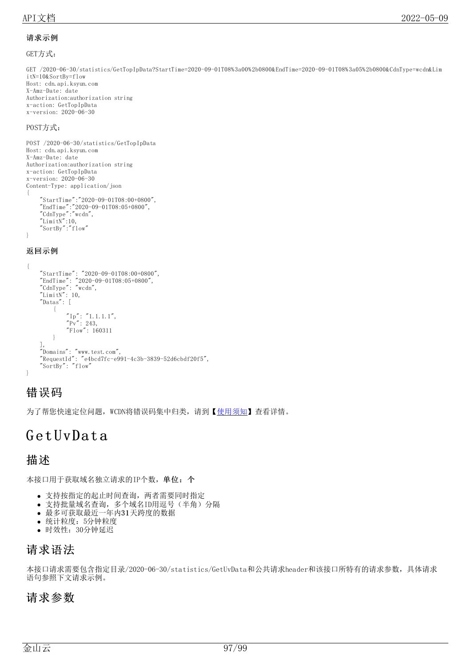### 请求示例

GET方式:

GET /2020-06-30/statistics/GetTopIpData?StartTime=2020-09-01T08%3a00%2b0800&EndTime=2020-09-01T08%3a05%2b0800&CdnType=wcdn&Lim itN=10&SortBy=flow Host: cdn.api.ksyun.com X-Amz-Date: date Authorization:authorization string x-action: GetTopIpData x-version: 2020-06-30

### POST方式:

```
POST /2020-06-30/statistics/GetTopIpData
Host: cdn.api.ksyun.com
X-Amz-Date: date
Authorization:authorization string
x-action: GetTopIpData
x-version: 2020-06-30
Content-Type: application/json
{
    "StartTime":"2020-09-01T08:00+0800",
    "EndTime":"2020-09-01T08:05+0800",
    "CdnType":"wcdn",
    ''LimitN'':10,
    "SortBy":"flow"
}
返回示例
```
{ "StartTime": "2020-09-01T08:00+0800", "EndTime": "2020-09-01T08:05+0800", "CdnType": "wcdn",  $"$ LimitN": 10, "Datas": [ {  $\text{"Ip"': "1.1.1.1",}$  $"Pv" : 243,$ "Flow": 160311 } ], "Domains": "www.test.com",  $"$ RequestId":  $"$ e4bcd7fc-e991-4c3b-3839-52d6cbdf20f5", "SortBy": "flow" }

## 错误码

为了帮您快速定位问题, WCDN将错误码集中归类, 请到【[使用须知](https://docs.ksyun.com/documents/41619#4)】查看详情。

## G et UvDat a

### 描述

本接口用于获取域名独立请求的IP个数,单位:个

- 支持按指定的起止时间查询,两者需要同时指定
- 支持批量域名查询,多个域名ID用逗号(半角)分隔
- 最多可获取最近一年内31天跨度的数据
- 统计粒度:5分钟粒度
- 时效性:30分钟延迟

## 请求语法

本接口请求需要包含指定目录/2020-06-30/statistics/GetUvData和公共请求header和该接口所特有的请求参数,具体请求 语句参照下文请求示例。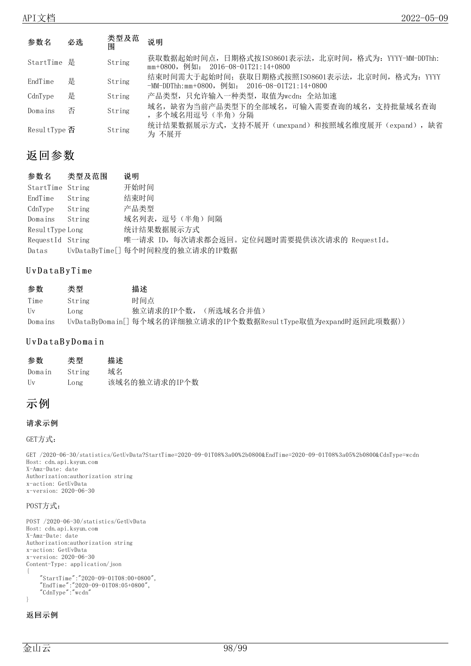| 参数名               | 必选 | 类型及范<br>闱 | 说明                                                                                                  |
|-------------------|----|-----------|-----------------------------------------------------------------------------------------------------|
| StartTime 是       |    | String    | 获取数据起始时间点, 日期格式按IS08601表示法, 北京时间, 格式为: YYYY-MM-DDThh:<br>$mm+0800$ , 例如: 2016-08-01T21:14+0800      |
| EndTime           | 是  | String    | 结束时间需大于起始时间; 获取日期格式按照IS08601表示法, 北京时间, 格式为: YYYY<br>$-MM-DDThh:mm+0800$ , 例如: 2016-08-01T21:14+0800 |
| CdnType           | 是  | String    | 产品类型,只允许输入一种类型,取值为wcdn: 全站加速                                                                        |
| Domains           | 否  | String    | 域名,缺省为当前产品类型下的全部域名,可输入需要查询的域名,支持批量域名查询<br>,多个域名用逗号(半角)分隔                                            |
| ResultType $\Phi$ |    | String    | 统计结果数据展示方式, 支持不展开(unexpand)和按照域名维度展开(expand), 缺省<br>为 不展开                                           |

| 参数名              | 类型及范围  | 说明                                          |
|------------------|--------|---------------------------------------------|
| StartTime String |        | 开始时间                                        |
| EndTime          | String | 结束时间                                        |
| CdnType          | String | 产品类型                                        |
| Domains          | String | 域名列表, 逗号(半角) 间隔                             |
| ResultType Long  |        | 统计结果数据展示方式                                  |
| RequestId String |        | 唯一请求 ID, 每次请求都会返回。定位问题时需要提供该次请求的 RequestId。 |
| Datas            |        | UvDataByTime[] 每个时间粒度的独立请求的IP数据             |

### U v D a t a B y T i me

| 参数      | 类型     | 描述                                                             |
|---------|--------|----------------------------------------------------------------|
| Time    | String | 时间点                                                            |
| Uv      | Long   | 独立请求的IP个数,(所选域名合并值)                                            |
| Domains |        | UvDataByDomain[] 每个域名的详细独立请求的IP个数数据ResultType取值为expand时返回此项数据) |

### U v D a ta B y D o main

| 参数                      | 类型     | 描述            |
|-------------------------|--------|---------------|
| Domain                  | String | 域名            |
| $\overline{\mathrm{H}}$ | Long   | 该域名的独立请求的IP个数 |

## 示例

### 请求示例

GET方式:

GET /2020-06-30/statistics/GetUvData?StartTime=2020-09-01T08%3a00%2b0800&EndTime=2020-09-01T08%3a05%2b0800&CdnType=wcdn Host: cdn.api.ksyun.com X-Amz-Date: date Authorization:authorization string x-action: GetUvData x-version: 2020-06-30

### POST方式:

```
POST /2020-06-30/statistics/GetUvData
Host: cdn.api.ksyun.com
X-Amz-Date: date
Authorization:authorization string
x-action: GetUvData
x-version: 2020-06-30
Content-Type: application/json
{
    "StartTime":"2020-09-01T08:00+0800",
    "EndTime":"2020-09-01T08:05+0800",
    "CdnType":"wcdn"
}
```
#### 返回示例